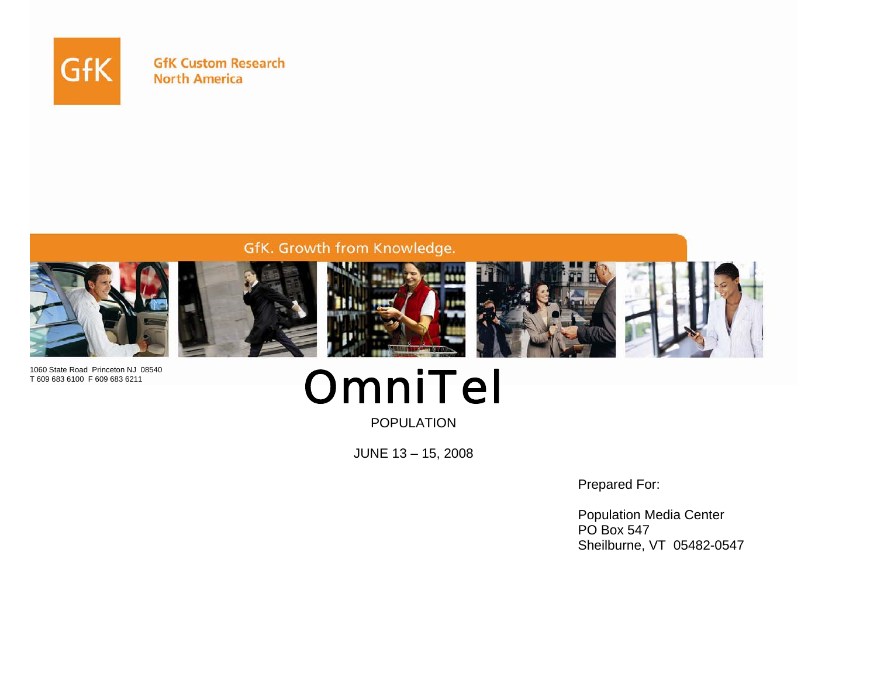

**GfK Custom Research North America** 

# GfK. Growth from Knowledge.



1060 State Road Princeton NJ 08540T 609 683 6100 F 609 683 6211

# **OmniTel**

POPULATION

JUNE 13 – 15, 2008

Prepared For:

Population Media Center PO Box 547 Sheilburne, VT 05482-0547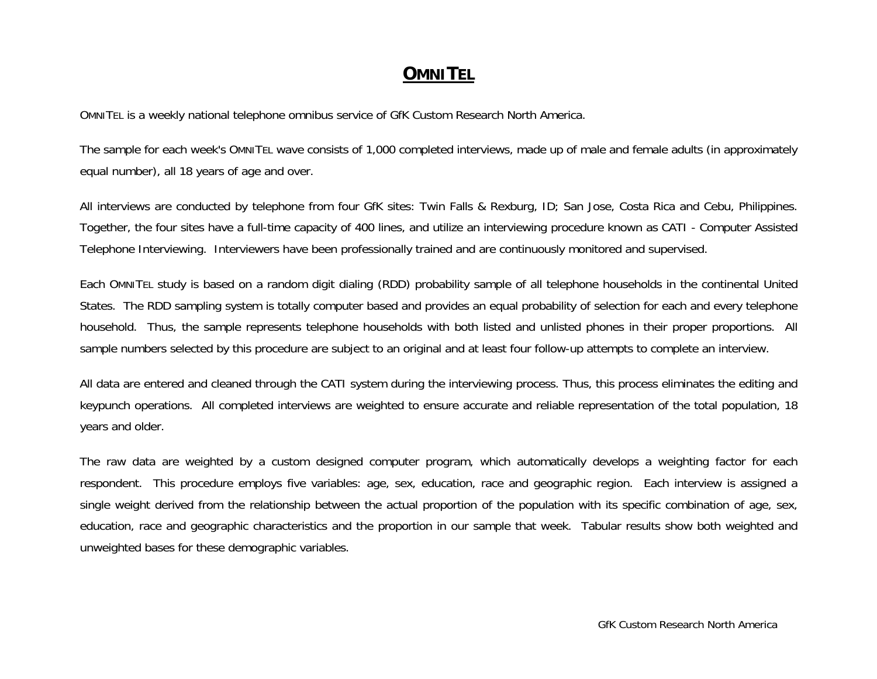## **OMNITEL**

OMNITEL is a weekly national telephone omnibus service of GfK Custom Research North America.

The sample for each week's OMNITEL wave consists of 1,000 completed interviews, made up of male and female adults (in approximately equal number), all 18 years of age and over.

All interviews are conducted by telephone from four GfK sites: Twin Falls & Rexburg, ID; San Jose, Costa Rica and Cebu, Philippines. Together, the four sites have a full-time capacity of 400 lines, and utilize an interviewing procedure known as CATI - Computer Assisted Telephone Interviewing. Interviewers have been professionally trained and are continuously monitored and supervised.

Each OMNITEL study is based on a random digit dialing (RDD) probability sample of all telephone households in the continental United States. The RDD sampling system is totally computer based and provides an equal probability of selection for each and every telephone household. Thus, the sample represents telephone households with both listed and unlisted phones in their proper proportions. All sample numbers selected by this procedure are subject to an original and at least four follow-up attempts to complete an interview.

All data are entered and cleaned through the CATI system during the interviewing process. Thus, this process eliminates the editing and keypunch operations. All completed interviews are weighted to ensure accurate and reliable representation of the total population, 18 years and older.

The raw data are weighted by a custom designed computer program, which automatically develops a weighting factor for each respondent. This procedure employs five variables: age, sex, education, race and geographic region. Each interview is assigned a single weight derived from the relationship between the actual proportion of the population with its specific combination of age, sex, education, race and geographic characteristics and the proportion in our sample that week. Tabular results show both weighted and unweighted bases for these demographic variables.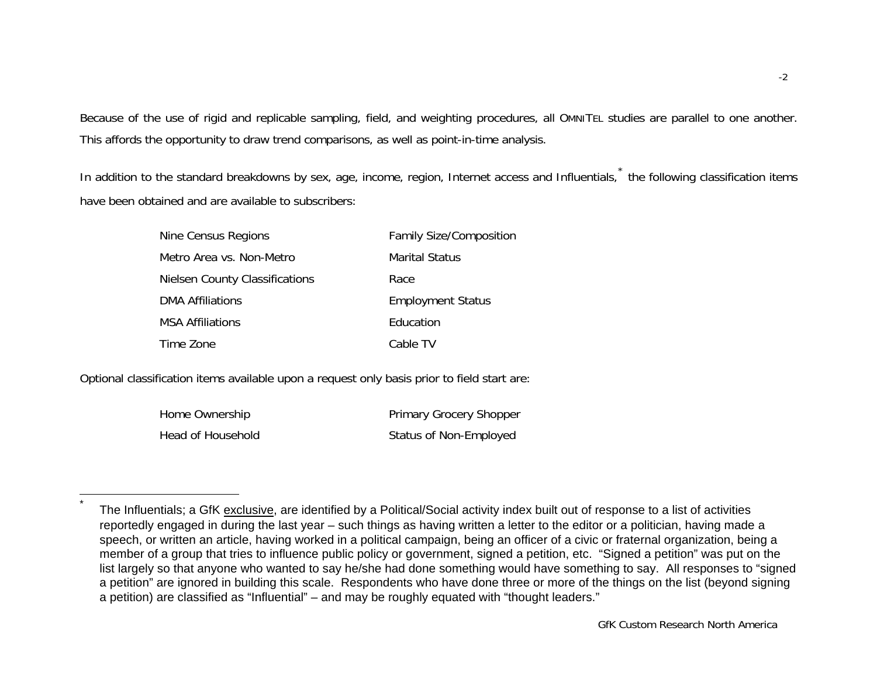Because of the use of rigid and replicable sampling, field, and weighting procedures, all OMNITEL studies are parallel to one another. This affords the opportunity to draw trend comparisons, as well as point-in-time analysis.

In addition to the standard breakdowns by sex, age, income, region, Internet access and Influentials, the following classification items have been obtained and are available to subscribers:

| Nine Census Regions                   | <b>Family Size/Composition</b> |
|---------------------------------------|--------------------------------|
| Metro Area vs. Non-Metro              | <b>Marital Status</b>          |
| <b>Nielsen County Classifications</b> | Race                           |
| DMA Affiliations                      | <b>Employment Status</b>       |
| <b>MSA Affiliations</b>               | <b>F</b> ducation              |
| Time Zone                             | Cable TV                       |

Optional classification items available upon a request only basis prior to field start are:

<span id="page-2-0"></span>\*

| Home Ownership    | <b>Primary Grocery Shopper</b> |
|-------------------|--------------------------------|
| Head of Household | Status of Non-Employed         |

The Influentials; a GfK exclusive, are identified by a Political/Social activity index built out of response to a list of activities reportedly engaged in during the last year – such things as having written a letter to the editor or a politician, having made a speech, or written an article, having worked in a political campaign, being an officer of a civic or fraternal organization, being a member of a group that tries to influence public policy or government, signed a petition, etc. "Signed a petition" was put on the list largely so that anyone who wanted to say he/she had done something would have something to say. All responses to "signed a petition" are ignored in building this scale. Respondents who have done three or more of the things on the list (beyond signing a petition) are classified as "Influential" – and may be roughly equated with "thought leaders."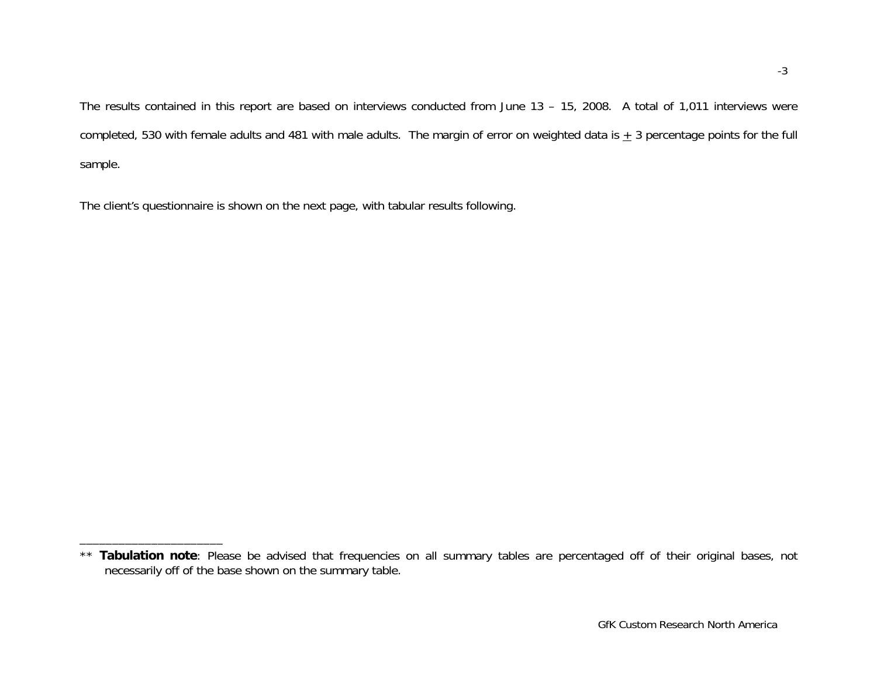The results contained in this report are based on interviews conducted from June 13 – 15, 2008. A total of 1,011 interviews were completed, 530 with female adults and 481 with male adults. The margin of error on weighted data is  $\pm$  3 percentage points for the full sample.

The client's questionnaire is shown on the next page, with tabular results following.

\_\_\_\_\_\_\_\_\_\_\_\_\_\_\_\_\_\_\_\_\_\_

<sup>\*\*</sup> **Tabulation note**: Please be advised that frequencies on all summary tables are percentaged off of their original bases, not necessarily off of the base shown on the summary table.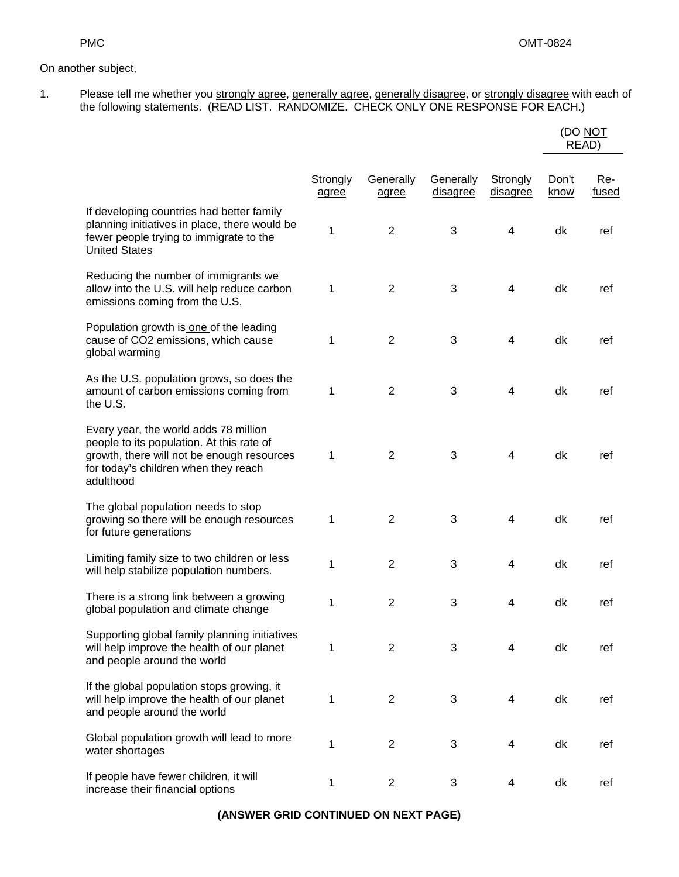(DO NOT

### On another subject,

1. Please tell me whether you strongly agree, generally agree, generally disagree, or strongly disagree with each of the following statements. (READ LIST. RANDOMIZE. CHECK ONLY ONE RESPONSE FOR EACH.)

|                                                                                                                                                                                       |                   |                    |                       |                          |                      | READ)               |
|---------------------------------------------------------------------------------------------------------------------------------------------------------------------------------------|-------------------|--------------------|-----------------------|--------------------------|----------------------|---------------------|
|                                                                                                                                                                                       | Strongly<br>agree | Generally<br>agree | Generally<br>disagree | Strongly<br>disagree     | Don't<br><u>know</u> | Re-<br><u>fused</u> |
| If developing countries had better family<br>planning initiatives in place, there would be<br>fewer people trying to immigrate to the<br><b>United States</b>                         | 1                 | $\overline{2}$     | 3                     | 4                        | dk                   | ref                 |
| Reducing the number of immigrants we<br>allow into the U.S. will help reduce carbon<br>emissions coming from the U.S.                                                                 | 1                 | $\overline{2}$     | 3                     | 4                        | dk                   | ref                 |
| Population growth is one of the leading<br>cause of CO2 emissions, which cause<br>global warming                                                                                      | 1                 | $\overline{2}$     | 3                     | $\overline{\mathbf{4}}$  | dk                   | ref                 |
| As the U.S. population grows, so does the<br>amount of carbon emissions coming from<br>the U.S.                                                                                       | 1                 | $\overline{2}$     | 3                     | 4                        | dk                   | ref                 |
| Every year, the world adds 78 million<br>people to its population. At this rate of<br>growth, there will not be enough resources<br>for today's children when they reach<br>adulthood | 1                 | $\overline{2}$     | 3                     | 4                        | dk                   | ref                 |
| The global population needs to stop<br>growing so there will be enough resources<br>for future generations                                                                            | 1                 | $\overline{2}$     | 3                     | $\overline{\mathbf{4}}$  | dk                   | ref                 |
| Limiting family size to two children or less<br>will help stabilize population numbers.                                                                                               | 1                 | $\overline{2}$     | 3                     | 4                        | dk                   | ref                 |
| There is a strong link between a growing<br>global population and climate change                                                                                                      | 1                 | $\overline{2}$     | 3                     | 4                        | dk                   | ref                 |
| Supporting global family planning initiatives<br>will help improve the health of our planet<br>and people around the world                                                            | 1                 | $\overline{2}$     | 3                     | 4                        | dk                   | ref                 |
| If the global population stops growing, it<br>will help improve the health of our planet<br>and people around the world                                                               | 1                 | $\overline{2}$     | 3                     | $\overline{\mathcal{A}}$ | dk                   | ref                 |
| Global population growth will lead to more<br>water shortages                                                                                                                         | 1                 | $\overline{2}$     | 3                     | 4                        | dk                   | ref                 |
| If people have fewer children, it will<br>increase their financial options                                                                                                            | 1                 | $\overline{2}$     | 3                     | 4                        | dk                   | ref                 |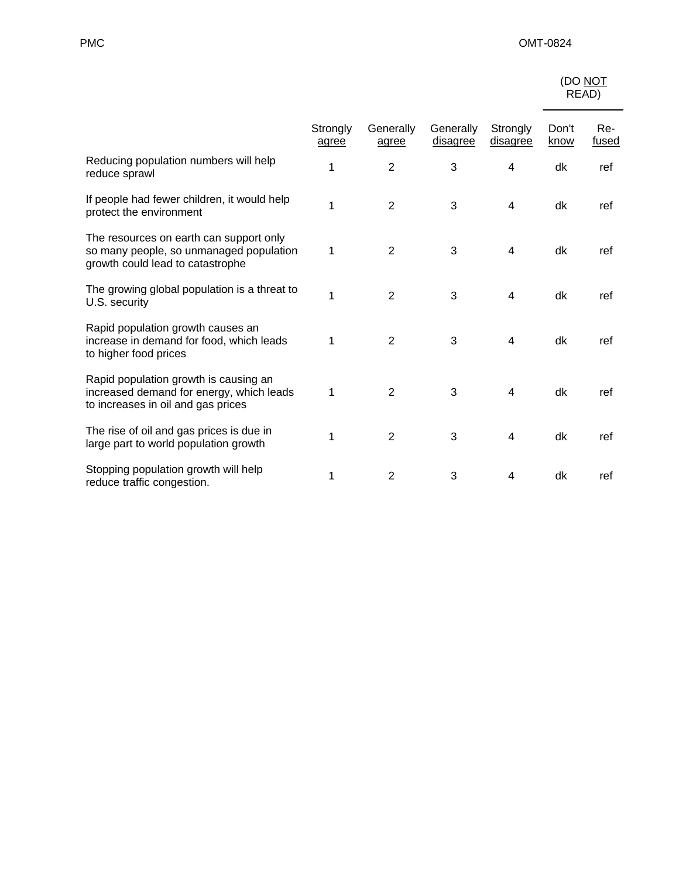| (DO NOT |
|---------|
| READ)   |

|                                                                                                                         | Strongly<br>agree | Generally<br>agree | Generally<br>disagree | Strongly<br>disagree | Don't<br>know | Re-<br><u>fused</u> |
|-------------------------------------------------------------------------------------------------------------------------|-------------------|--------------------|-----------------------|----------------------|---------------|---------------------|
| Reducing population numbers will help<br>reduce sprawl                                                                  | 1                 | 2                  | 3                     | 4                    | dk            | ref                 |
| If people had fewer children, it would help<br>protect the environment                                                  | 1                 | 2                  | 3                     | 4                    | dk            | ref                 |
| The resources on earth can support only<br>so many people, so unmanaged population<br>growth could lead to catastrophe  | 1                 | 2                  | 3                     | 4                    | dk            | ref                 |
| The growing global population is a threat to<br>U.S. security                                                           | 1                 | 2                  | 3                     | 4                    | dk            | ref                 |
| Rapid population growth causes an<br>increase in demand for food, which leads<br>to higher food prices                  | 1                 | 2                  | 3                     | 4                    | dk            | ref                 |
| Rapid population growth is causing an<br>increased demand for energy, which leads<br>to increases in oil and gas prices | 1                 | $\overline{2}$     | 3                     | 4                    | dk            | ref                 |
| The rise of oil and gas prices is due in<br>large part to world population growth                                       | 1                 | 2                  | 3                     | 4                    | dk            | ref                 |
| Stopping population growth will help<br>reduce traffic congestion.                                                      | 1                 | $\overline{2}$     | 3                     | 4                    | dk            | ref                 |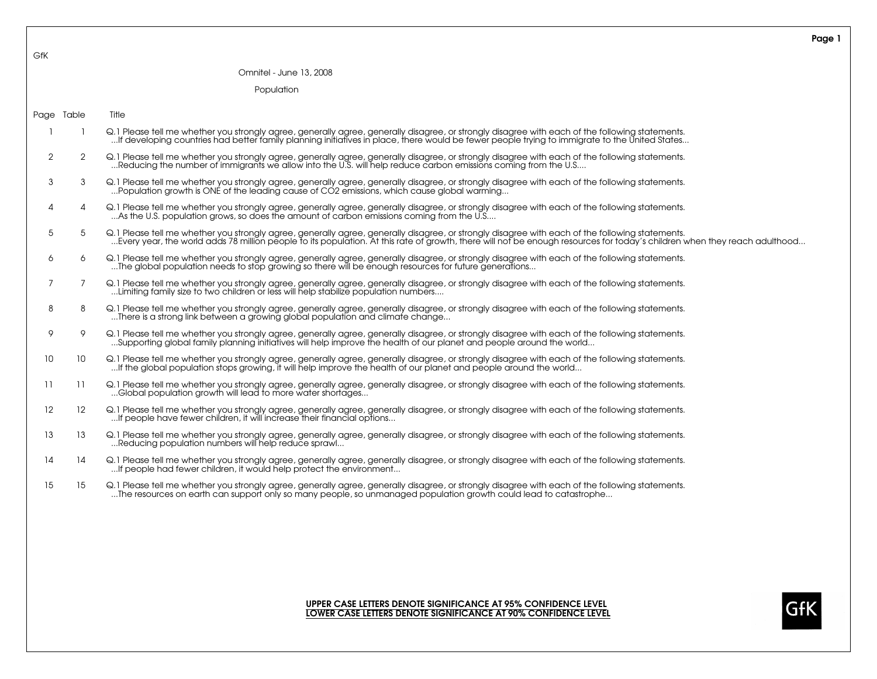#### Omnitel - June 13, 2008

Population

Page Table Title

- .l G.1 Please tell me whether you strongly agree, generally agree, generally disagree, or strongly disagree with each of the following statements.<br>...lf developing countries had better family planning initiatives in place,
- 22 Q.1 Please tell me whether you strongly agree, generally agree, generally disagree, or strongly disagree with each of the following statements. ...Reducing the number of immigrants we allow into the U.S. will help reduce carbon emissions coming from the U.S....
- 3 3 Q.1 Please tell me whether you strongly agree, generally agree, generally disagree, or strongly disagree with each of the following statements. ...Population growth is ONE of the leading cause of CO2 emissions, which cause global warming...
- 44 Q.1 Please tell me whether you strongly agree, generally agree, generally disagree, or strongly disagree with each of the following statements. ...As the U.S. population grows, so does the amount of carbon emissions coming from the U.S....
- 5 5 Q.1 Please tell me whether you strongly agree, generally agree, generally disagree, or strongly disagree with each of the following statements. ...Every year, the world adds 78 million people to its population. At this rate of growth, there will not be enough resources for today's children when they reach adulthood...
- 6 6 Q.1 Please tell me whether you strongly agree, generally agree, generally disagree, or strongly disagree with each of the following statements. ...The global population needs to stop growing so there will be enough resources for future generations...
- 7 7 Q.1 Please tell me whether you strongly agree, generally agree, generally disagree, or strongly disagree with each of the following statements. ...Limiting family size to two children or less will help stabilize population numbers....
- 88 Q.1 Please tell me whether you strongly agree, generally agree, generally disagree, or strongly disagree with each of the following statements. ...There is a strong link between a growing global population and climate change...
- $\circ$  9 Q.1 Please tell me whether you strongly agree, generally agree, generally disagree, or strongly disagree with each of the following statements. ...Supporting global family planning initiatives will help improve the health of our planet and people around the world...
- 10 10 Q.1 Please tell me whether you strongly agree, generally agree, generally disagree, or strongly disagree with each of the following statements. ...If the global population stops growing, it will help improve the health of our planet and people around the world...
- 11 11 Q.1 Please tell me whether you strongly agree, generally agree, generally disagree, or strongly disagree with each of the following statements. ...Global population growth will lead to more water shortages...
- 1212 Q.1 Please tell me whether you strongly agree, generally agree, generally disagree, or strongly disagree with each of the following statements. ...If people have fewer children, it will increase their financial options...
- 1313 Q.1 Please tell me whether you strongly agree, generally agree, generally disagree, or strongly disagree with each of the following statements. ...Reducing population numbers will help reduce sprawl...
- 1414 Q.1 Please tell me whether you strongly agree, generally agree, generally disagree, or strongly disagree with each of the following statements. ...If people had fewer children, it would help protect the environment...
- 15 15 Q.1 Please tell me whether you strongly agree, generally agree, generally disagree, or strongly disagree with each of the following statements. ...The resources on earth can support only so many people, so unmanaged population growth could lead to catastrophe...

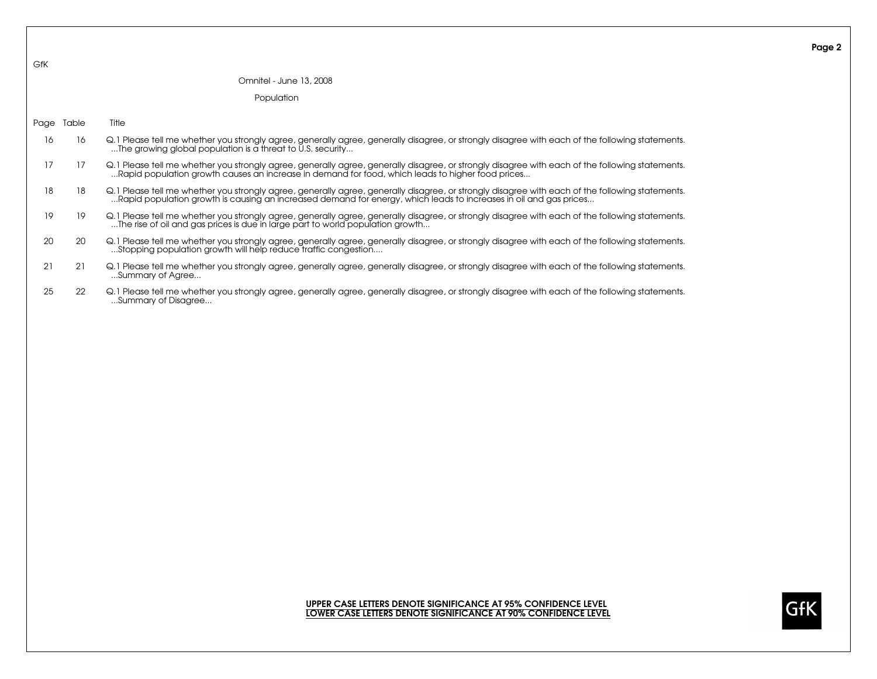Omnitel - June 13, 2008

Population

Page Table Title

- 1616 Q.1 Please tell me whether you strongly agree, generally agree, generally disagree, or strongly disagree with each of the following statements. ...The growing global population is a threat to U.S. security...
- 1717 Q.1 Please tell me whether you strongly agree, generally agree, generally disagree, or strongly disagree with each of the following statements. ...Rapid population growth causes an increase in demand for food, which leads to higher food prices...
- 1818 Q.1 Please tell me whether you strongly agree, generally agree, generally disagree, or strongly disagree with each of the following statements. ...Rapid population growth is causing an increased demand for energy, which leads to increases in oil and gas prices...
- 1919 Q.1 Please tell me whether you strongly agree, generally agree, generally disagree, or strongly disagree with each of the following statements. ...The rise of oil and gas prices is due in large part to world population growth...
- 2020 Q.1 Please tell me whether you strongly agree, generally agree, generally disagree, or strongly disagree with each of the following statements. ...Stopping population growth will help reduce traffic congestion....
- 2121 Q.1 Please tell me whether you strongly agree, generally agree, generally disagree, or strongly disagree with each of the following statements. ...Summary of Agree...
- 2522 Q.1 Please tell me whether you strongly agree, generally agree, generally disagree, or strongly disagree with each of the following statements. ...Summary of Disagree...

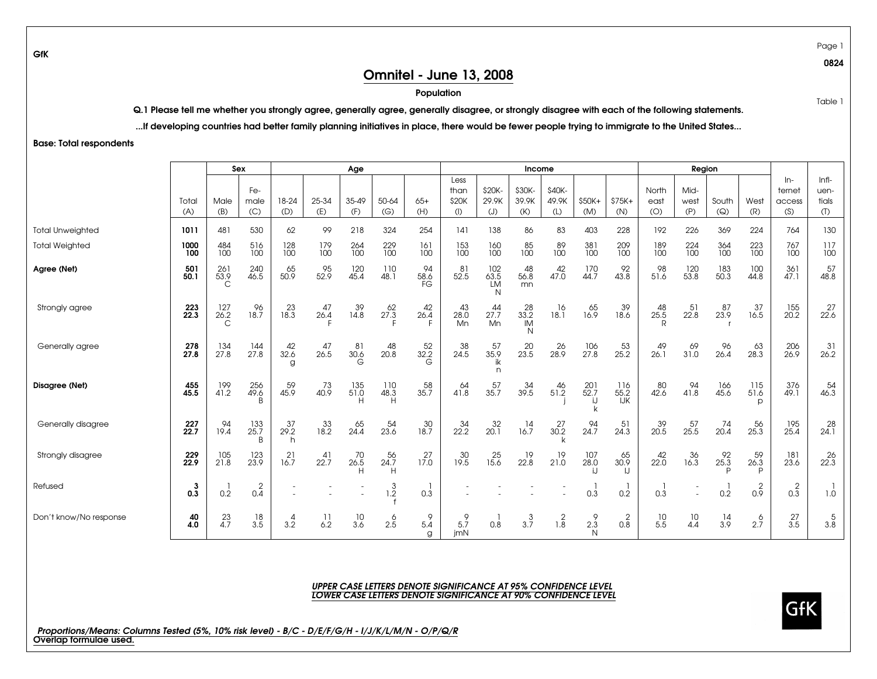## Omnitel - June 13, 2008

#### Population

Q.1 Please tell me whether you strongly agree, generally agree, generally disagree, or strongly disagree with each of the following statements.

...If developing countries had better family planning initiatives in place, there would be fewer people trying to immigrate to the United States...

Base: Total respondents

|                         |                    |                             | Sex                |                       |              | Age                    |                         |                                   |                   |                               | Income                       |                   |                     |                           |                        | Region           |                            |                  |                  |                   |
|-------------------------|--------------------|-----------------------------|--------------------|-----------------------|--------------|------------------------|-------------------------|-----------------------------------|-------------------|-------------------------------|------------------------------|-------------------|---------------------|---------------------------|------------------------|------------------|----------------------------|------------------|------------------|-------------------|
|                         |                    |                             |                    |                       |              |                        |                         |                                   | Less              |                               |                              |                   |                     |                           |                        |                  |                            |                  | $In-$            | $Infl-$           |
|                         | Total              | Male                        | Fe-<br>male        | 18-24                 | 25-34        | 35-49                  | 50-64                   | $65+$                             | than<br>\$20K     | \$20K-<br>29.9K               | \$30K-<br>39.9K              | \$40K-<br>49.9K   | \$50K+              | $$75K+$                   | North<br>east          | Mid-<br>west     | South                      | West             | ternet<br>access | uen-<br>tials     |
|                         | (A)                | (B)                         | (C)                | (D)                   | (E)          | (F)                    | (G)                     | (H)                               | (1)               | (J)                           | (K)                          | (L)               | (M)                 | (N)                       | (O)                    | (P)              | $\left( \mathsf{Q}\right)$ | (R)              | (S)              | (1)               |
| <b>Total Unweighted</b> | 1011               | 481                         | 530                | 62                    | 99           | 218                    | 324                     | 254                               | 141               | 138                           | 86                           | 83                | 403                 | 228                       | 192                    | 226              | 369                        | 224              | 764              | 130               |
| <b>Total Weighted</b>   | 1000<br>100        | 484<br>100                  | 516<br>100         | 128<br>100            | 179<br>100   | 264<br>100             | 229<br>100              | 161<br>100                        | 153<br>100        | 160<br>100                    | 85<br>100                    | 89<br>100         | 381<br>100          | 209<br>100                | 189<br>100             | 224<br>100       | 364<br>100                 | 223<br>100       | 767<br>100       | $\frac{117}{100}$ |
| Agree (Net)             | 501<br>50.1        | 261<br>53.9<br>$\mathsf{C}$ | 240<br>46.5        | 65<br>50.9            | 95<br>52.9   | 120<br>45.4            | 110<br>48.1             | 94<br>58.6<br>FG                  | 81<br>52.5        | 102<br>63.5<br><b>LM</b><br>N | 48<br>56.8<br>mn             | 42<br>47.0        | 170<br>44.7         | 92<br>43.8                | 98<br>51.6             | 120<br>53.8      | 183<br>50.3                | 100<br>44.8      | 361<br>47.1      | $\frac{57}{48.8}$ |
| Strongly agree          | 223<br>22.3        | 127<br>26.2<br>$\mathsf{C}$ | 96<br>18.7         | $\frac{23}{18.3}$     | 47<br>26.4   | 39<br>14.8             | 62<br>27.3              | 42<br>26.4                        | 43<br>28.0<br>Mn  | 44<br>27.7<br>Mn              | $\frac{28}{33.2}$<br>IM<br>N | 16<br>18.1        | $rac{65}{16.9}$     | $39$<br>18.6              | $^{48}_{25.5}$<br>R    | 51<br>22.8       | 87<br>23.9                 | 37<br>16.5       | 155<br>20.2      | $^{27}_{22.6}$    |
| Generally agree         | $\frac{278}{27.8}$ | $\frac{134}{27.8}$          | $\frac{144}{27.8}$ | $rac{42}{32.6}$<br>g  | 47<br>26.5   | $\frac{81}{30.6}$<br>G | 48<br>20.8              | $\frac{52}{32.2}$<br>$\mathsf{G}$ | $38$<br>24.5      | $\frac{57}{35.9}$<br>ik<br>n  | $^{20}_{23.5}$               | $^{26}_{28.9}$    | $\frac{106}{27.8}$  | $\frac{53}{25.2}$         | $49$<br>26.1           | $rac{69}{31.0}$  | $\frac{96}{26.4}$          | 63<br>28.3       | 206<br>26.9      | $\frac{31}{26.2}$ |
| Disagree (Net)          | 455<br>45.5        | 199<br>41.2                 | 256<br>49.6        | 59<br>45.9            | $73$<br>40.9 | $135$<br>51.0<br>H     | $\frac{110}{48.3}$<br>Н | 58<br>35.7                        | 64<br>41.8        | 57<br>35.7                    | $34$<br>39.5                 | $^{46}_{51.2}$    | $201$<br>52.7<br>IJ | 116<br>55.2<br><b>IJK</b> | 80<br>42.6             | 94<br>41.8       | 166<br>45.6                | 115<br>51.6<br>p | 376<br>49.1      | $54$<br>46.3      |
| Generally disagree      | 227<br>22.7        | 94<br>19.4                  | 133<br>25.7<br>B   | 37<br>29.2<br>h       | 33<br>18.2   | 65<br>24.4             | 54<br>23.6              | 30<br>18.7                        | $34$<br>22.2      | 32<br>20.1                    | $\frac{14}{16.7}$            | $\frac{27}{30.2}$ | $94$<br>24.7        | 51<br>24.3                | $\frac{39}{20.5}$      | 57<br>25.5       | 74<br>20.4                 | 56<br>25.3       | 195<br>25.4      | $\frac{28}{24.1}$ |
| Strongly disagree       | 229<br>22.9        | 105<br>21.8                 | $\frac{123}{23.9}$ | $\frac{21}{16.7}$     | 41<br>22.7   | $70$<br>26.5           | $\frac{56}{24.7}$       | $\frac{27}{17.0}$                 | $\frac{30}{19.5}$ | $^{25}_{15.6}$                | $\frac{19}{22.8}$            | 19<br>21.0        | 107<br>28.0         | $rac{65}{30.9}$<br>IJ     | $^{42}_{22.0}$         | $36$<br>16.3     | $\frac{92}{25.3}$          | 59<br>26.3       | 181<br>23.6      | $\frac{26}{22.3}$ |
| Refused                 | 3<br>0.3           | 0.2                         | $0.\overline{4}$   |                       |              |                        | $1.\overline{2}$        | 0.3                               |                   |                               |                              |                   | 0.3                 | 0.2                       | $0.\overline{3}$       |                  | $0.\overline{2}$           | $0.9^{2}$        | $0.\overline{3}$ | $1.\dot{0}$       |
| Don't know/No response  | 40<br>4.0          | $^{23}_{4.7}$               | $\frac{18}{3.5}$   | 4<br>$3.\overline{2}$ | 11<br>6.2    | $\frac{10}{3.6}$       | $^{6}_{2.5}$            | 9<br>5.4<br>a                     | 5.7<br>imN        | 0.8                           | $3.\overline{7}$             | $\frac{2}{1.8}$   | 9<br>2.3<br>N       | $\overline{2}$<br>0.8     | 10<br>$5.\overline{5}$ | $\frac{10}{4.4}$ | $\frac{14}{3.9}$           | 6<br>2.7         | 27<br>3.5        | $rac{5}{3.8}$     |

#### *UPPER CASE LETTERS DENOTE SIGNIFICANCE AT 95% CONFIDENCE LEVELLOWER CASE LETTERS DENOTE SIGNIFICANCE AT 90% CONFIDENCE LEVEL*

*Proportions/Means: Columns Tested (5%, 10% risk level) - B/C - D/E/F/G/H - I/J/K/L/M/N - O/P/Q/R* Overlap formulae used.



Page 1

Table 1

0824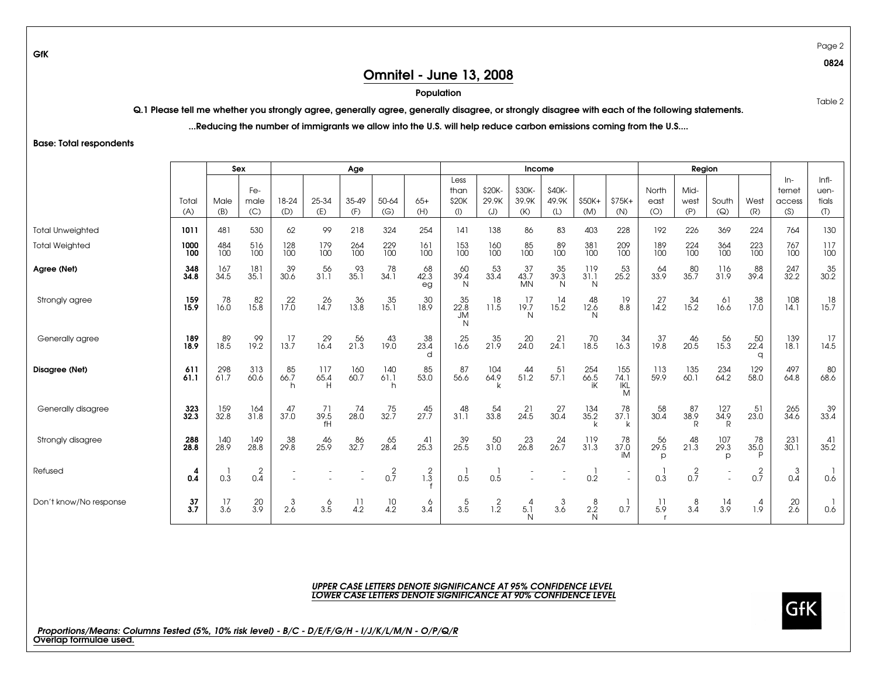## Omnitel - June 13, 2008

#### Population

Q.1 Please tell me whether you strongly agree, generally agree, generally disagree, or strongly disagree with each of the following statements.

...Reducing the number of immigrants we allow into the U.S. will help reduce carbon emissions coming from the U.S....

Base: Total respondents

|                         |                    |                    | Sex                |                   |                       | Age               |                         |                            |                                     |                   | Income                     |                       |                     |                                |                        | Region             |                                    |                   |                 |                   |
|-------------------------|--------------------|--------------------|--------------------|-------------------|-----------------------|-------------------|-------------------------|----------------------------|-------------------------------------|-------------------|----------------------------|-----------------------|---------------------|--------------------------------|------------------------|--------------------|------------------------------------|-------------------|-----------------|-------------------|
|                         |                    |                    | Fe-                |                   |                       |                   |                         |                            | Less<br>than                        | \$20K-            | \$30K-                     | \$40K-                |                     |                                | North                  | Mid-               |                                    |                   | $In-$<br>ternet | $Infl-$<br>uen-   |
|                         | Total<br>(A)       | Male<br>(B)        | male<br>(C)        | 18-24<br>(D)      | 25-34<br>(E)          | 35-49<br>(F)      | 50-64<br>(G)            | $65+$<br>(H)               | \$20K<br>$($ l                      | 29.9K<br>(J)      | 39.9K<br>(K)               | 49.9K<br>(L)          | $$50K+$<br>(M)      | $$75K+$<br>(N)                 | east<br>(O)            | west<br>(P)        | South<br>(Q)                       | West<br>(R)       | access<br>(S)   | tials<br>(1)      |
| <b>Total Unweighted</b> | 1011               | 481                | 530                | 62                | 99                    | 218               | 324                     | 254                        | 141                                 | 138               | 86                         | 83                    | 403                 | 228                            | 192                    | 226                | 369                                | 224               | 764             | 130               |
| <b>Total Weighted</b>   | 1000<br>100        | 484<br>100         | 516<br>100         | 128<br>100        | 179<br>100            | 264<br>100        | 229<br>100              | 161<br>100                 | 153<br>100                          | 160<br>100        | 85<br>100                  | 89<br>100             | 381<br>100          | 209<br>100                     | 189<br>100             | 224<br>100         | 364<br>100                         | 223<br>100        | 767<br>100      | 117<br>100        |
| Agree (Net)             | 348<br>34.8        | 167<br>34.5        | 181<br>35.1        | 39<br>30.6        | 56<br>31.1            | 93<br>35.1        | 78<br>34.1              | 68<br>42.3<br>eg           | 60<br>39.4<br>$\mathsf{N}$          | 53<br>33.4        | 37<br>43.7<br><b>MN</b>    | 35<br>39.3<br>N       | 119<br>31.1<br>N    | 53<br>25.2                     | 64<br>33.9             | 80<br>35.7         | 116<br>31.9                        | 88<br>39.4        | 247<br>32.2     | $35$<br>$30.2$    |
| Strongly agree          | 159<br>15.9        | $78$<br>16.0       | $82$<br>15.8       | 17.0              | $\frac{26}{14.7}$     | $36$<br>$13.8$    | $\frac{35}{15.1}$       | 30<br>18.9                 | $\frac{35}{22.8}$<br><b>JM</b><br>N | $\frac{18}{11.5}$ | $\frac{17}{19.7}$<br>N     | 14<br>15.2            | $^{48}_{12.6}$<br>N | 19<br>8.8                      | $\frac{27}{14.2}$      | $34$<br>15.2       | $^{61}_{16.6}$                     | $\frac{38}{17.0}$ | 108<br>14.1     | $\frac{18}{15.7}$ |
| Generally agree         | 189<br>18.9        | 89<br>18.5         | 99<br>19.2         | 17<br>13.7        | 29<br>16.4            | 56<br>21.3        | 43<br>19.0              | 38<br>23.4<br><sub>d</sub> | 25<br>16.6                          | 35<br>21.9        | 20<br>24.0                 | $\frac{21}{24.1}$     | $\frac{70}{18.5}$   | 34<br>16.3                     | $\frac{37}{19.8}$      | 46<br>20.5         | 56<br>15.3                         | 50<br>22.4<br>a   | 139<br>18.1     | $\frac{17}{14.5}$ |
| Disagree (Net)          | $\frac{611}{61.1}$ | $^{298}_{61.7}$    | $313$<br>60.6      | $85$<br>66.7<br>h | 117<br>65.4<br>H      | $160$<br>60.7     | $\frac{140}{61.1}$<br>h | $85$<br>53.0               | $87$<br>56.6                        | 104<br>64.9       | $\frac{44}{51.2}$          | $\frac{51}{57.1}$     | 254<br>66.5         | $\frac{155}{74.1}$<br>IKL<br>M | 113<br>59.9            | $\frac{135}{60.1}$ | $^{234}_{64.2}$                    | $129$<br>58.0     | 497<br>64.8     | $80$<br>68.6      |
| Generally disagree      | $323$<br>$32.3$    | 159<br>32.8        | $\frac{164}{31.8}$ | 47<br>37.0        | 71<br>39.5<br>fH      | 74<br>28.0        | 75<br>32.7              | 45<br>27.7                 | 48<br>31.1                          | $54$<br>33.8      | $\frac{21}{24.5}$          | $\frac{27}{30.4}$     | $\frac{134}{35.2}$  | 78<br>37.1<br>k                | $\frac{58}{30.4}$      | $87$<br>38.9       | 127<br>34.9<br>R                   | 51<br>23.0        | 265<br>34.6     | $39$<br>$33.4$    |
| Strongly disagree       | 288<br>28.8        | $\frac{140}{28.9}$ | $\frac{149}{28.8}$ | 38<br>29.8        | 46<br>25.9            | $\frac{86}{32.7}$ | $^{65}_{28.4}$          | $^{41}_{25.3}$             | $39$<br>25.5                        | $\frac{50}{31.0}$ | $\frac{23}{26.8}$          | $^{24}_{26.7}$        | 119<br>31.3         | $\frac{78}{37.0}$<br>iM        | $\frac{56}{29.5}$<br>p | $^{48}_{21.3}$     | $\frac{107}{29.3}$<br>$\mathsf{D}$ | 78<br>35.0<br>D   | 231<br>30.1     | $^{41}_{35.2}$    |
| Refused                 | 4<br>0.4           | 0.3                | 2<br>0.4           |                   |                       |                   | $\overline{2}$<br>0.7   | $\frac{2}{1.3}$            | 0.5                                 | 0.5               |                            |                       | 0.2                 |                                | 0.3                    | $0.7^{2}$          |                                    | 2<br>0.7          | 3<br>0.4        | 0.6               |
| Don't know/No response  | 37<br>3.7          | 17<br>3.6          | 20<br>3.9          | 3<br>2.6          | 6<br>$3.\overline{5}$ | 11<br>4.2         | 10<br>4.2               | 6<br>$3.\overline{4}$      | $rac{5}{3.5}$                       | $1.2^{2}$         | $\overline{4}$<br>5.1<br>N | 3<br>$3.\overline{6}$ | $^{8}_{2.2}$<br>N   | 0.7                            | 11<br>5.9              | 8<br>3.4           | 14<br>3.9                          | 4<br>1.9          | 20<br>2.6       | 0.6               |

#### *UPPER CASE LETTERS DENOTE SIGNIFICANCE AT 95% CONFIDENCE LEVELLOWER CASE LETTERS DENOTE SIGNIFICANCE AT 90% CONFIDENCE LEVEL*



Page 2

0824

Table 2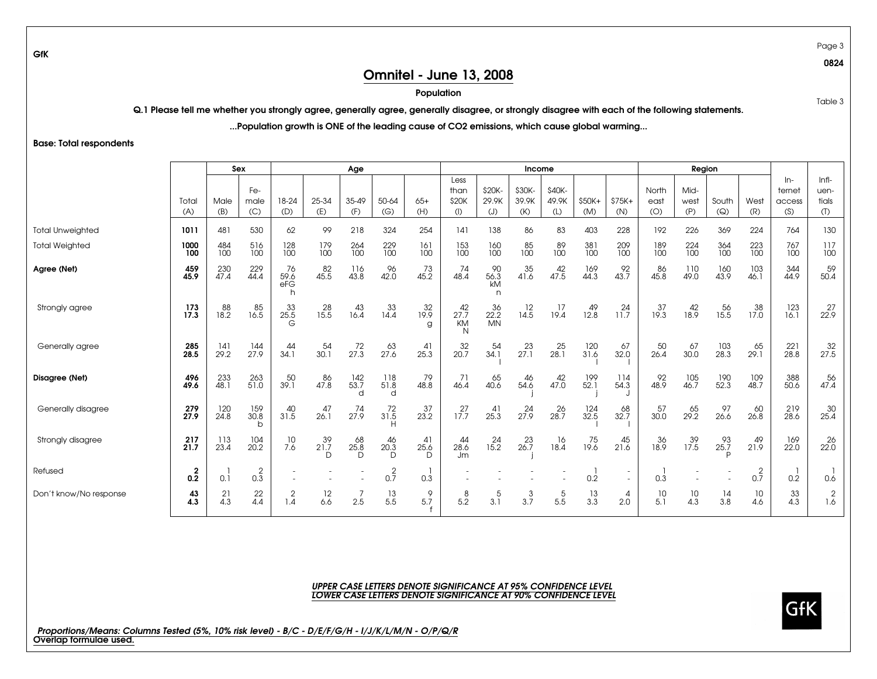## Omnitel - June 13, 2008

Population

Q.1 Please tell me whether you strongly agree, generally agree, generally disagree, or strongly disagree with each of the following statements.

...Population growth is ONE of the leading cause of CO2 emissions, which cause global warming...

Base: Total respondents

|                         |                                |                    | Sex                         |                          |                   | Age                     |                         |                 |                           |                           | Income            |                   |                    |                 |                   | Region             |                    |                       |                 |                   |
|-------------------------|--------------------------------|--------------------|-----------------------------|--------------------------|-------------------|-------------------------|-------------------------|-----------------|---------------------------|---------------------------|-------------------|-------------------|--------------------|-----------------|-------------------|--------------------|--------------------|-----------------------|-----------------|-------------------|
|                         |                                |                    | Fe-                         |                          |                   |                         |                         |                 | Less<br>than              | \$20K-                    | \$30K-            | \$40K-            |                    |                 | North             | Mid-               |                    |                       | $In-$<br>ternet | $Infl-$<br>uen-   |
|                         | Total<br>(A)                   | Male<br>(B)        | male<br>(C)                 | 18-24<br>(D)             | 25-34<br>(E)      | 35-49<br>(F)            | 50-64<br>(G)            | $65+$<br>(H)    | \$20K<br>$($ l $)$        | 29.9K<br>(J)              | 39.9K<br>(K)      | 49.9K<br>(L)      | $$50K+$<br>(M)     | $$75K+$<br>(N)  | east<br>(O)       | west<br>(P)        | South<br>(Q)       | West<br>(R)           | access<br>(S)   | tials<br>(1)      |
| <b>Total Unweighted</b> | 1011                           | 481                | 530                         | 62                       | 99                | 218                     | 324                     | 254             | 141                       | 138                       | 86                | 83                | 403                | 228             | 192               | 226                | 369                | 224                   | 764             | 130               |
| <b>Total Weighted</b>   | 1000<br>100                    | 484<br>100         | 516<br>100                  | 128<br>100               | 179<br>100        | 264<br>100              | 229<br>$\overline{100}$ | 161<br>100      | 153<br>100                | 160<br>100                | $\frac{85}{100}$  | 89<br>100         | 381<br>100         | 209<br>100      | 189<br>100        | 224<br>100         | 364<br>100         | 223<br>100            | 767<br>100      | 117<br>100        |
| Agree (Net)             | 459<br>45.9                    | 230<br>47.4        | 229<br>44.4                 | 76<br>$59.6$<br>eFG<br>h | 82<br>45.5        | 116<br>43.8             | 96<br>42.0              | 73<br>45.2      | 74<br>48.4                | 90<br>56.3<br>kM<br>n     | 35<br>41.6        | 42<br>47.5        | 169<br>44.3        | 92<br>43.7      | 86<br>45.8        | 110<br>49.0        | 160<br>43.9        | 103<br>46.1           | 344<br>44.9     | $59$<br>50.4      |
| Strongly agree          | 173<br>17.3                    | 88<br>18.2         | $85$ 16.5                   | $33$<br>25.5<br>G        | $^{28}_{15.5}$    | 43<br>16.4              | 33<br>14.4              | 32<br>19.9<br>g | $^{42}_{27.7}$<br>KM<br>N | $36$<br>22.2<br><b>MN</b> | $\frac{12}{14.5}$ | 17<br>19.4        | 49<br>12.8         | $^{24}_{11.7}$  | $\frac{37}{19.3}$ | 42<br>18.9         | 56<br>15.5         | 38<br>17.0            | 123<br>16.1     | $^{27}_{22.9}$    |
| Generally agree         | $285$<br>$28.5$                | $\frac{141}{29.2}$ | $\frac{144}{27.9}$          | 44<br>34.1               | $\frac{54}{30.1}$ | $^{72}_{27.3}$          | $^{63}_{27.6}$          | $^{41}_{25.3}$  | $\frac{32}{20.7}$         | $\frac{54}{34.1}$         | $\frac{23}{27.1}$ | $\frac{25}{28.1}$ | $\frac{120}{31.6}$ | $rac{67}{32.0}$ | $\frac{50}{26.4}$ | $rac{67}{30.0}$    | $\frac{103}{28.3}$ | $^{65}_{29.1}$        | $^{221}_{28.8}$ | $\frac{32}{27.5}$ |
| Disagree (Net)          | 496<br>49.6                    | 233<br>48.1        | $^{263}_{51.0}$             | $\frac{50}{39.1}$        | $^{86}_{47.8}$    | $\frac{142}{53.7}$<br>d | 118<br>51.8<br>d        | 79<br>48.8      | -71<br>46.4               | 65<br>40.6                | 46<br>54.6        | 42<br>47.0        | 199<br>52.1        | 114<br>54.3     | $^{92}_{48.9}$    | $\frac{105}{46.7}$ | 190<br>52.3        | 109<br>48.7           | 388<br>50.6     | $\frac{56}{47.4}$ |
| Generally disagree      | 279<br>27.9                    | 120<br>24.8        | 159<br>30.8<br>$\mathsf{b}$ | 40<br>31.5               | 47<br>26.1        | 74<br>27.9              | 72<br>31.5              | 37<br>23.2      | 27<br>17.7                | 41<br>25.3                | $^{24}_{27.9}$    | $26$<br>28.7      | $\frac{124}{32.5}$ | 68<br>32.7      | 57<br>30.0        | 65<br>29.2         | 97<br>26.6         | 60<br>26.8            | 219<br>28.6     | $\frac{30}{25.4}$ |
| Strongly disagree       | 217<br>21.7                    | 113<br>23.4        | $\frac{104}{20.2}$          | $\frac{10}{7.6}$         | $39$<br>21.7<br>D | $^{68}_{25.8}$<br>D     | $^{46}_{20.3}$<br>D     | 41<br>25.6<br>D | 44<br>28.6<br>Jm          | $\frac{24}{15.2}$         | $\frac{23}{26.7}$ | 16<br>18.4        | 75<br>19.6         | 45<br>21.6      | $36$<br>18.9      | $39$<br>17.5       | $93$<br>25.7<br>D  | 49<br>21.9            | 169<br>22.0     | $^{26}_{22.0}$    |
| Refused                 | $\overline{\mathbf{2}}$<br>0.2 | 0.1                | $\overline{c}$<br>0.3       |                          |                   |                         | $\overline{2}$<br>0.7   | 0.3             |                           |                           |                   |                   | 0.2                | $\sim$          | 0.3               |                    |                    | $\overline{2}$<br>0.7 | 0.2             | 0.6               |
| Don't know/No response  | 43<br>4.3                      | $^{21}_{4.3}$      | 22<br>4.4                   | $\overline{2}$<br>1.4    | $\frac{12}{6.6}$  | $\frac{7}{2.5}$         | $\frac{13}{5.5}$        | 9<br>5.7        | $rac{8}{5.2}$             | 5<br>3.1                  | 3.7               | $\frac{5}{5.5}$   | $\frac{13}{3.3}$   | 4<br>2.0        | $\frac{10}{5.1}$  | $\frac{10}{4.3}$   | $\frac{14}{3.8}$   | 10<br>4.6             | 33<br>4.3       | $\frac{2}{1.6}$   |

#### *UPPER CASE LETTERS DENOTE SIGNIFICANCE AT 95% CONFIDENCE LEVELLOWER CASE LETTERS DENOTE SIGNIFICANCE AT 90% CONFIDENCE LEVEL*



Page 3

Table 3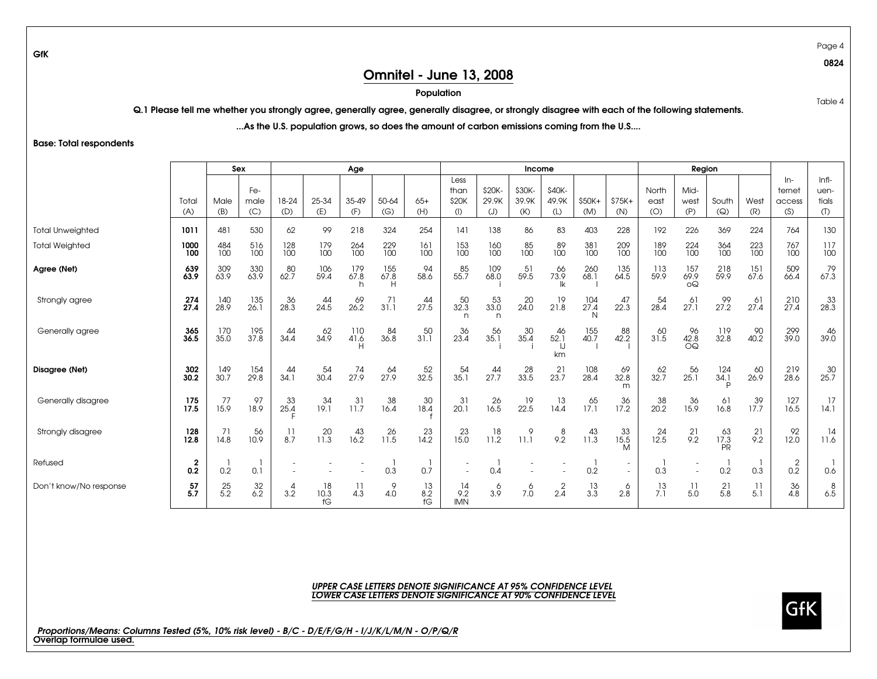Page 4 0824

Table 4

## Omnitel - June 13, 2008

#### Population

Q.1 Please tell me whether you strongly agree, generally agree, generally disagree, or strongly disagree with each of the following statements.

...As the U.S. population grows, so does the amount of carbon emissions coming from the U.S....

Base: Total respondents

|                         |                  | Sex                |                    |                                    |                         | Age               |                  |                        |                                |                                   | Income          |                        |                         |                                    |                   | Region               |                   |                |                           |                                   |
|-------------------------|------------------|--------------------|--------------------|------------------------------------|-------------------------|-------------------|------------------|------------------------|--------------------------------|-----------------------------------|-----------------|------------------------|-------------------------|------------------------------------|-------------------|----------------------|-------------------|----------------|---------------------------|-----------------------------------|
|                         | Total<br>(A)     | Male               | Fe-<br>male<br>(C) | 18-24                              | 25-34<br>(E)            | 35-49             | 50-64<br>(G)     | $65+$                  | Less<br>than<br>\$20K          | \$20K-<br>29.9K                   | \$30K-<br>39.9K | \$40K-<br>49.9K        | \$50K+<br>(M)           | $$75K+$                            | North<br>east     | Mid-<br>west         | South             | West<br>(R)    | $ln-$<br>ternet<br>access | $Infl-$<br>uen-<br>tials          |
| <b>Total Unweighted</b> | 1011             | (B)<br>481         | 530                | (D)<br>62                          | 99                      | (F)<br>218        | 324              | (H)<br>254             | (<br>141                       | (J)<br>138                        | (K)<br>86       | (L)<br>83              | 403                     | (N)<br>228                         | (O)<br>192        | (P)<br>226           | (Q)<br>369        | 224            | (S)<br>764                | $\left( \mathrm{L}\right)$<br>130 |
| <b>Total Weighted</b>   | 1000<br>100      | 484<br>100         | 516<br>100         | 128<br>100                         | 179<br>100              | 264<br>100        | 229<br>100       | 161<br>100             | 153<br>100                     | 160<br>100                        | 85<br>100       | 89<br>100              | 381<br>100              | 209<br>100                         | 189<br>100        | 224<br>100           | 364<br>100        | 223<br>100     | 767<br>100                | 117<br>100                        |
| Agree (Net)             | 639<br>63.9      | 309<br>63.9        | 330<br>63.9        | 80<br>62.7                         | 106<br>59.4             | 179<br>67.8<br>h. | 155<br>67.8      | 94<br>58.6             | 85<br>55.7                     | 109<br>68.0                       | 51<br>59.5      | 66<br>73.9             | 260<br>68.1             | 135<br>64.5                        | 113<br>59.9       | 157<br>69.9<br>0Q    | 218<br>59.9       | 151<br>67.6    | 509<br>66.4               | 79<br>67.3                        |
| Strongly agree          | $^{274}_{27.4}$  | 140<br>28.9        | $\frac{135}{26.1}$ | $36$<br>28.3                       | $^{44}_{24.5}$          | $^{69}_{26.2}$    | 71<br>31.1       | $^{44}_{27.5}$         | $\frac{50}{32.3}$<br>n         | $\frac{53}{33.0}$<br>$\mathsf{n}$ | $^{20}_{24.0}$  | 19<br>21.8             | $\frac{104}{27.4}$<br>N | $^{47}_{22.3}$                     | $\frac{54}{28.4}$ | $^{61}_{27.1}$       | $\frac{99}{27.2}$ | $^{61}_{27.4}$ | $^{210}_{27.4}$           | $\frac{33}{28.3}$                 |
| Generally agree         | 365<br>36.5      | 170<br>35.0        | 195<br>37.8        | 44<br>34.4                         | 62<br>34.9              | 110<br>41.6<br>H  | 84<br>36.8       | 50<br>31.1             | 36<br>23.4                     | $\frac{56}{35.1}$                 | 30<br>35.4      | 46<br>52.1<br>IJ<br>km | 155<br>40.7             | 88<br>42.2                         | 60<br>31.5        | $^{96}_{42.8}$<br>OQ | 119<br>32.8       | 90<br>40.2     | 299<br>39.0               | $\frac{46}{39.0}$                 |
| Disagree (Net)          | $302$<br>$30.2$  | $\frac{149}{30.7}$ | 154<br>29.8        | 44<br>34.1                         | $\frac{54}{30.4}$       | $^{74}_{27.9}$    | $^{64}_{27.9}$   | $\frac{52}{32.5}$      | $\frac{54}{35.1}$              | $^{44}_{27.7}$                    | 33.5            | $\frac{21}{23.7}$      | $\frac{108}{28.4}$      | $rac{69}{32.8}$<br>m               | $rac{62}{32.7}$   | $\frac{56}{25.1}$    | 124<br>34.1<br>P  | $^{60}_{26.9}$ | 219<br>28.6               | $\frac{30}{25.7}$                 |
| Generally disagree      | 175<br>17.5      | 77<br>15.9         | 97<br>18.9         | 33<br>25.4                         | 34<br>19.1              | 31<br>11.7        | 38<br>16.4       | 30<br>18.4             | 31<br>20.1                     | $^{26}_{16.5}$                    | 19<br>22.5      | 13<br>14.4             | 65<br>17.1              | 36<br>17.2                         | 38<br>20.2        | 36<br>15.9           | 61<br>16.8        | 39<br>17.7     | 127<br>16.5               | 17<br>14.1                        |
| Strongly disagree       | 128<br>12.8      | 71<br>14.8         | 56<br>10.9         | 11<br>8.7                          | 20<br>11.3              | 43<br>16.2        | 26<br>11.5       | 23<br>14.2             | 23<br>15.0                     | 18<br>11.2                        | 9<br>11.1       | 8<br>9.2               | 43<br>11.3              | 33<br>15.5<br>M                    | $\frac{24}{12.5}$ | $^{21}_{9.2}$        | 63<br>17.3<br>PR  | 21<br>9.2      | 92<br>12.0                | 14<br>11.6                        |
| Refused                 | $0.\overline{2}$ | 0.2                | 0.1                |                                    |                         |                   | 0.3              | 0.7                    |                                | 0.4                               |                 |                        | 0.2                     | $\overline{\phantom{a}}$<br>$\sim$ | 0.3               |                      | $0.\overline{2}$  | 0.3            | $0.\overline{2}$          | $0.\dot{6}$                       |
| Don't know/No response  | 57<br>5.7        | $^{25}_{5.2}$      | $\frac{32}{6.2}$   | $\overline{4}$<br>$3.\overline{2}$ | $\frac{18}{10.3}$<br>fG | 11<br>4.3         | 9<br>$4.\dot{0}$ | $\frac{13}{8.2}$<br>fG | $\frac{14}{9.2}$<br><b>IMN</b> | $rac{6}{3.9}$                     | $7.0^{6}$       | $2.\overline{4}$       | $\frac{13}{3.3}$        | 2.8                                | $\frac{13}{7.1}$  | $\frac{11}{5.0}$     | $^{21}_{5.8}$     | -11<br>5.1     | 36<br>4.8                 | $6.\overline{5}$                  |

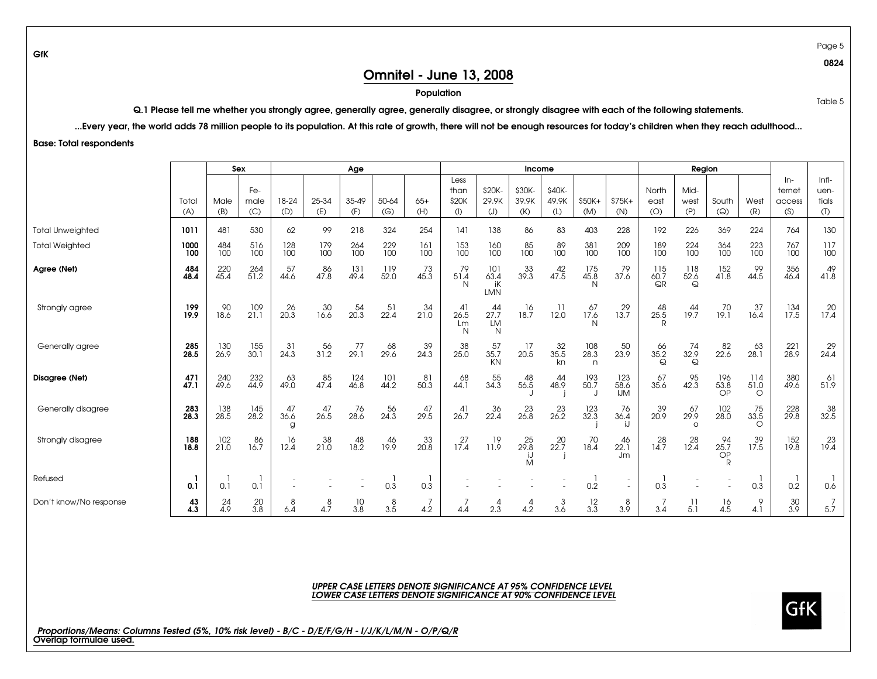Page 5 0824

Table 5

## Omnitel - June 13, 2008

#### Population

Q.1 Please tell me whether you strongly agree, generally agree, generally disagree, or strongly disagree with each of the following statements.

...Every year, the world adds 78 million people to its population. At this rate of growth, there will not be enough resources for today's children when they reach adulthood...

Base: Total respondents

|                         |              |                    | Sex                |                   |                   | Age               |                |                   |                       |                              | Income              |                    |                                    |                         |                              | Region                      |                           |                        |                 |                |
|-------------------------|--------------|--------------------|--------------------|-------------------|-------------------|-------------------|----------------|-------------------|-----------------------|------------------------------|---------------------|--------------------|------------------------------------|-------------------------|------------------------------|-----------------------------|---------------------------|------------------------|-----------------|----------------|
|                         |              |                    | Fe-                |                   |                   |                   |                |                   | Less<br>than          | \$20K-                       | \$30K-              | \$40K-             |                                    |                         | North                        | Mid-                        |                           |                        | $In-$<br>ternet | Infl-<br>uen-  |
|                         | Total<br>(A) | Male<br>(B)        | male<br>(C)        | 18-24<br>(D)      | 25-34<br>(E)      | 35-49<br>(F)      | 50-64<br>(G)   | $65+$<br>(H)      | \$20K<br>$($ l $)$    | 29.9K<br>(J)                 | 39.9K<br>(K)        | 49.9K<br>(L)       | $$50K+$<br>(M)                     | $$75K+$<br>(N)          | east<br>(O)                  | west<br>(P)                 | South<br>(Q)              | West<br>(R)            | access<br>(S)   | tials<br>(1)   |
| <b>Total Unweighted</b> | 1011         | 481                | 530                | 62                | 99                | 218               | 324            | 254               | 141                   | 138                          | 86                  | 83                 | 403                                | 228                     | 192                          | 226                         | 369                       | 224                    | 764             | 130            |
| <b>Total Weighted</b>   | 1000<br>100  | 484<br>100         | 516<br>100         | 128<br>100        | 179<br>100        | 264<br>100        | 229<br>100     | 161<br>100        | 153<br>100            | 160<br>100                   | 85<br>100           | 89<br>100          | 381<br>100                         | 209<br>100              | 189<br>100                   | 224<br>100                  | 364<br>100                | 223<br>100             | 767<br>100      | 117<br>100     |
| Agree (Net)             | 484<br>48.4  | $^{220}_{45.4}$    | $^{264}_{51.2}$    | 57<br>44.6        | 86<br>47.8        | 131<br>49.4       | 119<br>52.0    | 73<br>45.3        | 79<br>51.4<br>N       | 101<br>63.4<br>ik<br>LMN     | $33$<br>39.3        | $^{42}_{47.5}$     | $175$<br>45.8<br>N                 | 79<br>37.6              | $\frac{115}{60.7}$<br>QR     | 118<br>52.6<br>$\mathsf{Q}$ | $\frac{152}{41.8}$        | 99<br>44.5             | 356<br>46.4     | $^{49}_{41.8}$ |
| Strongly agree          | 199<br>19.9  | 90<br>18.6         | 109<br>21.1        | 26<br>20.3        | 30<br>16.6        | 54<br>20.3        | 51<br>22.4     | 34<br>21.0        | 41<br>26.5<br>Lm<br>N | 44<br>27.7<br><b>LM</b><br>N | 16<br>18.7          | 11<br>12.0         | 67<br>17.6<br>N                    | 29<br>13.7              | 48<br>25.5<br>$\overline{R}$ | 44<br>19.7                  | 70<br>19.1                | 37<br>16.4             | 134<br>17.5     | $^{20}_{17.4}$ |
| Generally agree         | 285<br>28.5  | $\frac{130}{26.9}$ | $\frac{155}{30.1}$ | $\frac{31}{24.3}$ | $\frac{56}{31.2}$ | 77<br>29.1        | $^{68}_{29.6}$ | $39$<br>24.3      | $38$<br>25.0          | $\frac{57}{35.7}$<br>KN      | 17<br>20.5          | $32$<br>35.5<br>kn | $\frac{108}{28.3}$<br>$\mathsf{n}$ | $\frac{50}{23.9}$       | $rac{66}{35.2}$<br>$\Omega$  | $74$<br>32.9<br>$\mathsf Q$ | $82$<br>22.6              | $^{63}_{28.1}$         | $^{221}_{28.9}$ | $^{29}_{24.4}$ |
| Disagree (Net)          | 471<br>47.   | 240<br>49.6        | 232<br>44.9        | 63<br>49.0        | 85<br>47.4        | 124<br>46.8       | 101<br>44.2    | 81<br>50.3        | 68<br>44.1            | 55<br>34.3                   | $48$<br>56.5        | 44<br>48.9         | 193<br>50.7                        | 123<br>58.6<br>IJM      | 67<br>35.6                   | $95$<br>42.3                | 196<br>53.8<br>OP         | 114<br>51.0<br>$\circ$ | 380<br>49.6     | $61$<br>51.9   |
| Generally disagree      | 283<br>28.3  | 138<br>28.5        | $\frac{145}{28.2}$ | 47<br>36.6<br>g   | 47<br>26.5        | 76<br>28.6        | 56<br>24.3     | 47<br>29.5        | 41<br>26.7            | $36$<br>22.4                 | $\frac{23}{26.8}$   | $^{23}_{26.2}$     | $\frac{123}{32.3}$                 | 76<br>36.4<br>i.J       | 39<br>20.9                   | $67$<br>29.9<br>$\circ$     | 102<br>28.0               | 75<br>33.5<br>$\circ$  | 228<br>29.8     | $38$<br>32.5   |
| Strongly disagree       | 188<br>18.8  | $\frac{102}{21.0}$ | 86<br>16.7         | 16<br>12.4        | $38$<br>21.0      | $\frac{48}{18.2}$ | 46<br>19.9     | $\frac{33}{20.8}$ | $\frac{27}{17.4}$     | $\frac{19}{11.9}$            | $^{25}_{29.8}$<br>M | $^{20}_{22.7}$     | $\frac{70}{18.4}$                  | 46<br>22.1<br><b>Jm</b> | $\frac{28}{14.7}$            | $^{28}_{12.4}$              | $\frac{94}{25.7}$ OP<br>R | $\frac{39}{17.5}$      | 152<br>19.8     | $^{23}_{19.4}$ |
| Refused                 | 0.1          | 0.1                | 0.1                |                   |                   |                   | 0.3            | 0.3               |                       |                              |                     |                    | 0.2                                |                         | 0.3                          |                             |                           | 0.3                    | 0.2             | 0.6            |
| Don't know/No response  | 43<br>4.3    | 24<br>4.9          | 20<br>3.8          | 8<br>6.4          | 8<br>4.7          | $\frac{10}{3.8}$  | 8<br>3.5       | 4.2               | 7<br>4.4              | 4<br>2.3                     | 4.2                 | 3<br>3.6           | $\frac{12}{3.3}$                   | 8<br>3.9                | 3.4                          | 5.1                         | 16<br>4.5                 | 9<br>4.1               | 30<br>3.9       | 7<br>5.7       |



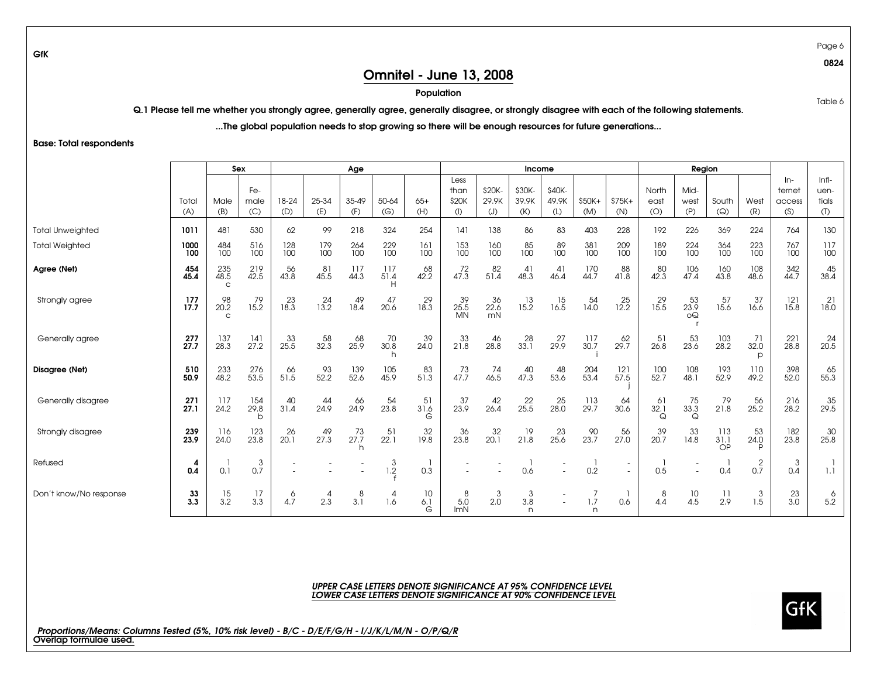Page 6 0824

Table 6

## Omnitel - June 13, 2008

#### Population

Q.1 Please tell me whether you strongly agree, generally agree, generally disagree, or strongly disagree with each of the following statements.

...The global population needs to stop growing so there will be enough resources for future generations...

Base: Total respondents

|                         |              |                            | Sex                         |                       |                   | Age                    |                                 |                       |                           |                       | Income                |                   |                    |                    |                       | Region                   |                                                  |                       |                 |                   |
|-------------------------|--------------|----------------------------|-----------------------------|-----------------------|-------------------|------------------------|---------------------------------|-----------------------|---------------------------|-----------------------|-----------------------|-------------------|--------------------|--------------------|-----------------------|--------------------------|--------------------------------------------------|-----------------------|-----------------|-------------------|
|                         |              |                            | Fe-                         |                       |                   |                        |                                 |                       | Less<br>than              | \$20K-                | \$30K-                | \$40K-            |                    |                    | North                 | Mid-                     |                                                  |                       | $ln-$<br>ternet | $Infl-$<br>uen-   |
|                         | Total<br>(A) | Male<br>(B)                | male<br>(C)                 | 18-24<br>(D)          | 25-34<br>(E)      | 35-49<br>(F)           | 50-64<br>(G)                    | $65+$<br>(H)          | \$20K<br>$($ l $)$        | 29.9K<br>(J)          | 39.9K<br>(K)          | 49.9K<br>(L)      | $$50K+$<br>(M)     | $$75K+$<br>(N)     | east<br>(O)           | west<br>(P)              | South<br>(Q)                                     | West<br>(R)           | access<br>(S)   | tials<br>$\sigma$ |
| <b>Total Unweighted</b> | 1011         | 481                        | 530                         | 62                    | 99                | 218                    | 324                             | 254                   | 141                       | 138                   | 86                    | 83                | 403                | 228                | 192                   | 226                      | 369                                              | 224                   | 764             | 130               |
| <b>Total Weighted</b>   | 1000<br>100  | 484<br>100                 | 516<br>100                  | 128<br>100            | 179<br>100        | 264<br>100             | 229<br>100                      | 161<br>100            | 153<br>100                | 160<br>100            | 85<br>100             | 89<br>100         | 381<br>100         | 209<br>100         | 189<br>100            | 224<br>$\overline{100}$  | 364<br>100                                       | 223<br>100            | 767<br>100      | 117<br>100        |
| Agree (Net)             | 454<br>45.4  | 235<br>48.5<br>$\mathbf C$ | 219<br>42.5                 | 56<br>43.8            | 81<br>45.5        | 117<br>44.3            | 117<br>51.4                     | 68<br>42.2            | $72 \overline{47.3}$      | 82<br>51.4            | 41<br>48.3            | 4 <br>46.4        | 170<br>44.7        | 88<br>41.8         | 80<br>42.3            | 106<br>47.4              | 160<br>43.8                                      | 108<br>48.6           | 342<br>44.7     | 45<br>38.4        |
| Strongly agree          | 177<br>17.7  | 98<br>20.2<br>$\mathbf C$  | $79$<br>15.2                | $\frac{23}{18.3}$     | $\frac{24}{13.2}$ | 49<br>18.4             | 47<br>20.6                      | $^{29}_{18.3}$        | $39$<br>25.5<br><b>MN</b> | $36$<br>22.6<br>mN    | $\frac{13}{15.2}$     | $\frac{15}{16.5}$ | $\frac{54}{14.0}$  | $^{25}_{12.2}$     | 15.5                  | $\frac{53}{23.9}$<br>0Q  | 57<br>15.6                                       | 37<br>16.6            | 121<br>15.8     | $\frac{21}{18.0}$ |
| Generally agree         | 277<br>27.7  | 137<br>28.3                | 141<br>27.2                 | 33<br>25.5            | 58<br>32.3        | 68<br>25.9             | 70<br>30.8                      | 39<br>24.0            | 33<br>21.8                | 46<br>28.8            | 28<br>33.1            | 27<br>29.9        | 117<br>30.7        | 62<br>29.7         | 51<br>26.8            | 53<br>23.6               | 103<br>28.2                                      | -71<br>32.0<br>D      | 221<br>28.8     | $^{24}_{20.5}$    |
| Disagree (Net)          | 510<br>50.9  | 233<br>48.2                | 276<br>53.5                 | $66$<br>51.5          | $\frac{93}{52.2}$ | 139<br>52.6            | 105<br>45.9                     | $83$ <sub>51.3</sub>  | $73$<br>47.7              | $74$<br>46.5          | $^{40}_{47.3}$        | $48$<br>53.6      | 204<br>53.4        | $\frac{121}{57.5}$ | $\frac{100}{52.7}$    | 108<br>48.1              | 193<br>52.9                                      | $\frac{110}{49.2}$    | 398<br>52.0     | $65$<br>55.3      |
| Generally disagree      | 271<br>27.1  | 117<br>24.2                | 154<br>29.8<br>$\mathsf{b}$ | 40<br>31.4            | 44<br>24.9        | 66<br>24.9             | 54<br>23.8                      | 51<br>31.6<br>G       | 37<br>23.9                | 42<br>26.4            | $^{22}_{25.5}$        | $^{25}_{28.0}$    | $\frac{113}{29.7}$ | 64<br>30.6         | 61<br>32.1<br>$\circ$ | $75$<br>33.3<br>$\Omega$ | 79<br>21.8                                       | 56<br>25.2            | 216<br>28.2     | $\frac{35}{29.5}$ |
| Strongly disagree       | 239<br>23.9  | 116<br>24.0                | $\frac{123}{23.8}$          | 26<br>20.1            | $^{49}_{27.3}$    | $\frac{73}{27.7}$<br>h | 51<br>22.1                      | 32<br>19.8            | 36<br>23.8                | 32<br>20.1            | 19<br>21.8            | 23<br>25.6        | 90<br>23.7         | 56<br>27.0         | 39<br>20.7            | 33<br>14.8               | $\begin{array}{c} 113 \\ 31.1 \\ OP \end{array}$ | 53<br>24.0<br>P       | 182<br>23.8     | $\frac{30}{25.8}$ |
| Refused                 | Δ<br>0.4     | 0.1                        | $0.\overline{7}$            |                       |                   |                        | 3<br>1.2                        | 0.3                   |                           |                       | 0.6                   |                   | 0.2                |                    | 0.5                   |                          | 0.4                                              | $0.\overline{7}$      | 3<br>0.4        | 1.1               |
| Don't know/No response  | 33<br>3.3    | $\frac{15}{3.2}$           | 17<br>3.3                   | 6<br>$4.\overline{7}$ | 4<br>2.3          | 8<br>3.1               | $\overline{\mathcal{L}}$<br>1.6 | $\frac{10}{6.1}$<br>G | 8<br>5.0<br>ImN           | 3<br>$2.\overline{0}$ | 3<br>$3.\bar{8}$<br>n |                   | 1.7<br>n           | 0.6                | 8<br>4.4              | $\frac{10}{4.5}$         | 11<br>2.9                                        | 3<br>$1.\overline{5}$ | $^{23}_{3.0}$   | 6.2               |



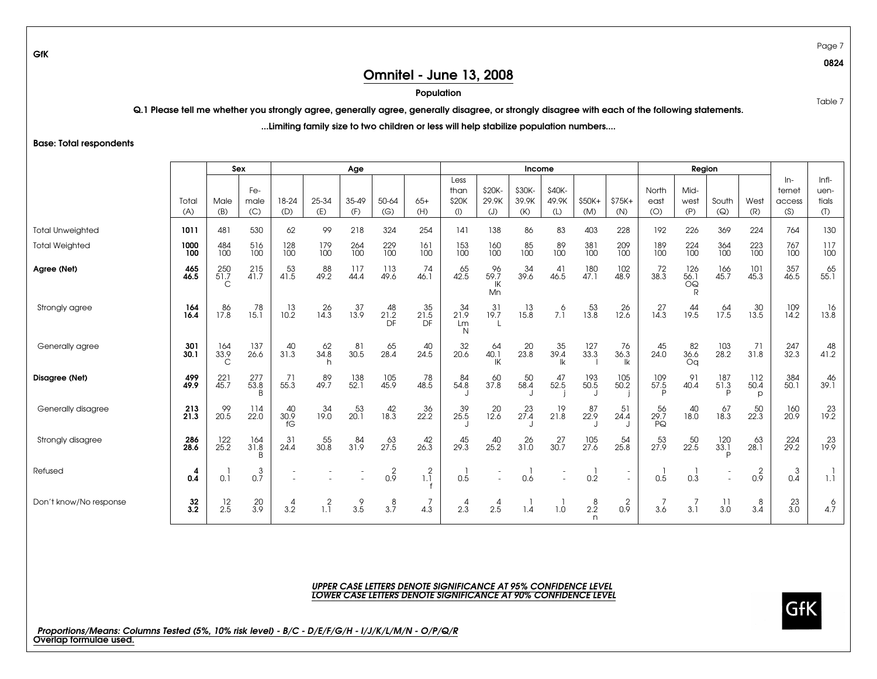## Omnitel - June 13, 2008

Population

Q.1 Please tell me whether you strongly agree, generally agree, generally disagree, or strongly disagree with each of the following statements.

...Limiting family size to two children or less will help stabilize population numbers....

Base: Total respondents

|                         |                 |                             | Sex                         |                       |                       | Age                |                       |                    |                       |                        | Income            |                      |                             |                    |                         | Region                       |                         |                  |                           |                          |
|-------------------------|-----------------|-----------------------------|-----------------------------|-----------------------|-----------------------|--------------------|-----------------------|--------------------|-----------------------|------------------------|-------------------|----------------------|-----------------------------|--------------------|-------------------------|------------------------------|-------------------------|------------------|---------------------------|--------------------------|
|                         | Total           | Male                        | Fe-<br>male                 | 18-24                 | 25-34                 | 35-49              | 50-64                 | $65+$              | Less<br>than<br>\$20K | \$20K-<br>29.9K        | \$30K-<br>39.9K   | \$40K-<br>49.9K      | $$50K+$                     | $$75K+$            | North<br>east           | Mid-<br>west                 | South                   | West             | $In-$<br>ternet<br>access | $Infl-$<br>uen-<br>tials |
|                         | (A)             | (B)                         | (C)                         | (D)                   | (E)                   | (F)                | (G)                   | (H)                | $($ l                 | (J)                    | (K)               | (L)                  | (M)                         | (N)                | (O)                     | (P)                          | (Q)                     | (R)              | (S)                       | (1)                      |
| <b>Total Unweighted</b> | 1011            | 481                         | 530                         | 62                    | 99                    | 218                | 324                   | 254                | 141                   | 138                    | 86                | 83                   | 403                         | 228                | 192                     | 226                          | 369                     | 224              | 764                       | 130                      |
| <b>Total Weighted</b>   | 1000<br>100     | 484<br>100                  | 516<br>100                  | 128<br>100            | 179<br>100            | 264<br>100         | 229<br>100            | 161<br>100         | 153<br>100            | 160<br>100             | 85<br>100         | 89<br>100            | 381<br>100                  | 209<br>100         | 189<br>100              | 224<br>100                   | 364<br>100              | 223<br>100       | 767<br>100                | 117<br>100               |
| Agree (Net)             | 465<br>46.5     | 250<br>51.7<br>C            | 215<br>41.7                 | 53<br>41.5            | 88<br>49.2            | 117<br>44.4        | 113<br>49.6           | 74<br>46.1         | 65<br>42.5            | 96<br>59.7<br>ΙK<br>Mn | 34<br>39.6        | 41<br>46.5           | 180<br>47.1                 | 102<br>48.9        | 72<br>38.3              | 126<br>56.1<br>OQ.           | 166<br>45.7             | 101<br>45.3      | 357<br>46.5               | 65<br>55.1               |
| Strongly agree          | 164<br>16.4     | 86<br>17.8                  | 78<br>15.1                  | $\frac{13}{10.2}$     | 26<br>14.3            | 37<br>13.9         | 48<br>21.2<br>DF      | 35<br>$21.5$<br>DF | 34<br>21.9<br>Lm<br>N | 31<br>19.7             | 13<br>15.8        | 6<br>7.1             | 53<br>13.8                  | 26<br>12.6         | 27<br>14.3              | 44<br>19.5                   | 64<br>17.5              | 30<br>13.5       | 109<br>14.2               | $\frac{16}{13.8}$        |
| Generally agree         | 301<br>30.1     | 164<br>33.9<br>$\mathsf{C}$ | $\frac{137}{26.6}$          | $rac{40}{31.3}$       | 62<br>34.8<br>h       | $\frac{81}{30.5}$  | $^{65}_{28.4}$        | $^{40}_{24.5}$     | $32$<br>20.6          | $64$<br>40.1<br>IK     | $\frac{20}{23.8}$ | $35$<br>$39.4$<br>Ik | $\frac{127}{33.3}$          | $76$<br>36.3<br>lk | 45<br>24.0              | 82<br>36.6<br>O <sub>a</sub> | $\frac{103}{28.2}$      | -71<br>31.8      | 247<br>32.3               | $^{48}_{41.2}$           |
| Disagree (Net)          | 499<br>49.9     | $221$<br>45.7               | 277<br>53.8<br><sub>R</sub> | -71<br>55.3           | $89$<br>49.7          | $\frac{138}{52.1}$ | 105<br>45.9           | $78$<br>48.5       | 84<br>54.8            | 60<br>37.8             | 50<br>58.4        | 47<br>52.5           | 193<br>50.5                 | $105$<br>50.2      | $\frac{109}{57.5}$<br>D | 91<br>40.4                   | $\frac{187}{51.3}$<br>D | 112<br>50.4<br>p | 384<br>50.1               | $rac{46}{39.1}$          |
| Generally disagree      | $213$<br>$21.3$ | 99<br>20.5                  | 114<br>22.0                 | 40<br>30.9<br>fG      | $34$<br>19.0          | $\frac{53}{20.1}$  | 42<br>18.3            | $36$<br>22.2       | 39<br>25.5            | 20<br>12.6             | 23<br>27.4        | 19<br>21.8           | 87<br>22.9                  | -51<br>24.4        | 56<br>$29.7$ PQ         | 40<br>18.0                   | $\frac{67}{18.3}$       | 50<br>22.3       | 160<br>20.9               | $^{23}_{19.2}$           |
| Strongly disagree       | 286<br>28.6     | $\frac{122}{25.2}$          | $\frac{164}{31.8}$<br>B     | 31<br>24.4            | $\frac{55}{30.8}$     | $84$<br>31.9       | $^{63}_{27.5}$        | $^{42}_{26.3}$     | $45$ <sub>29.3</sub>  | $^{40}_{25.2}$         | 31.0              | $\frac{27}{30.7}$    | $\frac{105}{27.6}$          | $\frac{54}{25.8}$  | $\frac{53}{27.9}$       | $\frac{50}{22.5}$            | $\frac{120}{33.1}$<br>D | 63<br>28.1       | $^{224}_{29.2}$           | $\frac{23}{19.9}$        |
| Refused                 | 4<br>0.4        | 0.1                         | 3<br>0.7                    |                       |                       |                    | $\overline{2}$<br>0.9 | $1.1^{2}$          | 0.5                   |                        | 0.6               |                      | 0.2                         |                    | 0.5                     | 0.3                          |                         | 2<br>0.9         | 3<br>0.4                  | 1.1                      |
| Don't know/No response  | 32<br>3.2       | $\frac{12}{2.5}$            | $\frac{20}{3.9}$            | $\overline{4}$<br>3.2 | $\overline{2}$<br>1.1 | 9<br>3.5           | 8<br>3.7              | 4.3                | $\overline{4}$<br>2.3 | 4<br>2.5               | 1.4               | 1.0                  | 8<br>$2.\overline{2}$<br>n. | 2<br>0.9           | 3.6                     | 3.1                          | 11<br>3.0               | 8<br>3.4         | 23<br>3.0                 | $4.7^{6}$                |

#### *UPPER CASE LETTERS DENOTE SIGNIFICANCE AT 95% CONFIDENCE LEVELLOWER CASE LETTERS DENOTE SIGNIFICANCE AT 90% CONFIDENCE LEVEL*



Page 7

Table 7

0824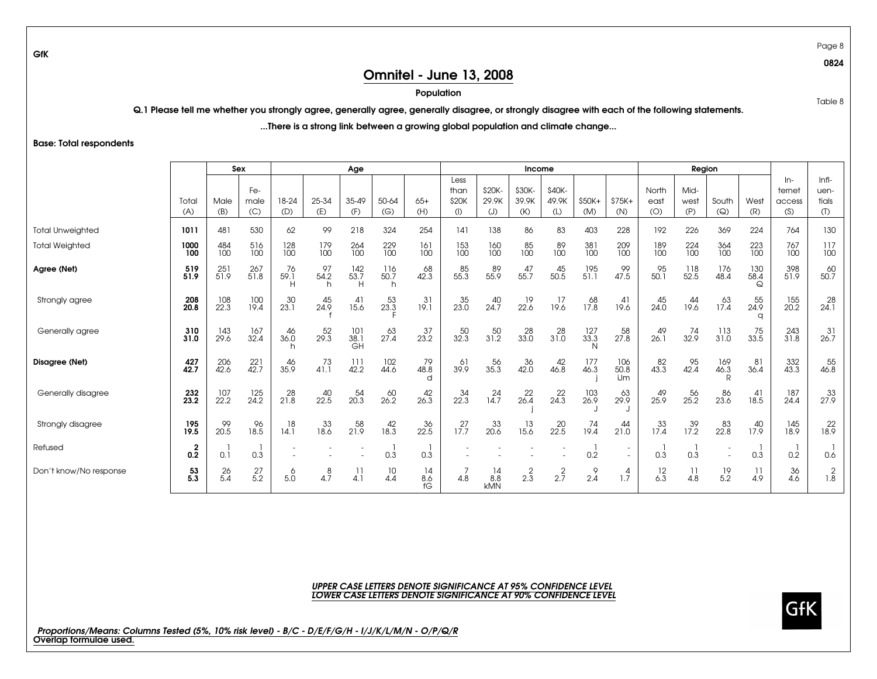## Omnitel - June 13, 2008

#### Population

Q.1 Please tell me whether you strongly agree, generally agree, generally disagree, or strongly disagree with each of the following statements.

...There is a strong link between a growing global population and climate change...

Base: Total respondents

|                         |                                |                    | Sex                |                  | Age             |                   |                   |                         |                    |                   | Income            |                |                    |                    |                  | Region            |                  |                        |                 |                   |
|-------------------------|--------------------------------|--------------------|--------------------|------------------|-----------------|-------------------|-------------------|-------------------------|--------------------|-------------------|-------------------|----------------|--------------------|--------------------|------------------|-------------------|------------------|------------------------|-----------------|-------------------|
|                         |                                |                    | Fe-                |                  |                 |                   |                   |                         | Less<br>than       | \$20K-            | \$30K-            | \$40K-         |                    |                    | North            | Mid-              |                  |                        | $In-$<br>ternet | $Infl-$<br>uen-   |
|                         | Total<br>(A)                   | Male<br>(B)        | male<br>(C)        | 18-24<br>(D)     | 25-34<br>(E)    | 35-49<br>(F)      | 50-64<br>(G)      | $65+$<br>(H)            | \$20K<br>$($ l $)$ | 29.9K<br>(J)      | 39.9K<br>(K)      | 49.9K<br>(L)   | \$50K+<br>(M)      | $$75K+$<br>(N)     | east<br>(O)      | west<br>(P)       | South<br>(Q)     | West<br>(R)            | access<br>(S)   | tials<br>(1)      |
| <b>Total Unweighted</b> | 1011                           | 481                | 530                | 62               | 99              | 218               | 324               | 254                     | 141                | 138               | 86                | 83             | 403                | 228                | 192              | 226               | 369              | 224                    | 764             | 130               |
| <b>Total Weighted</b>   | 1000<br>100                    | 484<br>100         | 516<br>100         | 128<br>100       | 179<br>100      | 264<br>100        | 229<br>100        | 161<br>100              | 153<br>100         | 160<br>100        | 85<br>100         | 89<br>100      | 381<br>100         | 209<br>100         | 189<br>100       | 224<br>100        | 364<br>100       | 223<br>100             | 767<br>100      | 117<br>100        |
| Agree (Net)             | 519<br>51.9                    | 251<br>51.9        | 267<br>51.8        | 76<br>59.1<br>H  | 97<br>54.2<br>h | 142<br>53.7<br>Н  | 116<br>50.7<br>h. | 68<br>42.3              | 85<br>55.3         | 89<br>55.9        | 47<br>55.7        | 45<br>50.5     | 195<br>51.1        | 99<br>47.5         | 95<br>50.1       | 118<br>52.5       | 176<br>48.4      | 130<br>58.4<br>$\circ$ | 398<br>51.9     | $60$<br>50.7      |
| Strongly agree          | 208<br>20.8                    | 108<br>22.3        | $\frac{100}{19.4}$ | 30<br>23.1       | 45<br>24.9      | 41<br>15.6        | 53<br>23.3        | 31<br>19.1              | 35<br>23.0         | $^{40}_{24.7}$    | 19<br>22.6        | 17<br>19.6     | 68<br>17.8         | $^{41}_{19.6}$     | 45<br>24.0       | 44<br>19.6        | $^{63}_{17.4}$   | 55<br>24.9<br>a        | 155<br>20.2     | $^{28}_{24.1}$    |
| Generally agree         | 310<br>31.0                    | 143<br>29.6        | 167<br>32.4        | 46<br>36.0<br>h. | 52<br>29.3      | 101<br>38.1<br>GH | 63<br>27.4        | 37<br>23.2              | 50<br>32.3         | 50<br>31.2        | 28<br>33.0        | 28<br>31.0     | 127<br>33.3<br>N   | 58<br>27.8         | 49<br>26.1       | 74<br>32.9        | 113<br>31.0      | 75<br>33.5             | 243<br>31.8     | $\frac{31}{26.7}$ |
| Disagree (Net)          | 427<br>42.7                    | 206<br>42.6        | 221<br>42.7        | 46<br>35.9       | 73<br>41.1      | 111<br>42.2       | 102<br>44.6       | 79<br>48.8<br>d         | 61<br>39.9         | 56<br>35.3        | 36<br>42.0        | 42<br>46.8     | 177<br>46.3        | 106<br>50.8<br>iJm | 82<br>43.3       | 95<br>42.4        | 169<br>46.3<br>R | 81<br>36.4             | 332<br>43.3     | $\frac{55}{46.8}$ |
| Generally disagree      | $232$<br>$23.2$                | $\frac{107}{22.2}$ | $\frac{125}{24.2}$ | $^{28}_{21.8}$   | $^{40}_{22.5}$  | $\frac{54}{20.3}$ | $^{60}_{26.2}$    | 42<br>$26.\overline{3}$ | $34$<br>22.3       | $\frac{24}{14.7}$ | $\frac{22}{26.4}$ | $^{22}_{24.3}$ | $\frac{103}{26.9}$ | $^{63}_{29.9}$     | 49<br>25.9       | $\frac{56}{25.2}$ | $86$<br>23.6     | 41<br>18.5             | 187<br>24.4     | $\frac{33}{27.9}$ |
| Strongly disagree       | 195<br>19.5                    | 99<br>20.5         | 96<br>18.5         | 18<br>14.1       | 33<br>18.6      | 58<br>21.9        | 42<br>18.3        | 36<br>22.5              | 27<br>17.7         | 33<br>20.6        | 13<br>15.6        | 20<br>22.5     | 74<br>19.4         | 44<br>21.0         | 33<br>17.4       | $\frac{39}{17.2}$ | 83<br>22.8       | 40<br>17.9             | 145<br>18.9     | $\frac{22}{18.9}$ |
| Refused                 | $\overline{\mathbf{2}}$<br>0.2 | 0.1                | 0.3                |                  |                 |                   | 0.3               | 0.3                     |                    |                   |                   |                | 0.2                |                    | 0.3              | 0.3               | $\sim$           | 0.3                    | 0.2             | 0.6               |
| Don't know/No response  | $\frac{53}{5.3}$               | $^{26}_{5.4}$      | $^{27}_{5.2}$      | 6<br>5.0         | 8<br>4.7        | 4.1               | $\frac{10}{4.4}$  | $\frac{14}{8.6}$<br>fG  | 4.8                | 14<br>8.8<br>kMN  | $\frac{2}{2.3}$   | 2.7            | 9<br>2.4           | 4<br>1.7           | $\frac{12}{6.3}$ | 11<br>4.8         | $\frac{19}{5.2}$ | 11<br>4.9              | 36<br>4.6       | $\frac{2}{1.8}$   |

#### *UPPER CASE LETTERS DENOTE SIGNIFICANCE AT 95% CONFIDENCE LEVELLOWER CASE LETTERS DENOTE SIGNIFICANCE AT 90% CONFIDENCE LEVEL*



Page 8

0824

Table 8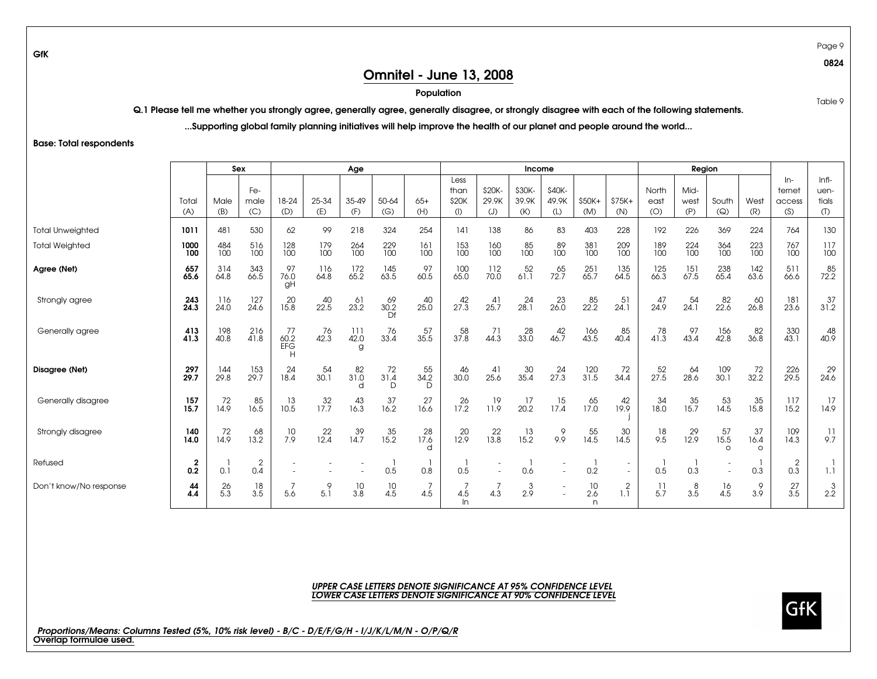Page 9 0824

Table 9

## Omnitel - June 13, 2008

#### Population

Q.1 Please tell me whether you strongly agree, generally agree, generally disagree, or strongly disagree with each of the following statements.

...Supporting global family planning initiatives will help improve the health of our planet and people around the world...

Base: Total respondents

|                         |                  |               | Sex                | Age                             |                   |                         |                              |                        |                              | Income                 |                        |                        |                             |                      | Region               |                     |                       |                       |                                  |                                      |
|-------------------------|------------------|---------------|--------------------|---------------------------------|-------------------|-------------------------|------------------------------|------------------------|------------------------------|------------------------|------------------------|------------------------|-----------------------------|----------------------|----------------------|---------------------|-----------------------|-----------------------|----------------------------------|--------------------------------------|
|                         | Total<br>(A)     | Male<br>(B)   | Fe-<br>male<br>(C) | 18-24<br>(D)                    | 25-34<br>(E)      | 35-49<br>(F)            | 50-64<br>(G)                 | $65+$<br>(H)           | Less<br>than<br>\$20K<br>(1) | \$20K-<br>29.9K<br>(J) | \$30K-<br>39.9K<br>(K) | \$40K-<br>49.9K<br>(L) | \$50K+<br>(M)               | $$75K+$<br>(N)       | North<br>east<br>(O) | Mid-<br>west<br>(P) | South<br>(Q)          | West<br>(R)           | $ln-$<br>ternet<br>access<br>(S) | $Infl-$<br>uen-<br>tials<br>$\sigma$ |
| <b>Total Unweighted</b> | 1011             | 481           | 530                | 62                              | 99                | 218                     | 324                          | 254                    | 141                          | 138                    | 86                     | 83                     | 403                         | 228                  | 192                  | 226                 | 369                   | 224                   | 764                              | 130                                  |
| <b>Total Weighted</b>   | 1000<br>100      | 484<br>100    | 516<br>100         | 128<br>100                      | 179<br>100        | 264<br>100              | 229<br>100                   | 161<br>100             | 153<br>100                   | 160<br>100             | 85<br>100              | 89<br>100              | 381<br>100                  | 209<br>100           | 189<br>100           | 224<br>100          | 364<br>100            | 223<br>100            | 767<br>100                       | 117<br>100                           |
| Agree (Net)             | 657<br>65.6      | 314<br>64.8   | 343<br>66.5        | 97<br>76.0<br>gH                | 116<br>64.8       | 172<br>65.2             | 145<br>63.5                  | 97<br>60.5             | 100<br>65.0                  | 112<br>70.0            | 52<br>61.1             | 65<br>72.7             | 251<br>65.7                 | 135<br>64.5          | $125$<br>66.3        | 151<br>67.5         | 238<br>65.4           | 142<br>63.6           | 511<br>66.6                      | 85<br>72.2                           |
| Strongly agree          | $243$<br>$24.3$  | 116<br>24.0   | $\frac{127}{24.6}$ | $\frac{20}{15.8}$               | 40<br>22.5        | $^{61}_{23.2}$          | $69$<br>30.2<br>Df           | 40<br>25.0             | $^{42}_{27.3}$               | $^{41}_{25.7}$         | $^{24}_{28.1}$         | $^{23}_{26.0}$         | $85$<br>22.2                | $\frac{51}{24.1}$    | 47<br>24.9           | $\frac{54}{24.1}$   | $82$<br>22.6          | 60<br>26.8            | $\frac{181}{23.6}$               | 37<br>31.2                           |
| Generally agree         | 413<br>41.3      | 198<br>40.8   | 216<br>41.8        | $77$<br>60.2<br><b>EFG</b><br>H | $76$<br>42.3      | $\frac{111}{42.0}$<br>g | 76<br>33.4                   | 57<br>35.5             | 58<br>37.8                   | $\frac{71}{44.3}$      | 28<br>33.0             | $42$<br>46.7           | 166<br>43.5                 | 85<br>40.4           | $78$<br>41.3         | 97<br>43.4          | 156<br>42.8           | 82<br>36.8            | 330<br>43.1                      | $^{48}_{40.9}$                       |
| Disagree (Net)          | $297$<br>$29.7$  | 144<br>29.8   | $\frac{153}{29.7}$ | $\frac{24}{18.4}$               | $\frac{54}{30.1}$ | $\frac{82}{31.0}$<br>d  | 72<br>$31.\overline{4}$<br>D | $\frac{55}{34.2}$<br>D | $\frac{46}{30.0}$            | $^{41}_{25.6}$         | $30$<br>$35.4$         | $^{24}_{27.3}$         | $\frac{120}{31.5}$          | $\frac{72}{34.4}$    | $\frac{52}{27.5}$    | $64$<br>28.6        | $\frac{109}{30.1}$    | $\frac{72}{32.2}$     | $^{226}_{29.5}$                  | $^{29}_{24.6}$                       |
| Generally disagree      | 157<br>15.7      | 72<br>14.9    | 85<br>16.5         | 13<br>10.5                      | 32<br>17.7        | 43<br>16.3              | 37<br>16.2                   | 27<br>16.6             | 26<br>17.2                   | 19<br>11.9             | 17<br>20.2             | 15<br>17.4             | 65<br>17.0                  | 42<br>19.9           | 34<br>18.0           | 35<br>15.7          | 53<br>14.5            | 35<br>15.8            | 117<br>15.2                      | 17<br>14.9                           |
| Strongly disagree       | 140<br>14.0      | 72<br>14.9    | 68<br>13.2         | 10<br>7.9                       | 22<br>12.4        | 39<br>14.7              | 35<br>15.2                   | 28<br>17.6<br>d        | 20<br>12.9                   | 22<br>13.8             | 13<br>15.2             | 9<br>9.9               | 55<br>14.5                  | 30<br>14.5           | $\frac{18}{9.5}$     | 29<br>12.9          | 57<br>15.5<br>$\circ$ | 37<br>16.4<br>$\circ$ | 109<br>14.3                      | 11<br>9.7                            |
| Refused                 | $0.\overline{2}$ | 0.1           | $0.4^{2}$          |                                 |                   |                         | 0.5                          | 0.8                    | 0.5                          |                        | 0.6                    |                        | 0.2                         | ٠<br>$\sim$          | 0.5                  | 0.3                 |                       | 0.3                   | $\frac{2}{0.3}$                  | 1.1                                  |
| Don't know/No response  | 44<br>4.4        | $^{26}_{5.3}$ | $\frac{18}{3.5}$   | 5.6                             | 9<br>5.1          | $\frac{10}{3.8}$        | $\frac{10}{4.5}$             | 4.5                    | 4.5<br>In                    | 4.3                    | 3<br>2.9               |                        | 10<br>$2.\overline{6}$<br>n | $1.\overline{1}^{2}$ | 11<br>5.7            | $3.5^8$             | $\frac{16}{4.5}$      | 9<br>3.9              | $\frac{27}{3.5}$                 | $2.\overline{2}$                     |



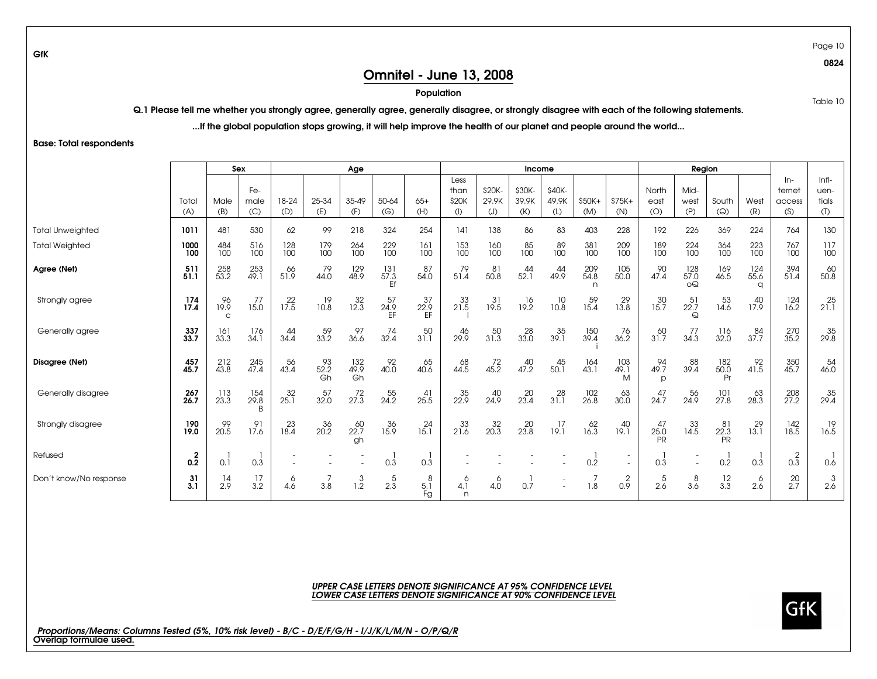Table 10

0824

## Omnitel - June 13, 2008

#### Population

Q.1 Please tell me whether you strongly agree, generally agree, generally disagree, or strongly disagree with each of the following statements.

...If the global population stops growing, it will help improve the health of our planet and people around the world...

Base: Total respondents

GfK

|                         |              | Sex                              |                  |                   | Age               |                   |                   |                             |               |                   | Income            |                   |                    |                          |                              | Region                       |                         |                  |                       |                   |
|-------------------------|--------------|----------------------------------|------------------|-------------------|-------------------|-------------------|-------------------|-----------------------------|---------------|-------------------|-------------------|-------------------|--------------------|--------------------------|------------------------------|------------------------------|-------------------------|------------------|-----------------------|-------------------|
|                         |              |                                  | Fe-              |                   |                   |                   |                   |                             | Less<br>than  | \$20K-            | \$30K-            | \$40K-            |                    |                          | North                        | Mid-                         |                         |                  | $In-$<br>ternet       | $Infl-$<br>uen-   |
|                         | Total<br>(A) | Male<br>(B)                      | male<br>(C)      | 18-24<br>(D)      | 25-34<br>(E)      | 35-49<br>(F)      | 50-64<br>(G)      | $65+$<br>(H)                | \$20K<br>(    | 29.9K<br>(J)      | 39.9K<br>(K)      | 49.9K<br>(L)      | \$50K+<br>(M)      | $$75K+$<br>(N)           | east<br>(O)                  | west<br>(P)                  | South<br>(Q)            | West<br>(R)      | access<br>(S)         | tials<br>(1)      |
| <b>Total Unweighted</b> | 1011         | 481                              | 530              | 62                | 99                | 218               | 324               | 254                         | 141           | 138               | 86                | 83                | 403                | 228                      | 192                          | 226                          | 369                     | 224              | 764                   | 130               |
| <b>Total Weighted</b>   | 1000<br>100  | 484<br>100                       | 516<br>100       | 128<br>100        | 179<br>100        | 264<br>100        | 229<br>100        | 161<br>100                  | 153<br>100    | 160<br>100        | 85<br>100         | 89<br>100         | 381<br>100         | 209<br>100               | 189<br>100                   | 224<br>100                   | 364<br>100              | 223<br>100       | 767<br>100            | 117<br>100        |
| Agree (Net)             | 511<br>51.1  | 258<br>53.2                      | $^{253}_{49.1}$  | 66<br>51.9        | 79<br>44.0        | 129<br>48.9       | 131<br>57.3<br>Ef | 87<br>54.0                  | 79<br>51.4    | 81<br>50.8        | 44<br>52.1        | 44<br>49.9        | 209<br>54.8<br>n   | 105<br>50.0              | 90<br>47.4                   | $\frac{128}{57.0}$<br>OQ     | 169<br>46.5             | 124<br>55.6<br>a | 394<br>51.4           | $60$<br>$50.8$    |
| Strongly agree          | 174<br>17.4  | $\frac{96}{19.9}$<br>$\mathbf C$ | $77$<br>15.0     | $\frac{22}{17.5}$ | $\frac{19}{10.8}$ | $\frac{32}{12.3}$ | 57<br>24.9<br>EF  | 37<br>22.9<br>EF            | $33$<br>21.5  | $\frac{31}{19.5}$ | $\frac{16}{19.2}$ | $\frac{10}{10.8}$ | $\frac{59}{15.4}$  | $\frac{29}{13.8}$        | $\frac{30}{15.7}$            | $\frac{51}{22.7}$<br>$\circ$ | 53<br>14.6              | $^{40}_{17.9}$   | $\frac{124}{16.2}$    | $2^{25}_{21.1}$   |
| Generally agree         | 337<br>33.7  | 161<br>33.3                      | 176<br>34.1      | 44<br>34.4        | 59<br>33.2        | 97<br>36.6        | 74<br>32.4        | 50<br>31.1                  | 46<br>29.9    | 50<br>31.3        | 28<br>33.0        | 35<br>39.1        | 150<br>39.4        | 76<br>36.2               | 60<br>31.7                   | 77<br>34.3                   | 116<br>32.0             | 84<br>37.7       | 270<br>35.2           | $\frac{35}{29.8}$ |
| Disagree (Net)          | 457<br>45.7  | 212<br>43.8                      | 245<br>47.4      | 56<br>43.4        | 93<br>52.2<br>Gh  | 132<br>49.9<br>Gh | 92<br>40.0        | 65<br>40.6                  | 68<br>44.5    | $72$<br>45.2      | 40<br>47.2        | 45<br>50.1        | 164<br>43.1        | 103<br>49.1<br>M         | $94$<br>49.7<br>$\mathsf{D}$ | 88<br>39.4                   | 182<br>50.0<br>Pr       | $^{92}_{41.5}$   | 350<br>45.7           | $\frac{54}{46.0}$ |
| Generally disagree      | 267<br>26.7  | 113<br>23.3                      | 154<br>29.8<br>B | 32<br>25.1        | $\frac{57}{32.0}$ | $^{72}_{27.3}$    | $\frac{55}{24.2}$ | 41<br>25.5                  | $35$<br>22.9  | $^{40}_{24.9}$    | $20$<br>23.4      | 28<br>31.1        | $\frac{102}{26.8}$ | 63<br>30.0               | 47<br>24.7                   | 56<br>24.9                   | $\frac{101}{27.8}$      | $^{63}_{28.3}$   | $^{208}_{27.2}$       | $\frac{35}{29.4}$ |
| Strongly disagree       | 190<br>19.0  | 99<br>20.5                       | 91<br>17.6       | 23<br>18.4        | 36<br>20.2        | 60<br>22.7<br>gh  | 36<br>15.9        | $\frac{24}{15.1}$           | 33<br>21.6    | $\frac{32}{20.3}$ | $^{20}_{23.8}$    | 17<br>19.1        | $^{62}_{16.3}$     | 40<br>19.1               | 47<br>25.0<br><b>PR</b>      | 33<br>14.5                   | 81<br>22.3<br><b>PR</b> | 29<br>13.1       | 142<br>18.5           | $\frac{19}{16.5}$ |
| Refused                 | 2<br>0.2     | 0.1                              | 0.3              |                   |                   |                   | 0.3               | 0.3                         |               |                   |                   |                   | 0.2                | $\overline{\phantom{a}}$ | 0.3                          |                              | 0.2                     | 0.3              | $\overline{2}$<br>0.3 | 0.6               |
| Don't know/No response  | 31<br>3.1    | 14<br>2.9                        | 17<br>3.2        | 6<br>4.6          | 3.8               | $\frac{3}{1.2}$   | $\frac{5}{2.3}$   | 8<br>$5.\overline{1}$<br>Fg | 6<br>4.1<br>n | 6<br>4.0          | 0.7               |                   | 1.8                | $rac{2}{0.9}$            | 5<br>2.6                     | 8<br>3.6                     | $\frac{12}{3.3}$        | 6<br>2.6         | 20<br>2.7             | $\frac{3}{2.6}$   |

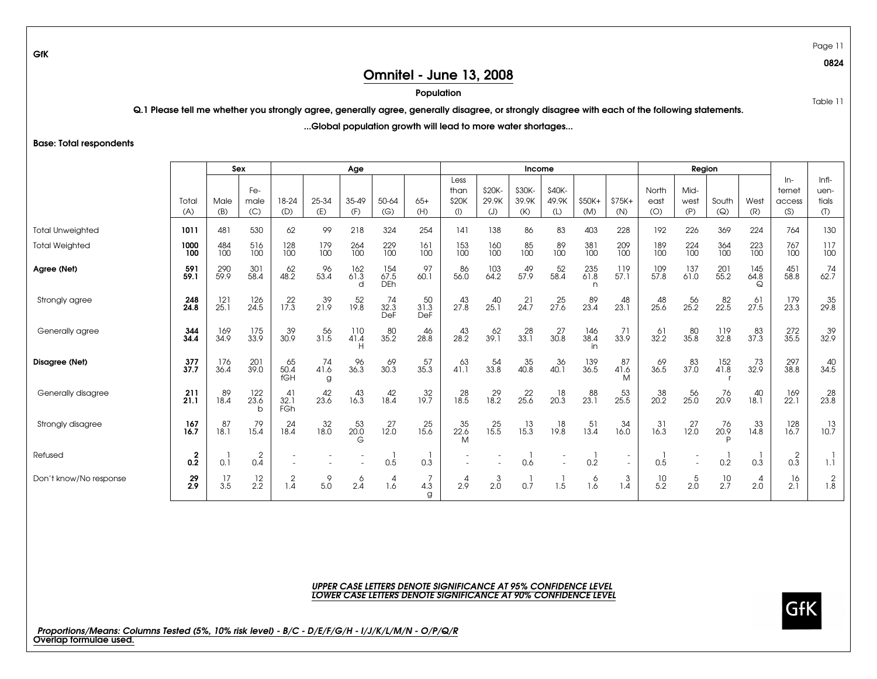Table 11

0824

## Omnitel - June 13, 2008

#### Population

Q.1 Please tell me whether you strongly agree, generally agree, generally disagree, or strongly disagree with each of the following statements.

...Global population growth will lead to more water shortages...

Base: Total respondents

GfK

|                         |                       |                    | Sex                     |                   |                 | Age                     |                           |                   |                        |                    | Income            |                          |                   |                   |                    | Region             |                   |                  |                           |                            |
|-------------------------|-----------------------|--------------------|-------------------------|-------------------|-----------------|-------------------------|---------------------------|-------------------|------------------------|--------------------|-------------------|--------------------------|-------------------|-------------------|--------------------|--------------------|-------------------|------------------|---------------------------|----------------------------|
|                         | Total                 | Male               | Fe-<br>male             | 18-24             | 25-34           | 35-49                   | 50-64                     | $65+$             | Less<br>than<br>\$20K  | \$20K-<br>29.9K    | \$30K-<br>39.9K   | \$40K-<br>49.9K          | \$50K+            | $$75K+$           | North<br>east      | Mid-<br>west       | South             | West             | $ln-$<br>ternet<br>access | $Infl-$<br>uen-<br>tials   |
|                         | (A)                   | (B)                | (C)                     | (D)               | (E)             | (F)                     | (G)                       | (H)               | $($ l                  | (J)                | (K)               | (L)                      | (M)               | (N)               | (O)                | (P)                | (Q)               | (R)              | (S)                       | $\left( \mathbb{T}\right)$ |
| <b>Total Unweighted</b> | 1011                  | 481                | 530                     | 62                | 99              | 218                     | 324                       | 254               | 141                    | 138                | 86                | 83                       | 403               | 228               | 192                | 226                | 369               | 224              | 764                       | 130                        |
| <b>Total Weighted</b>   | 1000<br>100           | 484<br>100         | 516<br>100              | 128<br>100        | 179<br>100      | 264<br>100              | 229<br>100                | 161<br>100        | 153<br>100             | 160<br>100         | 85<br>100         | 89<br>100                | 381<br>100        | 209<br>$100 -$    | 189<br>100         | 224<br>100         | 364<br>100        | 223<br>100       | 767<br>100                | 117<br>100                 |
| Agree (Net)             | $\frac{591}{59.1}$    | 290<br>59.9        | $301$<br>$58.4$         | 62<br>48.2        | 96<br>53.4      | $162$<br>61.3<br>d      | 154<br>67.5<br><b>DEN</b> | 97<br>60.1        | 86<br>56.0             | $\frac{103}{64.2}$ | 49<br>57.9        | 52<br>58.4               | 235<br>61.8<br>n  | 119<br>57.1       | $\frac{109}{57.8}$ | $\frac{137}{61.0}$ | 201<br>55.2       | 145<br>64.8<br>♤ | 451<br>58.8               | $74$<br>62.7               |
| Strongly agree          | 248<br>24.8           | $\frac{121}{25.1}$ | 126<br>24.5             | $\frac{22}{17.3}$ | $39$<br>21.9    | $\frac{52}{19.8}$       | $74$<br>32.3<br>DeF       | 50<br>31.3<br>DeF | $^{43}_{27.8}$         | $^{40}_{25.1}$     | 21<br>24.7        | $25$<br>27.6             | 89<br>23.4        | 48<br>23.1        | 48<br>25.6         | $\frac{56}{25.2}$  | $^{82}_{22.5}$    | 61<br>27.5       | 179<br>23.3               | $\frac{35}{29.8}$          |
| Generally agree         | $344$<br>$34.4$       | 169<br>34.9        | 175<br>33.9             | 39<br>30.9        | 56<br>31.5      | 110<br>41.4<br>H        | 80<br>35.2                | 46<br>28.8        | 43<br>28.2             | $rac{62}{39.1}$    | $\frac{28}{33.1}$ | 27<br>30.8               | 146<br>38.4<br>in | 71<br>33.9        | 61<br>32.2         | 80<br>35.8         | 119<br>32.8       | 83<br>37.3       | 272<br>35.5               | $39$<br>32.9               |
| <b>Disagree (Net)</b>   | 377<br>37.7           | 176<br>36.4        | 201<br>39.0             | 65<br>50.4<br>fGH | 74<br>41.6<br>g | 96<br>36.3              | 69<br>30.3                | 57<br>35.3        | 63<br>41.1             | $\frac{54}{33.8}$  | 35<br>40.8        | 36<br>40.1               | 139<br>36.5       | 87<br>41.6<br>M   | 69<br>36.5         | $\frac{83}{37.0}$  | 152<br>41.8       | 73<br>32.9       | 297<br>38.8               | $\frac{40}{34.5}$          |
| Generally disagree      | $\frac{211}{21.1}$    | 89<br>18.4         | $\frac{122}{23.6}$<br>b | 41<br>32.1<br>FGh | 42<br>23.6      | 43<br>$16.\overline{3}$ | 42<br>$18.\overline{4}$   | 32<br>19.7        | $^{28}_{18.5}$         | $\frac{29}{18.2}$  | $^{22}_{25.6}$    | $\frac{18}{20.3}$        | $\frac{88}{23.1}$ | $\frac{53}{25.5}$ | $\frac{38}{20.2}$  | $\frac{56}{25.0}$  | $^{76}_{20.9}$    | 40<br>18.1       | 169<br>22.1               | $^{28}_{23.8}$             |
| Strongly disagree       | 167<br>16.7           | 87<br>18.1         | 79<br>15.4              | 24<br>18.4        | 32<br>18.0      | $\frac{53}{20.0}$<br>G  | $^{27}_{12.0}$            | 25<br>15.6        | $\frac{35}{22.6}$<br>M | $\frac{25}{15.5}$  | $\frac{13}{15.3}$ | $\frac{18}{19.8}$        | $\frac{51}{13.4}$ | $34$<br>$16.0$    | $\frac{31}{16.3}$  | 27<br>12.0         | $76$<br>20.9<br>D | 33<br>14.8       | $\frac{128}{16.7}$        | $\frac{13}{10.7}$          |
| Refused                 | $\overline{2}$<br>0.2 | 0.1                | $\overline{2}$<br>0.4   |                   |                 |                         | 0.5                       | 0.3               |                        |                    | 0.6               | $\overline{\phantom{a}}$ | 0.2               |                   | 0.5                |                    | 0.2               | 0.3              | $\overline{2}$<br>0.3     | 1.1                        |
| Don't know/No response  | 29<br>2.9             | $\frac{17}{3.5}$   | $\frac{12}{2.2}$        | 2<br>1.4          | 9<br>5.0        | 6<br>2.4                | 4<br>1.6                  | 4.3<br>a          | $\overline{4}$<br>2.9  | $\frac{3}{2.0}$    | 0.7               | 1.5                      | 6<br>1.6          | 3<br>1.4          | $\frac{10}{5.2}$   | $\frac{5}{2.0}$    | $\frac{10}{2.7}$  | 4<br>2.0         | 16<br>2.1                 | $\frac{2}{1.8}$            |

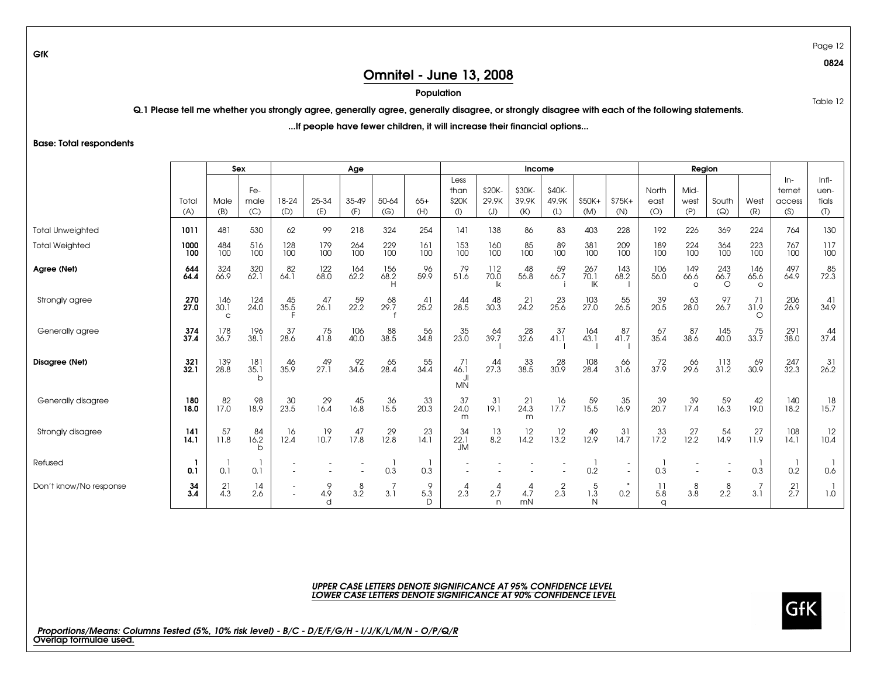Table 12

0824

## Omnitel - June 13, 2008

#### Population

Q.1 Please tell me whether you strongly agree, generally agree, generally disagree, or strongly disagree with each of the following statements.

...If people have fewer children, it will increase their financial options...

Base: Total respondents

GfK

|                         |                 |                            | Sex                                |              | Age               |                   |                   |                |                                 |                        | Income                 |                        |                    |                   |                       | Region                  |                        |                        |                                  |                                 |
|-------------------------|-----------------|----------------------------|------------------------------------|--------------|-------------------|-------------------|-------------------|----------------|---------------------------------|------------------------|------------------------|------------------------|--------------------|-------------------|-----------------------|-------------------------|------------------------|------------------------|----------------------------------|---------------------------------|
|                         | Total<br>(A)    | Male<br>(B)                | Fe-<br>male<br>(C)                 | 18-24<br>(D) | 25-34<br>(E)      | 35-49<br>(F)      | 50-64<br>(G)      | $65+$<br>(H)   | Less<br>than<br>\$20K<br>$($  ) | \$20K-<br>29.9K<br>(J) | \$30K-<br>39.9K<br>(K) | \$40K-<br>49.9K<br>(L) | $$50K+$<br>(M)     | $$75K+$<br>(N)    | North<br>east<br>(O)  | Mid-<br>west<br>(P)     | South<br>(Q)           | West<br>(R)            | $In-$<br>ternet<br>access<br>(S) | $Infl-$<br>uen-<br>tials<br>(T) |
| <b>Total Unweighted</b> | 1011            | 481                        | 530                                | 62           | 99                | 218               | 324               | 254            | 141                             | 138                    | 86                     | 83                     | 403                | 228               | 192                   | 226                     | 369                    | 224                    | 764                              | 130                             |
| <b>Total Weighted</b>   | 1000<br>100     | 484<br>100                 | 516<br>100                         | 128<br>100   | 179<br>100        | 264<br>100        | 229<br>100        | 161<br>100     | 153<br>100                      | 160<br>100             | 85<br>100              | 89<br>100              | 381<br>100         | 209<br>100        | 189<br>100            | 224<br>100              | 364<br>100             | 223<br>100             | 767<br>100                       | 117<br>100                      |
| Agree (Net)             | 644<br>64.4     | 324<br>66.9                | 320<br>62.1                        | 82<br>64.1   | 122<br>68.0       | 164<br>62.2       | 156<br>68.2       | 96<br>59.9     | 79<br>51.6                      | 112<br>70.0            | 48<br>56.8             | 59<br>66.7             | 267<br>70.1<br>IK  | 143<br>68.2       | 106<br>56.0           | 149<br>66.6<br>$\Omega$ | 243<br>66.7<br>$\circ$ | 146<br>65.6<br>$\circ$ | 497<br>64.9                      | $85$<br>$72.3$                  |
| Strongly agree          | $270$<br>$27.0$ | 146<br>30.1<br>$\mathbf C$ | $\frac{124}{24.0}$                 | $45$<br>35.5 | 47<br>26.1        | $\frac{59}{22.2}$ | $^{68}_{29.7}$    | $^{41}_{25.2}$ | $^{44}_{28.5}$                  | $\frac{48}{30.3}$      | $\frac{21}{24.2}$      | $^{23}_{25.6}$         | $\frac{103}{27.0}$ | $\frac{55}{26.5}$ | $39$<br>20.5          | $^{63}_{28.0}$          | $\frac{97}{26.7}$      | 31.9<br>∩              | 206<br>26.9                      | $\frac{41}{34.9}$               |
| Generally agree         | 374<br>37.4     | 178<br>36.7                | 196<br>38.1                        | 37<br>28.6   | 75<br>41.8        | 106<br>40.0       | 88<br>38.5        | 56<br>34.8     | 35<br>23.0                      | 64<br>39.7             | 28<br>32.6             | 37<br>41.1             | 164<br>43.1        | 87<br>41.7        | 67<br>35.4            | 87<br>38.6              | 145<br>40.0            | 75<br>33.7             | 291<br>38.0                      | 44<br>37.4                      |
| Disagree (Net)          | 321<br>32.1     | 139<br>28.8                | $\frac{181}{35.1}$<br>$\mathsf{b}$ | 46<br>35.9   | $^{49}_{27.1}$    | 92<br>34.6        | 65<br>28.4        | 55<br>34.4     | 71<br>46.1<br><b>MN</b>         | 44<br>27.3             | 33<br>38.5             | 28<br>30.9             | 108<br>28.4        | 66<br>31.6        | 72<br>37.9            | 66<br>29.6              | 113<br>31.2            | 69<br>30.9             | 247<br>32.3                      | 31<br>26.2                      |
| Generally disagree      | 180<br>18.0     | 82<br>17.0                 | 98<br>18.9                         | 30<br>23.5   | 29<br>16.4        | 45<br>16.8        | 36<br>15.5        | 33<br>20.3     | 37<br>24.0<br>m                 | 31<br>19.1             | 21<br>24.3<br>m        | 16<br>17.7             | 59<br>15.5         | 35<br>16.9        | 39<br>20.7            | 39<br>17.4              | 59<br>16.3             | 42<br>19.0             | 140<br>18.2                      | $\frac{18}{15.7}$               |
| Strongly disagree       | 141<br>14.1     | 57<br>11.8                 | 84<br>16.2<br>h                    | 16<br>12.4   | 19<br>10.7        | 47<br>17.8        | $\frac{29}{12.8}$ | 23<br>14.1     | 34<br>22.1<br>JM.               | $\frac{13}{8.2}$       | $\frac{12}{14.2}$      | 12<br>13.2             | $49$<br>12.9       | 31<br>14.7        | $\frac{33}{17.2}$     | $^{27}_{12.2}$          | 54<br>14.9             | 27<br>11.9             | 108<br>14.1                      | $\frac{12}{10.4}$               |
| Refused                 | 0.1             | 0.1                        | 0.1                                |              |                   |                   | 0.3               | 0.3            |                                 |                        |                        |                        | 0.2                |                   | 0.3                   |                         |                        | 0.3                    | 0.2                              | 0.6                             |
| Don't know/No response  | 34<br>3.4       | 21<br>4.3                  | 14<br>2.6                          |              | $^{9}_{4.9}$<br>d | $3.2^8$           | 3.1               | 6.3<br>D       | 4<br>$2.\overline{3}$           | 2.7<br>n               | 4<br>4.7<br>mN         | $2.\overline{3}$       | 1.3<br>N           | $\ast$<br>0.2     | 11<br>5.8<br>$\Omega$ | 8<br>3.8                | $^{8}_{2.2}$           | 3.1                    | 21<br>2.7                        | 1.0                             |

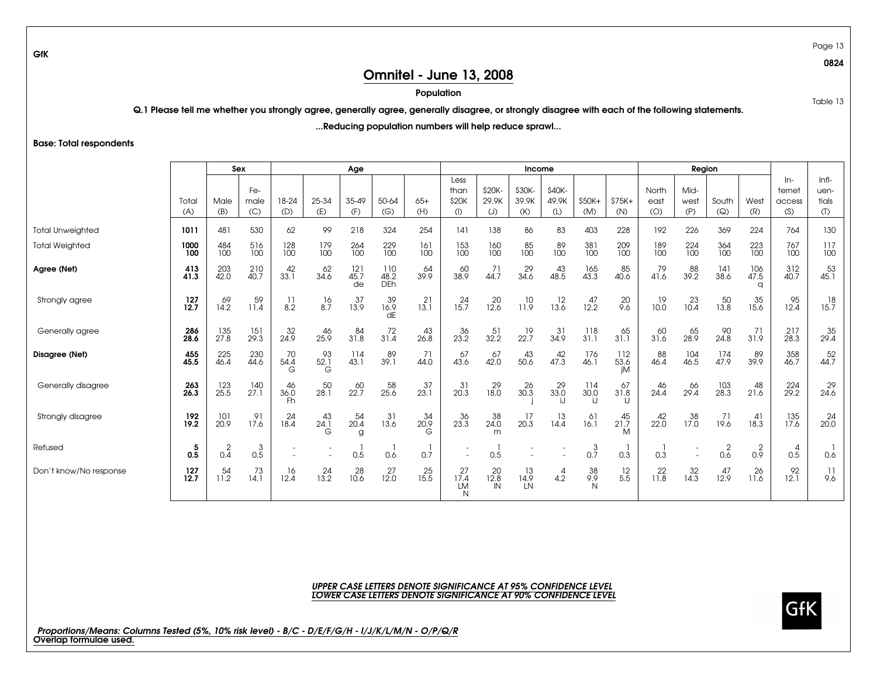Table 13

0824

## Omnitel - June 13, 2008

#### Population

Q.1 Please tell me whether you strongly agree, generally agree, generally disagree, or strongly disagree with each of the following statements.

...Reducing population numbers will help reduce sprawl...

Base: Total respondents

GfK

|                         |              |             | Sex                |                  |                  | Age                      |                           |                   |                                |                        | Income                 |                        |                                           |                            |                      | Region              |                    |                  |                                  |                                                        |
|-------------------------|--------------|-------------|--------------------|------------------|------------------|--------------------------|---------------------------|-------------------|--------------------------------|------------------------|------------------------|------------------------|-------------------------------------------|----------------------------|----------------------|---------------------|--------------------|------------------|----------------------------------|--------------------------------------------------------|
|                         | Total<br>(A) | Male<br>(B) | Fe-<br>male<br>(C) | 18-24<br>(D)     | 25-34<br>(E)     | 35-49<br>(F)             | 50-64<br>(G)              | $65+$<br>(H)      | Less<br>than<br>\$20K<br>$($ l | \$20K-<br>29.9K<br>(J) | \$30K-<br>39.9K<br>(K) | \$40K-<br>49.9K<br>(L) | $$50K+$<br>(M)                            | $$75K+$<br>(N)             | North<br>east<br>(O) | Mid-<br>west<br>(P) | South<br>(Q)       | West<br>(R)      | $In-$<br>ternet<br>access<br>(S) | $Infl-$<br>uen-<br>tials<br>$\left( \mathbb{T}\right)$ |
| <b>Total Unweighted</b> | 1011         | 481         | 530                | 62               | 99               | 218                      | 324                       | 254               | 141                            | 138                    | 86                     | 83                     | 403                                       | 228                        | 192                  | 226                 | 369                | 224              | 764                              | 130                                                    |
| <b>Total Weighted</b>   | 1000<br>100  | 484<br>100  | 516<br>100         | 128<br>100       | 179<br>100       | 264<br>100               | 229<br>100                | 161<br>100        | 153<br>100                     | 160<br>100             | 85<br>100              | 89<br>100              | 381<br>100                                | 209<br>100                 | 189<br>100           | 224<br>100          | 364<br>100         | 223<br>100       | 767<br>100                       | 117<br>100                                             |
| Agree (Net)             | 413<br>41.3  | 203<br>42.0 | $210$<br>$40.7$    | 42<br>33.1       | 62<br>34.6       | $\frac{121}{45.7}$<br>de | 110<br>48.2<br><b>DEH</b> | 64<br>39.9        | 60<br>38.9                     | 71<br>44.7             | 29<br>34.6             | $43\n48.5$             | $165$<br>$43.3$                           | 85<br>40.6                 | 79<br>41.6           | 88<br>39.2          | $\frac{141}{38.6}$ | 106<br>47.5<br>O | 312<br>40.7                      | $\frac{53}{45.1}$                                      |
| Strongly agree          | 127<br>12.7  | 69<br>14.2  | 59<br>11.4         | $\frac{11}{8.2}$ | $\frac{16}{8.7}$ | 37<br>13.9               | 39<br>16.9<br>dE          | 21<br>13.1        | $\frac{24}{15.7}$              | 20<br>12.6             | $\frac{10}{11.9}$      | 12<br>13.6             | $^{47}_{12.2}$                            | $^{20}_{9.6}$              | 19<br>10.0           | 23<br>10.4          | 50<br>13.8         | 35<br>15.6       | 95<br>12.4                       | $\frac{18}{15.7}$                                      |
| Generally agree         | 286<br>28.6  | 135<br>27.8 | 151<br>29.3        | 32<br>24.9       | 46<br>25.9       | 84<br>31.8               | 72<br>31.4                | 43<br>26.8        | 36<br>23.2                     | 51<br>32.2             | 19<br>22.7             | 31<br>34.9             | 118<br>31.1                               | 65<br>31.1                 | 60<br>31.6           | 65<br>28.9          | 90<br>24.8         | 71<br>31.9       | 217<br>28.3                      | 35<br>29.4                                             |
| Disagree (Net)          | 455<br>45.5  | 225<br>46.4 | 230<br>44.6        | 70<br>54.4<br>G  | 93<br>52.1<br>G  | 114<br>43.1              | 89<br>39.1                | 71<br>44.0        | 67<br>43.6                     | 67<br>42.0             | 43<br>50.6             | $42 \\ 47.3$           | 176<br>46.1                               | 112<br>53.6<br>jM          | 88<br>46.4           | $\frac{104}{46.5}$  | 174<br>47.9        | 89<br>39.9       | 358<br>46.7                      | $\frac{52}{44.7}$                                      |
| Generally disagree      | 263<br>26.3  | 123<br>25.5 | 140<br>27.1        | 46<br>36.0<br>Fh | 50<br>28.1       | 60<br>22.7               | 58<br>25.6                | 37<br>23.1        | 31<br>20.3                     | 29<br>18.0             | 26<br>30.3             | 29<br>33.0             | 114<br>30.0<br>i. I                       | 67<br>31.8<br>$\mathbf{L}$ | 46<br>24.4           | 66<br>29.4          | 103<br>28.3        | 48<br>21.6       | 224<br>29.2                      | 29<br>24.6                                             |
| Strongly disagree       | 192<br>19.2  | 101<br>20.9 | 91<br>17.6         | $^{24}_{18.4}$   | 43<br>24.1<br>G  | $\frac{54}{20.4}$<br>g   | $\frac{31}{13.6}$         | $34$<br>20.9<br>G | $36$<br>23.3                   | $\frac{38}{24.0}$<br>m | $\frac{17}{20.3}$      | 13<br>14.4             | $\begin{array}{c} 61 \\ 16.1 \end{array}$ | $^{45}_{21.7}$<br>M        | $^{42}_{22.0}$       | $\frac{38}{17.0}$   | $\frac{71}{19.6}$  | 41<br>18.3       | $\frac{135}{17.6}$               | $^{24}_{20.0}$                                         |
| Refused                 | 5<br>0.5     | 2<br>0.4    | 3<br>0.5           |                  |                  | 0.5                      | 0.6                       | 0.7               | $\sim$                         | 0.5                    |                        |                        | 3<br>0.7                                  | 0.3                        | 0.3                  |                     | 2<br>0.6           | 0.9 <sup>2</sup> | 4<br>0.5                         | 0.6                                                    |
| Don't know/No response  | 127<br>12.7  | 54<br>11.2  | 73<br>14.1         | 16<br>12.4       | 24<br>13.2       | 28<br>10.6               | 27<br>12.0                | 25<br>15.5        | 27<br>17.4<br><b>LM</b><br>N   | 20<br>12.8<br>IN       | 13<br>14.9<br>LN       | 4<br>4.2               | 38<br>9.9<br>$\mathsf{N}$                 | 12<br>5.5                  | 22<br>11.8           | 32<br>14.3          | 47<br>12.9         | 26<br>11.6       | 92<br>12.1                       | 11<br>9.6                                              |

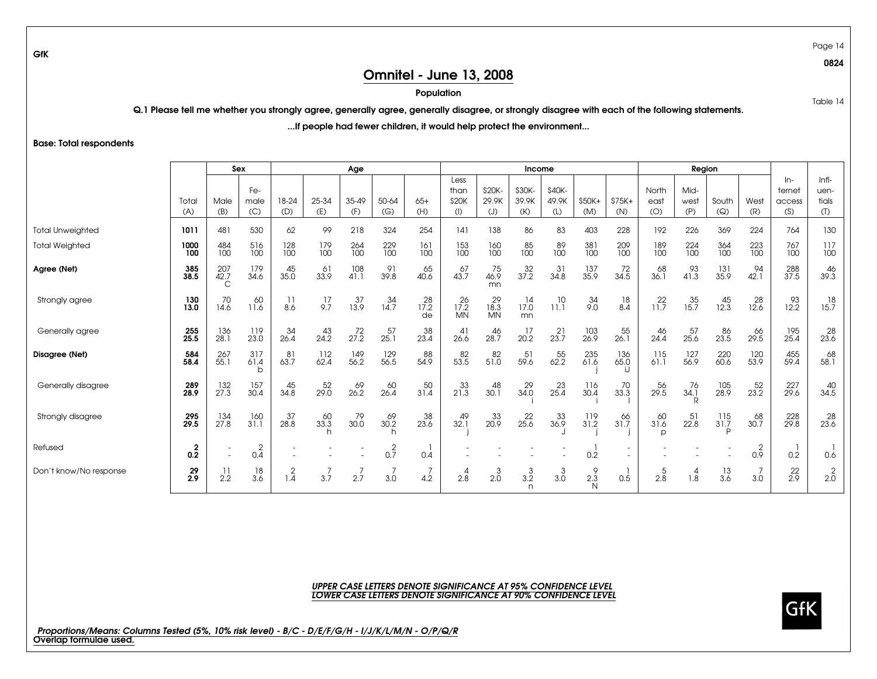Table 14

0824

## Omnitel - June 13, 2008

#### Population

Q.1 Please tell me whether you strongly agree, generally agree, generally disagree, or strongly disagree with each of the following statements.

...If people had fewer children, it would help protect the environment...

Base: Total respondents

GfK

|                         |                       |                          | Sex                         |                   |                      | Age          |                      |                         |                             |                                | Income                |                       |                            |                   |                 | Region                     |                                     |                   |                 |                   |
|-------------------------|-----------------------|--------------------------|-----------------------------|-------------------|----------------------|--------------|----------------------|-------------------------|-----------------------------|--------------------------------|-----------------------|-----------------------|----------------------------|-------------------|-----------------|----------------------------|-------------------------------------|-------------------|-----------------|-------------------|
|                         |                       |                          | Fe-                         |                   |                      |              |                      |                         | Less<br>than                | \$20K-                         | \$30K-                | \$40K-                |                            |                   | North           | Mid-                       |                                     |                   | $In-$<br>ternet | $Infl-$<br>uen-   |
|                         | Total<br>(A)          | Male<br>(B)              | male<br>(C)                 | 18-24<br>(D)      | 25-34<br>(E)         | 35-49<br>(F) | 50-64<br>(G)         | $65+$<br>(H)            | \$20K<br>$($ l $)$          | 29.9K<br>(J)                   | 39.9K<br>(K)          | 49.9K<br>(L)          | $$50K+$<br>(M)             | $$75K+$<br>(N)    | east<br>(O)     | west<br>(P)                | South<br>$\left( \mathsf{Q}\right)$ | West<br>(R)       | access<br>(S)   | tials<br>(1)      |
| <b>Total Unweighted</b> | 1011                  | 481                      | 530                         | 62                | 99                   | 218          | 324                  | 254                     | 141                         | 138                            | 86                    | 83                    | 403                        | 228               | 192             | 226                        | 369                                 | 224               | 764             | 130               |
| <b>Total Weighted</b>   | 1000<br>100           | 484<br>100               | 516<br>100                  | 128<br>100        | 179<br>100           | 264<br>100   | 229<br>100           | 161<br>100              | 153<br>100                  | 160<br>100                     | 85<br>100             | 89<br>100             | 381<br>100                 | 209<br>100        | 189<br>100      | 224<br>100                 | 364<br>100                          | 223<br>100        | 767<br>100      | 117<br>100        |
| Agree (Net)             | 385<br>38.5           | 207<br>$\frac{42.7}{C}$  | 179<br>34.6                 | 45<br>35.0        | 61<br>33.9           | 108<br>41.1  | 91<br>39.8           | 65<br>40.6              | 67<br>43.7                  | 75<br>46.9<br>mn               | $\frac{32}{37.2}$     | 31<br>34.8            | 137<br>35.9                | 72<br>34.5        | 68<br>36.1      | $93$<br>41.3               | 131<br>35.9                         | 94<br>42.1        | 288<br>37.5     | $rac{46}{39.3}$   |
| Strongly agree          | 130<br>13.0           | $\frac{70}{14.6}$        | 60<br>11.6                  | 8.6               | 17<br>9.7            | 37<br>13.9   | $\frac{34}{14.7}$    | $\frac{28}{17.2}$<br>de | $^{26}_{17.2}$<br><b>MN</b> | $\frac{29}{18.3}$<br><b>MN</b> | 14<br>17.0<br>mn      | 10<br>11.1            | $\frac{34}{9.0}$           | $\frac{18}{8.4}$  | 11.7            | $\frac{35}{15.7}$          | $^{45}_{12.3}$                      | $^{28}_{12.6}$    | 93<br>12.2      | $\frac{18}{15.7}$ |
| Generally agree         | 255<br>25.5           | 136<br>28.1              | 119<br>23.0                 | 34<br>26.4        | 43<br>24.2           | 72<br>27.2   | 57<br>25.1           | 38<br>23.4              | 41<br>26.6                  | 46<br>28.7                     | 17<br>20.2            | 21<br>23.7            | 103<br>26.9                | 55<br>26.1        | 46<br>24.4      | 57<br>25.6                 | 86<br>23.5                          | 66<br>29.5        | 195<br>25.4     | $^{28}_{23.6}$    |
| Disagree (Net)          | 584<br>58.4           | 267<br>55.1              | 317<br>61.4<br>$\mathsf{b}$ | 81<br>63.7        | 112<br>62.4          | 149<br>56.2  | 129<br>56.5          | 88<br>54.9              | 82<br>53.5                  | 82<br>51.0                     | 51<br>59.6            | 55<br>62.2            | 235<br>61.6                | 136<br>65.0<br>IJ | 115<br>61.1     | 127<br>56.9                | 220<br>60.6                         | 120<br>53.9       | 455<br>59.4     | 68<br>58.1        |
| Generally disagree      | 289<br>28.9           | 132<br>27.3              | $\frac{157}{30.4}$          | 45<br>34.8        | 52<br>29.0           | $69$<br>26.2 | 60<br>26.4           | 50<br>31.4              | 33<br>21.3                  | 48<br>30.1                     | 29<br>34.0            | 23<br>25.4            | 116<br>30.4                | 70<br>33.3        | 56<br>29.5      | 76<br>34.1<br>$\mathsf{R}$ | 105<br>28.9                         | $\frac{52}{23.2}$ | 227<br>29.6     | $\frac{40}{34.5}$ |
| Strongly disagree       | 295<br>29.5           | $\frac{134}{27.8}$       | $\frac{160}{31.1}$          | $\frac{37}{28.8}$ | $rac{60}{33.3}$<br>h | 79<br>30.0   | $rac{69}{30.2}$<br>h | $38$<br>23.6            | 49<br>32.1                  | $\frac{33}{20.9}$              | $^{22}_{25.6}$        | $33$<br>36.9          | 119<br>31.2                | 66<br>31.7        | 60<br>31.6<br>p | $\frac{51}{22.8}$          | $\frac{115}{31.7}$<br>D             | $rac{68}{30.7}$   | 228<br>29.8     | $^{28}_{23.6}$    |
| Refused                 | $\overline{2}$<br>0.2 | $\overline{\phantom{a}}$ | 2<br>0.4                    |                   |                      |              | $0.7^{2}$            | 0.4                     |                             |                                |                       |                       | 0.2                        |                   |                 |                            |                                     | 2<br>0.9          | 0.2             | 0.6               |
| Don't know/No response  | 29<br>2.9             | 11<br>2.2                | 18<br>3.6                   | 2<br>1.4          | 3.7                  | 2.7          | 3.0                  | 4.2                     | 2.8                         | 3<br>$2.\overline{0}$          | $3.\overline{2}$<br>n | 3<br>$3.\overline{0}$ | 9<br>$2.\overline{3}$<br>N | 0.5               | 5<br>2.8        | 4<br>1.8                   | $\frac{13}{3.6}$                    | 3.0               | 22<br>2.9       | $2.\overline{0}$  |

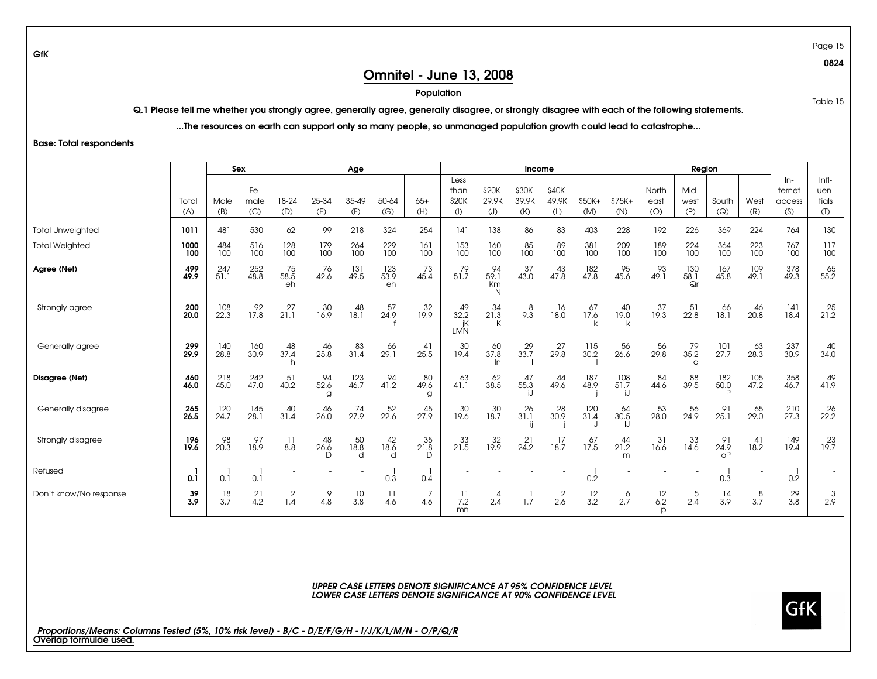0824

Table 15

## Omnitel - June 13, 2008

#### Population

Q.1 Please tell me whether you strongly agree, generally agree, generally disagree, or strongly disagree with each of the following statements.

...The resources on earth can support only so many people, so unmanaged population growth could lead to catastrophe...

Base: Total respondents

GfK

|                         |               |                    | Sex                |                       |                   | Age                    |                              |                   |                         |                       | Income           |                   |                    |                    |                           | Region                 |                         |                |                 |                                    |
|-------------------------|---------------|--------------------|--------------------|-----------------------|-------------------|------------------------|------------------------------|-------------------|-------------------------|-----------------------|------------------|-------------------|--------------------|--------------------|---------------------------|------------------------|-------------------------|----------------|-----------------|------------------------------------|
|                         |               |                    | Fe-                |                       |                   |                        |                              |                   | Less<br>than            | \$20K-                | \$30K-           | \$40K-            |                    |                    | North                     | Mid-                   |                         |                | $ln-$<br>ternet | $Infl-$<br>uen-                    |
|                         | Total         | Male               | male               | 18-24                 | 25-34             | 35-49                  | 50-64                        | $65+$             | \$20K                   | 29.9K                 | 39.9K            | 49.9K             | $$50K+$            | $$75K+$            | east                      | west                   | South                   | West           | access          | tials                              |
|                         | (A)           | (B)                | (C)                | (D)                   | (E)               | (F)                    | (G)                          | (H)               | (                       | (J)                   | (K)              | (L)               | (M)                | (N)                | (O)                       | (P)                    | (Q)                     | (R)            | (S)             | $\sigma$                           |
| <b>Total Unweighted</b> | 1011          | 481                | 530                | 62                    | 99                | 218                    | 324                          | 254               | 141                     | 138                   | 86               | 83                | 403                | 228                | 192                       | 226                    | 369                     | 224            | 764             | 130                                |
| <b>Total Weighted</b>   | 1000<br>100   | 484<br>100         | 516<br>100         | 128<br>100            | 179<br>100        | 264<br>100             | 229<br>100                   | 161<br>100        | 153<br>100              | 160<br>100            | $\frac{85}{100}$ | 89<br>100         | 381<br>100         | 209<br>100         | 189<br>100                | 224<br>100             | 364<br>100              | 223<br>100     | 767<br>$100 -$  | 117<br>100                         |
| Agree (Net)             | 499<br>49.9   | 247<br>51.1        | 252<br>48.8        | $75$<br>58.5<br>eh    | 76<br>42.6        | 131<br>49.5            | 123<br>53.9<br>eh            | 73<br>45.4        | 79<br>51.7              | 94<br>59.1<br>Km<br>N | 37<br>43.0       | 43<br>47.8        | 182<br>47.8        | 95<br>45.6         | 93<br>49.1                | 130<br>58.1<br>Qr      | 167<br>45.8             | 109<br>49.1    | 378<br>49.3     | 65<br>55.2                         |
| Strongly agree          | 200<br>20.0   | $\frac{108}{22.3}$ | $\frac{92}{17.8}$  | 27<br>21.1            | $\frac{30}{16.9}$ | 48<br>18.1             | 57<br>24.9                   | 32<br>19.9        | 49<br>32.2<br>jK<br>LMN | 34<br>21.3            | 8<br>9.3         | 16<br>18.0        | 67<br>17.6         | 40<br>19.0         | 37<br>19.3                | 51<br>22.8             | 66<br>18.1              | 46<br>20.8     | 141<br>18.4     | $^{25}_{21.2}$                     |
| Generally agree         | 299<br>29.9   | 140<br>28.8        | $\frac{160}{30.9}$ | $rac{48}{37.4}$<br>h  | $^{46}_{25.8}$    | $83$<br>31.4           | $66$<br>29.1                 | 41<br>25.5        | $\frac{30}{19.4}$       | 60<br>37.8<br>$\ln$   | 33.7             | 27<br>29.8        | $\frac{115}{30.2}$ | 56<br>26.6         | $\frac{56}{29.8}$         | $\frac{79}{35.2}$<br>q | 101<br>27.7             | $^{63}_{28.3}$ | 237<br>30.9     | $^{40}_{34.0}$                     |
| Disagree (Net)          | 460<br>46.0   | 218<br>45.0        | 242<br>47.0        | 51<br>40.2            | 94<br>52.6<br>g   | 123<br>46.7            | 94<br>41.2                   | 80<br>49.6<br>g   | 63<br>41.1              | 62<br>38.5            | 47<br>55.3<br>IJ | 44<br>49.6        | 187<br>48.9        | 108<br>51.7<br>i.l | 84<br>44.6                | 88<br>39.5             | 182<br>50.0<br>D        | 105<br>47.2    | 358<br>46.7     | 49<br>41.9                         |
| Generally disagree      | $265$<br>26.5 | 120<br>24.7        | $\frac{145}{28.1}$ | 40<br>31.4            | 46<br>26.0        | 74<br>27.9             | 52<br>22.6                   | 45<br>27.9        | 30<br>19.6              | $\frac{30}{18.7}$     | 26<br>31.1       | 28<br>30.9        | 120<br>31.4        | 64<br>30.5         | 53<br>28.0                | $\frac{56}{24.9}$      | -91<br>25.1             | 65<br>29.0     | 210<br>27.3     | $^{26}_{22.2}$                     |
| Strongly disagree       | 196<br>19.6   | $\frac{98}{20.3}$  | 97<br>18.9         | 11<br>8.8             | 48<br>26.6<br>D   | $\frac{50}{18.8}$<br>d | 42<br>$18.\overline{6}$<br>d | $35$<br>21.8<br>D | $33$<br>21.5            | $32$<br>19.9          | $^{21}_{24.2}$   | $\frac{17}{18.7}$ | $\frac{67}{17.5}$  | 44<br>21.2<br>m    | 31<br>16.6                | $\frac{33}{14.6}$      | $\frac{91}{24.9}$<br>OP | 41<br>18.2     | 149<br>19.4     | $\frac{23}{19.7}$                  |
| Refused                 | 0.1           | 0.1                | 0.1                |                       |                   |                        | 0.3                          | 0.4               |                         |                       |                  |                   | 0.2                |                    |                           |                        | 0.3                     |                | 0.2             | $\overline{\phantom{a}}$<br>$\sim$ |
| Don't know/No response  | 39<br>3.9     | 18<br>3.7          | 21<br>4.2          | $\overline{2}$<br>1.4 | 9<br>4.8          | 10<br>3.8              | 11<br>4.6                    | 7<br>4.6          | 7.2<br>mn               | $\overline{A}$<br>2.4 | 1.7              | 2<br>2.6          | $\frac{12}{3.2}$   | 6<br>2.7           | 12<br>6.2<br>$\mathsf{D}$ | 5<br>2.4               | 14<br>3.9               | 8<br>3.7       | 29<br>3.8       | $\frac{3}{2.9}$                    |

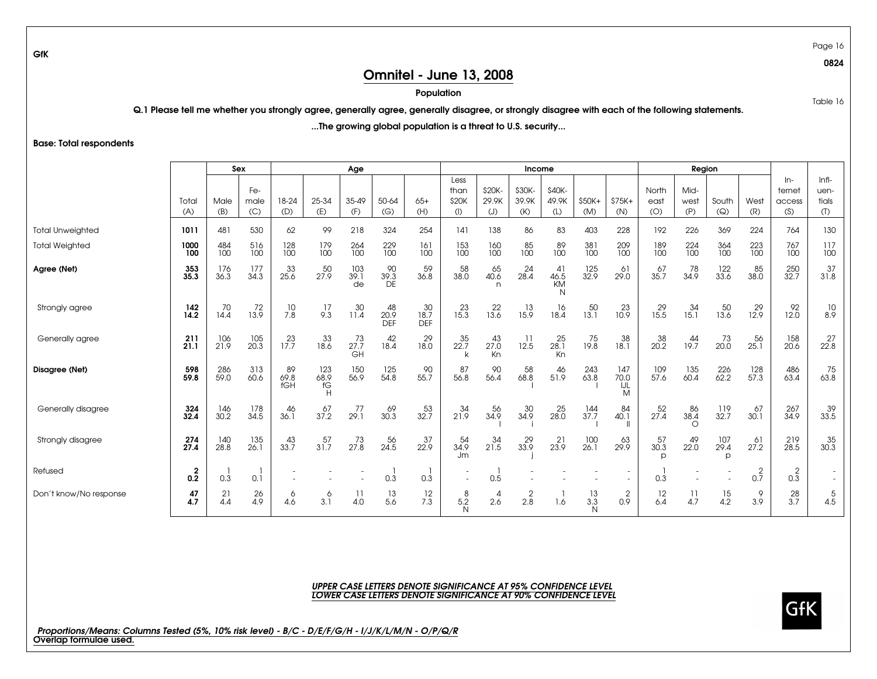Table 16

0824

## Omnitel - June 13, 2008

#### Population

Q.1 Please tell me whether you strongly agree, generally agree, generally disagree, or strongly disagree with each of the following statements.

...The growing global population is a threat to U.S. security...

Base: Total respondents

GfK

|                         |             | Sex                |               | Age              |                   |                    |                         |                          |                       |                  | Income            |                       |                |                                |                            | Region           |                  |                    |                           |                          |
|-------------------------|-------------|--------------------|---------------|------------------|-------------------|--------------------|-------------------------|--------------------------|-----------------------|------------------|-------------------|-----------------------|----------------|--------------------------------|----------------------------|------------------|------------------|--------------------|---------------------------|--------------------------|
|                         | Total       | Male               | Fe-<br>male   | 18-24            | 25-34             | 35-49              | 50-64                   | $65+$                    | Less<br>than<br>\$20K | \$20K-<br>29.9K  | \$30K-<br>39.9K   | \$40K-<br>49.9K       | \$50K+         | $$75K+$                        | North<br>east              | Mid-<br>west     | South            | West               | $In-$<br>ternet<br>access | $Infl-$<br>uen-<br>tials |
|                         | (A)         | (B)                | (C)           | (D)              | (E)               | (F)                | (G)                     | (H)                      | $($  )                | (J)              | (K)               | (L)                   | (M)            | (N)                            | (O)                        | (P)              | (Q)              | (R)                | (S)                       | (1)                      |
| <b>Total Unweighted</b> | 1011        | 481                | 530           | 62               | 99                | 218                | 324                     | 254                      | 141                   | 138              | 86                | 83                    | 403            | 228                            | 192                        | 226              | 369              | 224                | 764                       | 130                      |
| <b>Total Weighted</b>   | 1000<br>100 | 484<br>100         | 516<br>100    | 128<br>100       | 179<br>100        | 264<br>100         | 229<br>$\overline{100}$ | 161<br>100               | 153<br>100            | 160<br>100       | $\frac{85}{100}$  | $\frac{89}{100}$      | 381<br>100     | 209<br>100                     | 189<br>100                 | 224<br>100       | 364<br>100       | 223<br>100         | 767<br>100                | 117<br>100               |
| Agree (Net)             | 353<br>35.3 | 176<br>36.3        | 177<br>34.3   | 33<br>25.6       | 50<br>27.9        | 103<br>39.1<br>de  | 90<br>39.3<br>DE        | 59<br>36.8               | 58<br>38.0            | 65<br>40.6<br>n. | 24<br>28.4        | 41<br>46.5<br>KM<br>N | 125<br>32.9    | 61<br>29.0                     | 67<br>35.7                 | 78<br>34.9       | 122<br>33.6      | 85<br>38.0         | 250<br>32.7               | 37<br>31.8               |
| Strongly agree          | 142<br>14.2 | 70<br>14.4         | 72<br>13.9    | $\frac{10}{7.8}$ | 17<br>9.3         | 30<br>11.4         | 48<br>20.9<br>DEF       | 30<br>18.7<br><b>DEF</b> | $\frac{23}{15.3}$     | 22<br>13.6       | 13<br>15.9        | 16<br>18.4            | 50<br>13.1     | 23<br>10.9                     | $^{29}_{15.5}$             | 34<br>15.1       | 50<br>13.6       | $^{29}_{12.9}$     | $\frac{92}{12.0}$         | $\frac{10}{8.9}$         |
| Generally agree         | 211<br>21.1 | 106<br>21.9        | 105<br>20.3   | 23<br>17.7       | 33<br>18.6        | 73<br>$27.7$<br>GH | 42<br>18.4              | 29<br>18.0               | 35<br>22.7            | 43<br>27.0<br>Kn | -11<br>12.5       | 25<br>28.1<br>Kn      | 75<br>19.8     | 38<br>18.1                     | 38<br>20.2                 | 44<br>19.7       | 73<br>20.0       | 56<br>25.1         | 158<br>20.6               | 27<br>22.8               |
| Disagree (Net)          | 598<br>59.8 | 286<br>59.0        | $313$<br>60.6 | 89,8<br>fGH      | 123<br>68.9<br>fG | 150<br>56.9        | 125<br>54.8             | $\frac{90}{55.7}$        | $87$<br>$56.8$        | 90<br>56.4       | $\frac{58}{68.8}$ | $^{46}_{51.9}$        | 243<br>63.8    | $\frac{147}{70.0}$<br>IJL<br>M | $\frac{109}{57.6}$         | 135<br>60.4      | $^{226}_{62.2}$  | $\frac{128}{57.3}$ | 486<br>63.4               | $75$<br>63.8             |
| Generally disagree      | 324<br>32.4 | $\frac{146}{30.2}$ | 178<br>34.5   | 46<br>36.1       | 67<br>37.2        | 77<br>29.1         | 69<br>30.3              | 53<br>32.7               | $\frac{34}{21.9}$     | 56<br>34.9       | 30<br>34.9        | 25<br>28.0            | 144<br>37.7    | 84<br>40.1                     | 52<br>27.4                 | 86<br>38.4<br>∩  | 119<br>32.7      | 67<br>30.1         | 267<br>34.9               | 39<br>33.5               |
| Strongly disagree       | 274<br>27.4 | $\frac{140}{28.8}$ | 135<br>26.1   | $rac{43}{33.7}$  | $\frac{57}{31.7}$ | $\frac{73}{27.8}$  | 56<br>24.5              | 37<br>22.9               | 54<br>34.9<br>Jm      | 34<br>21.5       | 29<br>33.9        | 21<br>23.9            | 100<br>26.1    | 63<br>29.9                     | 57<br>30.3<br>$\mathsf{D}$ | $^{49}_{22.0}$   | 107<br>29.4<br>D | $^{61}_{27.2}$     | 219<br>28.5               | $35$<br>30.3             |
| Refused                 | 2<br>0.2    | 0.3                | 0.1           |                  |                   |                    | 0.3                     | 0.3                      |                       | 0.5              |                   |                       |                |                                | 0.3                        |                  |                  | 2<br>0.7           | $0.\overline{3}$          |                          |
| Don't know/No response  | 47<br>4.7   | 21<br>4.4          | 26<br>4.9     | 6<br>4.6         | 6<br>3.1          | 11<br>4.0          | $\frac{13}{5.6}$        | $\frac{12}{7.3}$         | $rac{8}{5.2}$<br>N    | 4<br>2.6         | $\frac{2}{2.8}$   | 1.6                   | 13<br>3.3<br>N | $\overline{2}$<br>0.9          | $\frac{12}{6.4}$           | $\frac{11}{4.7}$ | $\frac{15}{4.2}$ | 9<br>3.9           | 28<br>3.7                 | 4.5                      |

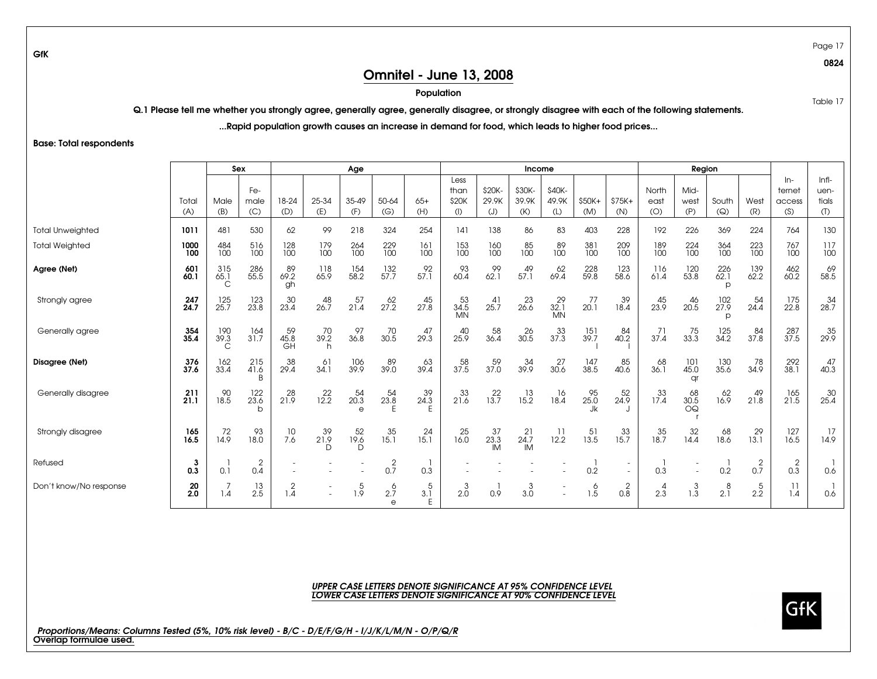0824

Table 17

## Omnitel - June 13, 2008

#### Population

Q.1 Please tell me whether you strongly agree, generally agree, generally disagree, or strongly disagree with each of the following statements.

...Rapid population growth causes an increase in demand for food, which leads to higher food prices...

Base: Total respondents

GfK

|                         |                    |                             | Sex                                | Age                |                  |                                   |                        |                   | Income                         |                        |                        |                                |                         | Region                   |                      |                          |                         |                   |                                  |                                      |
|-------------------------|--------------------|-----------------------------|------------------------------------|--------------------|------------------|-----------------------------------|------------------------|-------------------|--------------------------------|------------------------|------------------------|--------------------------------|-------------------------|--------------------------|----------------------|--------------------------|-------------------------|-------------------|----------------------------------|--------------------------------------|
|                         | Total<br>(A)       | Male<br>(B)                 | Fe-<br>male<br>(C)                 | 18-24<br>(D)       | 25-34<br>(E)     | 35-49<br>(F)                      | 50-64<br>(G)           | $65+$<br>(H)      | Less<br>than<br>\$20K<br>(     | \$20K-<br>29.9K<br>(J) | \$30K-<br>39.9K<br>(K) | \$40K-<br>49.9K<br>(L)         | \$50K+<br>(M)           | $$75K+$<br>(N)           | North<br>east<br>(O) | Mid-<br>west<br>(P)      | South<br>(Q)            | West<br>(R)       | $ln-$<br>ternet<br>access<br>(S) | $Infl-$<br>uen-<br>tials<br>$\sigma$ |
| <b>Total Unweighted</b> | 1011               | 481                         | 530                                | 62                 | 99               | 218                               | 324                    | 254               | 141                            | 138                    | 86                     | 83                             | 403                     | 228                      | 192                  | 226                      | 369                     | 224               | 764                              | 130                                  |
| <b>Total Weighted</b>   | 1000<br>100        | 484<br>100                  | 516<br>100                         | 128<br>100         | 179<br>100       | 264<br>100                        | 229<br>100             | 161<br>100        | 153<br>100                     | 160<br>100             | 85<br>100              | 89<br>100                      | 381<br>100              | 209<br>100               | 189<br>100           | 224<br>100               | 364<br>100              | 223<br>100        | 767<br>100                       | 117<br>100                           |
| Agree (Net)             | 601<br>60.1        | 315<br>65.1<br>$\mathsf{C}$ | 286<br>55.5                        | 89<br>69.2<br>gh   | 118<br>65.9      | 154<br>58.2                       | 132<br>57.7            | 92<br>57.1        | 93<br>60.4                     | 99<br>62.1             | 49<br>57.1             | 62<br>69.4                     | 228<br>59.8             | 123<br>58.6              | 116<br>61.4          | 120<br>53.8              | 226<br>62.1<br>p        | 139<br>62.2       | 462<br>60.2                      | 69<br>58.5                           |
| Strongly agree          | $247$<br>24.7      | 125<br>25.7                 | $\frac{123}{23.8}$                 | 30<br>23.4         | 48<br>26.7       | $\frac{57}{21.4}$                 | $^{62}_{27.2}$         | $^{45}_{27.8}$    | $\frac{53}{34.5}$<br><b>MN</b> | $^{41}_{25.7}$         | $^{23}_{26.6}$         | $\frac{29}{32.1}$<br><b>MN</b> | 77<br>20.1              | $\frac{39}{18.4}$        | 45<br>23.9           | $^{46}_{20.5}$           | $\frac{102}{27.9}$<br>p | $\frac{54}{24.4}$ | 175<br>22.8                      | $\frac{34}{28.7}$                    |
| Generally agree         | 354<br>35.4        | 190<br>39.3<br>$\mathsf{C}$ | 164<br>31.7                        | $59$<br>45.8<br>GH | 70<br>39.2<br>h. | 97<br>36.8                        | $70$<br>30.5           | 47<br>29.3        | 40<br>25.9                     | 58<br>36.4             | 26<br>30.5             | 33<br>37.3                     | 151<br>39.7             | 84<br>40.2               | 71<br>37.4           | $75$<br>33.3             | 125<br>34.2             | 84<br>37.8        | 287<br>37.5                      | $\frac{35}{29.9}$                    |
| Disagree (Net)          | 376<br>37.6        | 162<br>33.4                 | $^{215}_{41.6}$                    | 38<br>29.4         | $rac{61}{34.1}$  | 106<br>39.9                       | $89$<br>39.0           | $63$<br>39.4      | $\frac{58}{37.5}$              | $\frac{59}{37.0}$      | 34<br>39.9             | $\frac{27}{30.6}$              | 147<br>38.5             | 85<br>40.6               | 68<br>36.1           | $\frac{101}{45.0}$<br>ar | 130<br>35.6             | 78<br>34.9        | 292<br>38.1                      | 47<br>40.3                           |
| Generally disagree      | $\frac{211}{21.1}$ | $\frac{90}{18.5}$           | $\frac{122}{23.6}$<br>$\mathsf{b}$ | $^{28}_{21.9}$     | $^{22}_{12.2}$   | $\frac{54}{20.3}$<br>$\mathsf{e}$ | $\frac{54}{23.8}$<br>E | $39$<br>24.3<br>E | $33$<br>21.6                   | $\frac{22}{13.7}$      | $\frac{13}{15.2}$      | $\frac{16}{18.4}$              | $\frac{95}{25.0}$<br>Jk | $\frac{52}{24.9}$        | $\frac{33}{17.4}$    | $rac{68}{30.5}$<br>OQ    | $^{62}_{16.9}$          | $^{49}_{21.8}$    | $\frac{165}{21.5}$               | $\frac{30}{25.4}$                    |
| Strongly disagree       | 165<br>16.5        | 72<br>14.9                  | 93<br>18.0                         | 10<br>7.6          | 39<br>21.9<br>D  | 52<br>19.6<br>D                   | 35<br>15.1             | 24<br>15.1        | 25<br>16.0                     | 37<br>23.3<br>IM       | 21<br>24.7<br>IM       | -11<br>12.2                    | 51<br>13.5              | 33<br>15.7               | 35<br>18.7           | 32<br>14.4               | 68<br>18.6              | 29<br>13.1        | 127<br>16.5                      | 17<br>14.9                           |
| Refused                 | 3<br>0.3           | 0.1                         | $0.4^{2}$                          |                    |                  |                                   | $0.\overline{7}$       | 0.3               |                                |                        |                        |                                | 0.2                     | $\overline{\phantom{a}}$ | 0.3                  |                          | 0.2                     | $0.\overline{7}$  | $\frac{2}{0.3}$                  | 0.6                                  |
| Don't know/No response  | 20<br>2.0          | 1.4                         | $\frac{13}{2.5}$                   | $\frac{2}{1.4}$    |                  | $\frac{5}{1.9}$                   | 6<br>2.7<br>$\Theta$   | 5<br>3.1<br>F     | 3<br>2.0                       | 0.9                    | 3<br>3.0               |                                | $^{6}_{1.5}$            | $0.\overline{8}$         | 4<br>2.3             | $3^{3}$                  | 8<br>2.1                | 5<br>2.2          | 11<br>1.4                        | 0.6                                  |

#### *UPPER CASE LETTERS DENOTE SIGNIFICANCE AT 95% CONFIDENCE LEVELLOWER CASE LETTERS DENOTE SIGNIFICANCE AT 90% CONFIDENCE LEVEL*

*Proportions/Means: Columns Tested (5%, 10% risk level) - B/C - D/E/F/G/H - I/J/K/L/M/N - O/P/Q/R* Overlap formulae used.

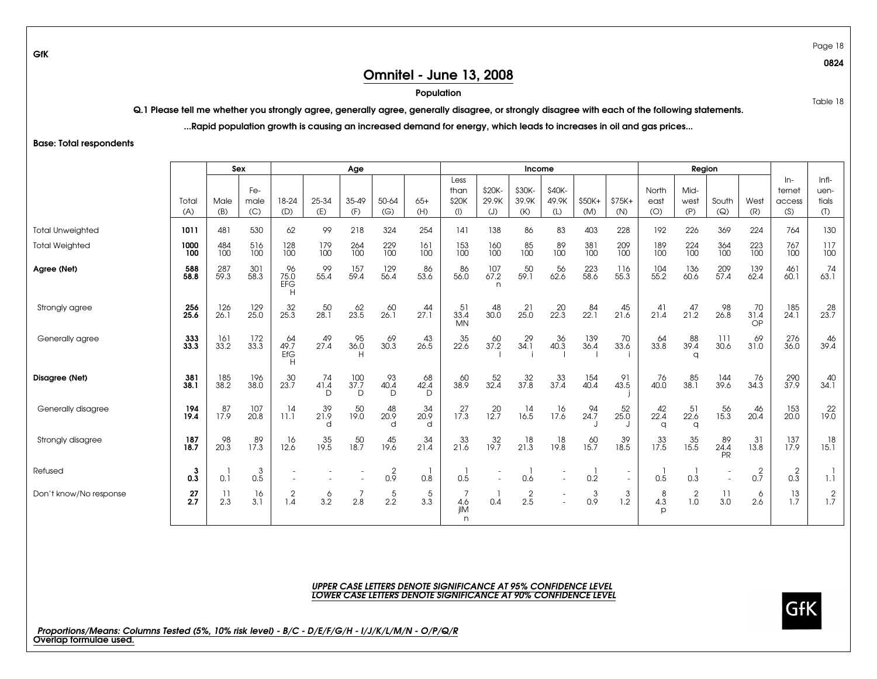Table 18

0824

## Omnitel - June 13, 2008

#### Population

Q.1 Please tell me whether you strongly agree, generally agree, generally disagree, or strongly disagree with each of the following statements.

...Rapid population growth is causing an increased demand for energy, which leads to increases in oil and gas prices...

Base: Total respondents

GfK

|                         |                 |                   | Sex                | Age                    |                       |                        |                       |                        |                          |                   | Income                |                   |                |              |                                  | Region                 |                         |                       |                           |                          |
|-------------------------|-----------------|-------------------|--------------------|------------------------|-----------------------|------------------------|-----------------------|------------------------|--------------------------|-------------------|-----------------------|-------------------|----------------|--------------|----------------------------------|------------------------|-------------------------|-----------------------|---------------------------|--------------------------|
|                         | Total           | Male              | Fe-<br>male        | 18-24                  | 25-34                 | 35-49                  | 50-64                 | $65+$                  | Less<br>than<br>\$20K    | \$20K-<br>29.9K   | \$30K-<br>39.9K       | \$40K-<br>49.9K   | \$50K+         | $$75K+$      | North<br>east                    | Mid-<br>west           | South                   | West                  | $ln-$<br>ternet<br>access | $Infl-$<br>uen-<br>tials |
|                         | (A)             | (B)               | (C)                | (D)                    | (E)                   | (F)                    | (G)                   | (H)                    | (                        | (J)               | (K)                   | (L)               | (M)            | (N)          | (O)                              | (P)                    | (Q)                     | (R)                   | (S)                       | (1)                      |
| <b>Total Unweighted</b> | 1011            | 481               | 530                | 62                     | 99                    | 218                    | 324                   | 254                    | 141                      | 138               | 86                    | 83                | 403            | 228          | 192                              | 226                    | 369                     | 224                   | 764                       | 130                      |
| <b>Total Weighted</b>   | 1000<br>100     | 484<br>100        | 516<br>100         | 128<br>100             | 179<br>100            | 264<br>100             | 229<br>100            | 161<br>100             | 153<br>100               | 160<br>100        | 85<br>100             | 89<br>100         | 381<br>100     | 209<br>100   | 189<br>100                       | 224<br>100             | 364<br>100              | 223<br>100            | 767<br>100                | 117<br>100               |
| Agree (Net)             | 588<br>58.8     | 287<br>59.3       | 301<br>58.3        | 96<br>75.0<br>EFG<br>H | 99<br>55.4            | 157<br>59.4            | 129<br>56.4           | 86<br>53.6             | 86<br>56.0               | 107<br>67.2<br>n  | 50<br>59.1            | 56<br>62.6        | 223<br>58.6    | 116<br>55.3  | $\frac{104}{55.2}$               | 136<br>60.6            | 209<br>57.4             | 139<br>62.4           | 461<br>60.1               | 74<br>63.1               |
| Strongly agree          | 256<br>25.6     | 126<br>26.1       | $\frac{129}{25.0}$ | $32$<br>25.3           | $\frac{50}{28.1}$     | $62$<br>23.5           | 60<br>26.1            | 44<br>27.1             | -51<br>33.4<br><b>MN</b> | 48<br>30.0        | $^{21}_{25.0}$        | $^{20}_{22.3}$    | 84<br>22.1     | 45<br>21.6   | 41<br>21.4                       | $^{47}_{21.2}$         | $\frac{98}{26.8}$       | 70<br>31.4<br>OP      | 185<br>24.1               | $^{28}_{23.7}$           |
| Generally agree         | 333<br>33.3     | 161<br>33.2       | 172<br>33.3        | 64<br>49.7<br>EfG<br>H | 49<br>27.4            | $\frac{95}{36.0}$<br>H | 69<br>30.3            | 43<br>26.5             | $35$<br>22.6             | 60<br>37.2        | 29<br>34.1            | 36<br>40.3        | 139<br>36.4    | 70<br>33.6   | 64<br>33.8                       | 88<br>39.4<br>$\Omega$ | -111<br>30.6            | 69<br>31.0            | 276<br>36.0               | 46<br>39.4               |
| Disagree (Net)          | 381<br>38.1     | 185<br>38.2       | 196<br>38.0        | 30<br>23.7             | 74<br>41.4<br>D       | 100<br>37.7<br>D       | 93<br>40.4<br>D       | 68<br>42.4<br>D        | 60<br>38.9               | 52<br>32.4        | $\frac{32}{37.8}$     | 33<br>37.4        | 154<br>40.4    | 91<br>43.5   | $76$<br>40.0                     | 85<br>38.1             | 144<br>39.6             | 76<br>34.3            | 290<br>37.9               | 40<br>34.1               |
| Generally disagree      | 194<br>19.4     | 87<br>17.9        | 107<br>20.8        | 14<br>11.1             | 39<br>21.9<br>d       | 50<br>19.0             | 48<br>20.9<br>d       | 34<br>20.9<br>d        | 27<br>17.3               | 20<br>12.7        | 14<br>16.5            | 16<br>17.6        | 94<br>24.7     | 52<br>25.0   | 42<br>22.4<br>$\alpha$           | 51<br>22.6<br>q        | 56<br>15.3              | 46<br>20.4            | 153<br>20.0               | $^{22}_{19.0}$           |
| Strongly disagree       | $187$<br>$18.7$ | $\frac{98}{20.3}$ | $89$<br>17.3       | 16<br>12.6             | $\frac{35}{19.5}$     | $\frac{50}{18.7}$      | 45<br>19.6            | $34$<br>21.4           | $33$<br>21.6             | $\frac{32}{19.7}$ | $\frac{18}{21.3}$     | $\frac{18}{19.8}$ | $^{60}_{15.7}$ | $39$<br>18.5 | $\frac{33}{17.5}$                | $35$<br>15.5           | 89<br>24.4<br><b>PR</b> | 31<br>13.8            | 137<br>17.9               | $\frac{18}{15.1}$        |
| Refused                 | 3<br>0.3        | 0.1               | 3<br>0.5           |                        |                       |                        | $\overline{2}$<br>0.9 | 0.8                    | 0.5                      |                   | 0.6                   |                   | 0.2            | ٠            | 0.5                              | 0.3                    |                         | $\overline{2}$<br>0.7 | $\overline{2}$<br>0.3     | 1.1                      |
| Don't know/No response  | 27<br>2.7       | 11<br>2.3         | 16<br>3.1          | $\overline{2}$<br>1.4  | 6<br>$3.\overline{2}$ | 7<br>2.8               | 5<br>2.2              | $5\phantom{.0}$<br>3.3 | 4.6<br>jIM<br>n          | 0.4               | $\overline{2}$<br>2.5 |                   | 3<br>0.9       | 3<br>1.2     | 8<br>$4.\bar{3}$<br>$\mathsf{D}$ | $1.0^{2}$              | 11<br>3.0               | 6<br>2.6              | 13<br>1.7                 | $1.7^{2}$                |

#### *UPPER CASE LETTERS DENOTE SIGNIFICANCE AT 95% CONFIDENCE LEVELLOWER CASE LETTERS DENOTE SIGNIFICANCE AT 90% CONFIDENCE LEVEL*

*Proportions/Means: Columns Tested (5%, 10% risk level) - B/C - D/E/F/G/H - I/J/K/L/M/N - O/P/Q/R* Overlap formulae used.

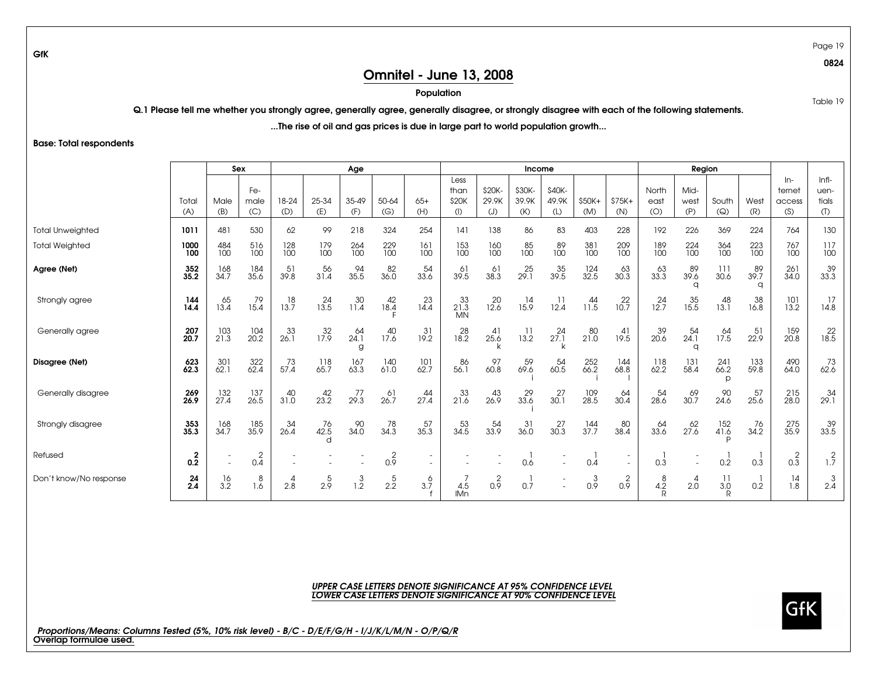Table 19

0824

## Omnitel - June 13, 2008

Population

Q.1 Please tell me whether you strongly agree, generally agree, generally disagree, or strongly disagree with each of the following statements.

...The rise of oil and gas prices is due in large part to world population growth...

Base: Total respondents

GfK

|                         |                 | Sex                |                       |                                           |                              | Age               |                         |                               |                                |                       | Income            |                   |                    |                                           |                   | Region                 |                                 |                   |                 |                   |
|-------------------------|-----------------|--------------------|-----------------------|-------------------------------------------|------------------------------|-------------------|-------------------------|-------------------------------|--------------------------------|-----------------------|-------------------|-------------------|--------------------|-------------------------------------------|-------------------|------------------------|---------------------------------|-------------------|-----------------|-------------------|
|                         |                 |                    | Fe-                   |                                           |                              |                   |                         |                               | Less<br>than                   | \$20K-                | \$30K-            | \$40K-            |                    |                                           | North             | Mid-                   |                                 |                   | $In-$<br>ternet | $Infl-$<br>uen-   |
|                         | Total<br>(A)    | Male<br>(B)        | male<br>(C)           | 18-24<br>(D)                              | 25-34<br>(E)                 | 35-49<br>(F)      | 50-64<br>(G)            | $65+$<br>(H)                  | \$20K<br>$($ l $)$             | 29.9K<br>(J)          | 39.9K<br>(K)      | 49.9K<br>(L)      | \$50K+<br>(M)      | $$75K+$<br>(N)                            | east<br>(O)       | west<br>(P)            | South<br>(Q)                    | West<br>(R)       | access<br>(S)   | tials<br>(1)      |
| <b>Total Unweighted</b> | 1011            | 481                | 530                   | 62                                        | 99                           | 218               | 324                     | 254                           | 141                            | 138                   | 86                | 83                | 403                | 228                                       | 192               | 226                    | 369                             | 224               | 764             | 130               |
| <b>Total Weighted</b>   | 1000<br>100     | 484<br>100         | 516<br>$100 -$        | 128<br>100                                | 179<br>100                   | 264<br>100        | 229<br>100              | 161<br>100                    | 153<br>100                     | 160<br>100            | $\frac{85}{100}$  | $\frac{89}{100}$  | 381<br>100         | 209<br>100                                | 189<br>100        | 224<br>100             | 364<br>100                      | 223<br>100        | 767<br>$100 -$  | 117<br>100        |
| Agree (Net)             | $352$<br>$35.2$ | 168<br>34.7        | 184<br>35.6           | 51<br>39.8                                | 56<br>31.4                   | $94$<br>35.5      | 82<br>36.0              | 54<br>33.6                    | 61<br>39.5                     | 61<br>38.3            | 25<br>29.1        | 35<br>39.5        | $\frac{124}{32.5}$ | 63<br>30.3                                | 63<br>33.3        | 89<br>39.6<br>O        | 111<br>30.6                     | 89<br>39.7<br>a   | 261<br>34.0     | $39$<br>$33.3$    |
| Strongly agree          | 144<br>14.4     | $^{65}_{13.4}$     | $79$<br>15.4          | $\frac{18}{13.7}$                         | $\frac{24}{13.5}$            | $\frac{30}{11.4}$ | 42<br>$18.\overline{4}$ | $\frac{23}{14.4}$             | $\frac{33}{21.3}$<br><b>MN</b> | $\frac{20}{12.6}$     | $\frac{14}{15.9}$ | -11<br>12.4       | 44<br>11.5         | $^{22}_{10.7}$                            | $\frac{24}{12.7}$ | $35$<br>15.5           | 48<br>13.1                      | $\frac{38}{16.8}$ | 101<br>13.2     | $\frac{17}{14.8}$ |
| Generally agree         | 207<br>20.7     | $\frac{103}{21.3}$ | $\frac{104}{20.2}$    | 33<br>26.1                                | $\frac{32}{17.9}$            | 64<br>24.1<br>g   | 40<br>17.6              | 31<br>19.2                    | $\frac{28}{18.2}$              | 41<br>25.6            | -11<br>13.2       | $^{24}_{27.1}$    | 80<br>21.0         | $\begin{array}{c} 41 \\ 19.5 \end{array}$ | 39<br>20.6        | 54<br>24.1<br>$\Omega$ | $^{64}_{17.5}$                  | -51<br>22.9       | 159<br>20.8     | $^{22}_{18.5}$    |
| Disagree (Net)          | $623$<br>$62.3$ | 301<br>62.1        | $\frac{322}{62.4}$    | $73$<br>57.4                              | 118<br>65.7                  | 167<br>63.3       | 140<br>61.0             | 101<br>62.7                   | 86<br>56.1                     | 97<br>60.8            | 59<br>69.6        | 54<br>60.5        | 252<br>66.2        | 144<br>68.8                               | 118<br>62.2       | $\frac{131}{58.4}$     | $^{241}_{66.2}$<br>$\mathsf{D}$ | 133<br>59.8       | 490<br>64.0     | $73$<br>62.6      |
| Generally disagree      | $269$<br>26.9   | $\frac{132}{27.4}$ | $\frac{137}{26.5}$    | $\begin{array}{c} 40 \\ 31.0 \end{array}$ | $^{42}_{23.2}$               | $77$<br>29.3      | $^{61}_{26.7}$          | 44<br>27.4                    | $33$<br>21.6                   | $^{43}_{26.9}$        | $\frac{29}{33.6}$ | $\frac{27}{30.1}$ | $\frac{109}{28.5}$ | $rac{64}{30.4}$                           | $\frac{54}{28.6}$ | $rac{69}{30.7}$        | $\frac{90}{24.6}$               | $\frac{57}{25.6}$ | $215$<br>$28.0$ | $\frac{34}{29.1}$ |
| Strongly disagree       | 353<br>35.3     | 168<br>34.7        | 185<br>35.9           | $34$<br>26.4                              | $76$<br>42.5<br><sub>d</sub> | 90<br>34.0        | 78<br>34.3              | 57<br>35.3                    | $\frac{53}{34.5}$              | $\frac{54}{33.9}$     | 31<br>36.0        | 27<br>30.3        | $\frac{144}{37.7}$ | 80<br>38.4                                | 64<br>33.6        | 62<br>27.6             | $\frac{152}{41.6}$<br>D         | 76<br>34.2        | 275<br>35.9     | $39$<br>33.5      |
| Refused                 | 2<br>0.2        |                    | $\overline{2}$<br>0.4 |                                           |                              |                   | $\frac{2}{0.9}$         | $\overline{\phantom{a}}$<br>۰ |                                |                       | 0.6               |                   | 0.4                |                                           | 0.3               |                        | 0.2                             | 0.3               | $\frac{2}{0.3}$ | $1.7^{2}$         |
| Don't know/No response  | 24<br>2.4       | $\frac{16}{3.2}$   | 8<br>1.6              | $\overline{4}$<br>2.8                     | 5<br>2.9                     | $\frac{3}{1.2}$   | 5<br>2.2                | 6<br>3.7                      | 4.5<br><b>IMn</b>              | $\overline{2}$<br>0.9 | 0.7               |                   | 3<br>0.9           | $\frac{2}{0.9}$                           | 8<br>4.2          | $\overline{4}$<br>2.0  | 11<br>3.0<br>R                  | 0.2               | 14<br>1.8       | $\frac{3}{2.4}$   |

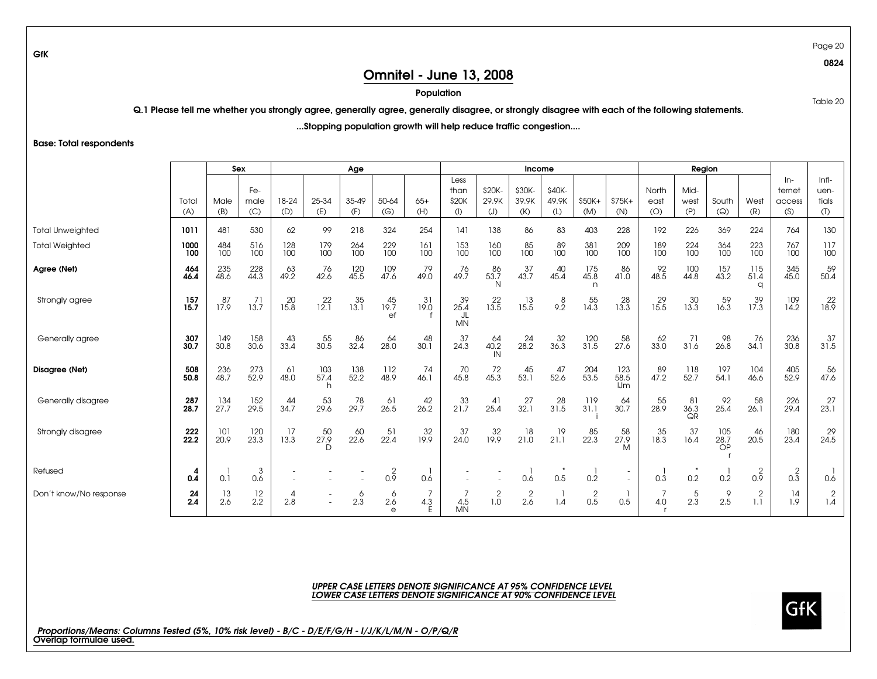Table 20

0824

## Omnitel - June 13, 2008

#### Population

Q.1 Please tell me whether you strongly agree, generally agree, generally disagree, or strongly disagree with each of the following statements.

...Stopping population growth will help reduce traffic congestion....

Base: Total respondents

GfK

|                         |                 |                  | Sex                      | Age            |                         |                   |                      |                   |                                 |                   | Income            |                      |                    |                                  |                   | Region             |                     |                       |                                                  |                          |
|-------------------------|-----------------|------------------|--------------------------|----------------|-------------------------|-------------------|----------------------|-------------------|---------------------------------|-------------------|-------------------|----------------------|--------------------|----------------------------------|-------------------|--------------------|---------------------|-----------------------|--------------------------------------------------|--------------------------|
|                         | Total           | Male             | Fe-<br>male              | 18-24          | 25-34                   | 35-49             | 50-64                | $65+$             | Less<br>than<br>\$20K           | \$20K-<br>29.9K   | \$30K-<br>39.9K   | \$40K-<br>49.9K      | \$50K+             | $$75K+$                          | North<br>east     | Mid-<br>west       | South               | West                  | $ln-$<br>ternet<br>access                        | $Infl-$<br>uen-<br>tials |
|                         | (A)             | (B)              | (C)                      | (D)            | (E)                     | (F)               | (G)                  | (H)               | $($ l                           | (J)               | (K)               | (L)                  | (M)                | (N)                              | (O)               | (P)                | (Q)                 | (R)                   | (S)                                              | (T)                      |
| <b>Total Unweighted</b> | 1011            | 481              | 530                      | 62             | 99                      | 218               | 324                  | 254               | 141                             | 138               | 86                | 83                   | 403                | 228                              | 192               | 226                | 369                 | 224                   | 764                                              | 130                      |
| <b>Total Weighted</b>   | 1000<br>100     | 484<br>100       | 516<br>100               | 128<br>100     | 179<br>100              | 264<br>100        | 229<br>100           | 161<br>100        | 153<br>100                      | 160<br>100        | $\frac{85}{100}$  | $\frac{89}{100}$     | 381<br>100         | 209<br>100                       | 189<br>100        | 224<br>100         | 364<br>100          | 223<br>100            | 767<br>100                                       | 117<br>100               |
| Agree (Net)             | 464<br>46.4     | 235<br>48.6      | $^{228}_{44.3}$          | $63$<br>49.2   | 76<br>42.6              | 120<br>45.5       | 109<br>47.6          | 79<br>49.0        | 76<br>49.7                      | 86<br>53.7        | 37<br>43.7        | 40<br>45.4           | 175<br>45.8<br>n.  | 86<br>41.0                       | $92$<br>48.5      | $\frac{100}{44.8}$ | $157$<br>43.2       | 115<br>51.4<br>a      | 345<br>45.0                                      | $\frac{59}{50.4}$        |
| Strongly agree          | $157$<br>15.7   | 87<br>17.9       | $\frac{71}{13.7}$        | $^{20}_{15.8}$ | $\frac{22}{12.1}$       | $\frac{35}{13.1}$ | $^{45}_{19.7}$<br>ef | $\frac{31}{19.0}$ | $39$<br>25.4<br>JL<br><b>MN</b> | $\frac{22}{13.5}$ | $\frac{13}{15.5}$ | 8,2                  | $\frac{55}{14.3}$  | $^{28}_{13.3}$                   | $\frac{29}{15.5}$ | $\frac{30}{13.3}$  | $\frac{59}{16.3}$   | $\frac{39}{17.3}$     | 109<br>14.2                                      | $^{22}_{18.9}$           |
| Generally agree         | 307<br>30.7     | 149<br>30.8      | 158<br>30.6              | 43<br>33.4     | 55<br>30.5              | 86<br>32.4        | 64<br>28.0           | 48<br>30.1        | 37<br>24.3                      | 64<br>40.2<br>IN  | 24<br>28.2        | $32$<br>$36.3$       | $\frac{120}{31.5}$ | 58<br>27.6                       | 62<br>33.0        | 71<br>31.6         | 98<br>26.8          | 76<br>34.1            | 236<br>30.8                                      | 37<br>31.5               |
| Disagree (Net)          | 508<br>50.8     | 236<br>48.7      | 273<br>52.9              | $^{61}_{48.0}$ | $\frac{103}{57.4}$<br>h | 138<br>52.2       | $\frac{112}{48.9}$   | $74$<br>46.1      | 70<br>45.8                      | $72$<br>45.3      | $45$<br>53.1      | $47$ <sub>52.6</sub> | 204<br>53.5        | $\frac{123}{58.5}$<br><b>IJm</b> | $89$<br>47.2      | $\frac{118}{52.7}$ | $197$<br>54.1       | $\frac{104}{46.6}$    | 405<br>52.9                                      | $\frac{56}{47.6}$        |
| Generally disagree      | 287<br>28.7     | 134<br>27.7      | $152$<br>29.5            | 44<br>34.7     | 53<br>29.6              | 78<br>29.7        | 61<br>26.5           | 42<br>26.2        | $\frac{33}{21.7}$               | 41<br>25.4        | 27<br>32.1        | 28<br>31.5           | 119<br>31.1        | 64<br>30.7                       | 55<br>28.9        | 81<br>36.3<br>QR   | 92<br>25.4          | 58<br>26.1            | 226<br>29.4                                      | 27<br>23.1               |
| Strongly disagree       | $^{222}_{22.2}$ | 101<br>20.9      | 120<br>$23.\overline{3}$ | 17<br>13.3     | $\frac{50}{27.9}$<br>D  | 60<br>22.6        | 51<br>22.4           | 32<br>19.9        | 37<br>24.0                      | 32<br>19.9        | 18<br>21.0        | 19<br>21.1           | 85<br>22.3         | 58<br>27.9<br>M                  | 35<br>18.3        | 37<br>16.4         | 105<br>$28.7$<br>OP | 46<br>20.5            | 180<br>23.4                                      | $^{29}_{24.5}$           |
| Refused                 | 4<br>0.4        | 0.1              | 3<br>0.6                 |                |                         |                   | 2<br>0.9             | 0.6               |                                 |                   | 0.6               | 0.5                  | 0.2                |                                  | 0.3               | 0.2                | 0.2                 | $\overline{2}$<br>0.9 | $\begin{smallmatrix} 2 \\ 0.3 \end{smallmatrix}$ | 0.6                      |
| Don't know/No response  | 24<br>2.4       | $\frac{13}{2.6}$ | $^{12}_{2.2}$            | 4<br>2.8       |                         | 6<br>$2.\bar{3}$  | 6<br>2.6<br>$\Theta$ | 7<br>4.3<br>E     | 4.5<br><b>MN</b>                | $1.0^{2}$         | $2.\overline{6}$  | 1.4                  | $\frac{2}{0.5}$    | 0.5                              | 4.0               | 5<br>$2.\bar{3}$   | 9<br>2.5            | $1.1^{2}$             | 14<br>1.9                                        | $\frac{2}{1.4}$          |

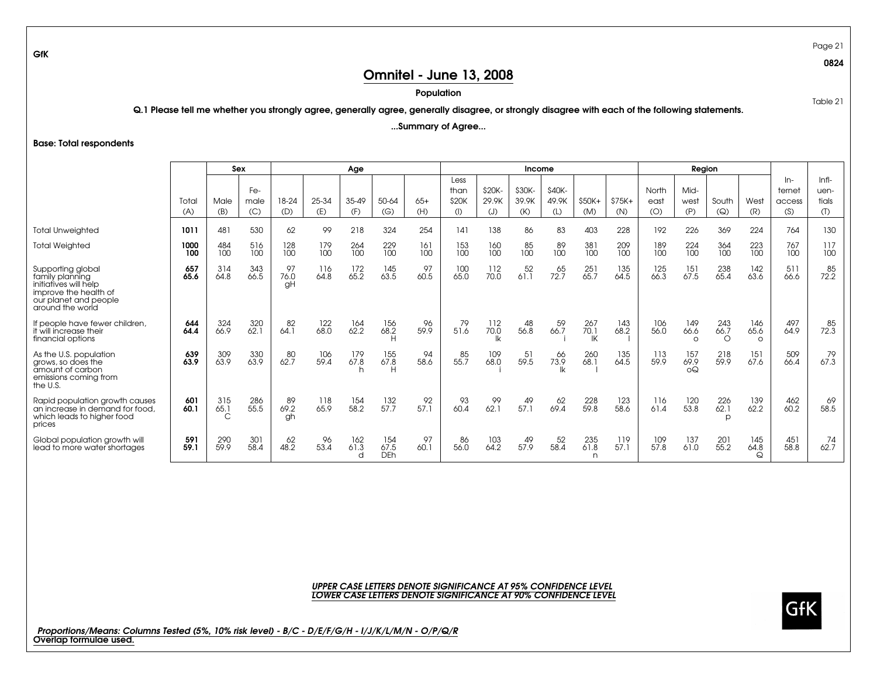Page 21 0824

Table 21

## Omnitel - June 13, 2008

#### Population

Q.1 Please tell me whether you strongly agree, generally agree, generally disagree, or strongly disagree with each of the following statements.

#### ...Summary of Agree...

Base: Total respondents

|                                                                                                                                     |             | Sex              |                    |                  |             | Age              |                    |            |             |                   | Income      |            |                  |             |             | Region                  |                            |                         |             |            |
|-------------------------------------------------------------------------------------------------------------------------------------|-------------|------------------|--------------------|------------------|-------------|------------------|--------------------|------------|-------------|-------------------|-------------|------------|------------------|-------------|-------------|-------------------------|----------------------------|-------------------------|-------------|------------|
|                                                                                                                                     |             |                  |                    |                  |             |                  |                    |            | Less        |                   |             |            |                  |             |             |                         |                            |                         | $In-$       | $Infl-$    |
|                                                                                                                                     |             |                  | Fe-                |                  |             |                  |                    |            | than        | \$20K-            | \$30K-      | \$40K-     |                  |             | North       | Mid-                    |                            |                         | ternet      | uen-       |
|                                                                                                                                     | Total       | Male             | male               | 18-24            | 25-34       | 35-49            | 50-64              | $65+$      | \$20K       | 29.9K             | 39.9K       | 49.9K      | $$50K+$          | $$75K+$     | east        | west                    | South                      | West                    | access      | tials      |
|                                                                                                                                     | (A)         | (B)              | (C)                | (D)              | (E)         | (F)              | (G)                | (H)        | $($ l       | (J)               | (K)         | (L)        | (M)              | (N)         | (O)         | (P)                     | (Q)                        | (R)                     | (S)         | (1)        |
| <b>Total Unweighted</b>                                                                                                             | 1011        | 481              | 530                | 62               | 99          | 218              | 324                | 254        | 141         | 138               | 86          | 83         | 403              | 228         | 192         | 226                     | 369                        | 224                     | 764         | 130        |
| <b>Total Weighted</b>                                                                                                               | 1000<br>100 | 484<br>100       | 516<br>100         | 128<br>100       | 179<br>100  | 264<br>100       | 229<br>100         | 161<br>100 | 153<br>100  | 160<br>100        | 85<br>100   | 89<br>100  | 381<br>100       | 209<br>100  | 189<br>100  | 224<br>100              | 364<br>100                 | 223<br>100              | 767<br>100  | 117<br>100 |
| Supporting global<br>family planning<br>initiatives will help<br>improve the health of<br>our planet and people<br>around the world | 657<br>65.6 | 314<br>64.8      | 343<br>66.5        | 97<br>76.0<br>gH | 116<br>64.8 | 172<br>65.2      | 145<br>63.5        | 97<br>60.5 | 100<br>65.0 | 112<br>70.0       | 52<br>61.1  | 65<br>72.7 | 251<br>65.7      | 135<br>64.5 | 125<br>66.3 | 151<br>67.5             | 238<br>65.4                | 142<br>63.6             | 511<br>66.6 | 85<br>72.2 |
| If people have fewer children,<br>it will increase their<br>financial options                                                       | 644<br>64.4 | 324<br>66.9      | $\frac{320}{62.1}$ | 82<br>64.1       | 122<br>68.0 | 164<br>62.2      | 156<br>68.2<br>H   | 96<br>59.9 | 79<br>51.6  | 112<br>70.0<br>Ik | 48<br>56.8  | 59<br>66.7 | 267<br>70.1      | 143<br>68.2 | 106<br>56.0 | 149<br>66.6<br>$\Omega$ | $^{243}_{66.7}$<br>$\circ$ | 146<br>65.6<br>$\circ$  | 497<br>64.9 | 85<br>72.3 |
| As the U.S. population<br>grows, so does the<br>amount of carbon<br>emissions coming from<br>the U.S.                               | 639<br>63.9 | 309<br>63.9      | 330<br>63.9        | 80<br>62.7       | 106<br>59.4 | 179<br>67.8<br>h | 155<br>67.8<br>H   | 94<br>58.6 | 85<br>55.7  | 109<br>68.0       | -51<br>59.5 | 66<br>73.9 | 260<br>68.1      | 135<br>64.5 | 113<br>59.9 | 157<br>69.9<br>OQ       | 218<br>59.9                | 151<br>67.6             | 509<br>66.4 | 79<br>67.3 |
| Rapid population growth causes<br>an increase in demand for food,<br>which leads to higher food<br>prices                           | 601<br>60.1 | 315<br>65.1<br>C | 286<br>55.5        | 89<br>69.2<br>ah | 118<br>65.9 | 154<br>58.2      | 132<br>57.7        | 92<br>57.1 | 93<br>60.4  | 99<br>62.1        | 49<br>57.1  | 62<br>69.4 | 228<br>59.8      | 123<br>58.6 | 116<br>61.4 | 120<br>53.8             | 226<br>62.1<br>D           | 139<br>62.2             | 462<br>60.2 | 69<br>58.5 |
| Global population growth will<br>lead to more water shortages                                                                       | 591<br>59.1 | 290<br>59.9      | 301<br>58.4        | 62<br>48.2       | 96<br>53.4  | 162<br>61.3      | 154<br>67.5<br>DEh | 97<br>60.1 | -86<br>56.0 | 103<br>64.2       | 49<br>57.9  | 52<br>58.4 | 235<br>61.8<br>n | 119<br>57.1 | 109<br>57.8 | 137<br>61.0             | 201<br>55.2                | 145<br>64.8<br>$\Omega$ | 451<br>58.8 | 74<br>62.7 |

#### *UPPER CASE LETTERS DENOTE SIGNIFICANCE AT 95% CONFIDENCE LEVELLOWER CASE LETTERS DENOTE SIGNIFICANCE AT 90% CONFIDENCE LEVEL*

*Proportions/Means: Columns Tested (5%, 10% risk level) - B/C - D/E/F/G/H - I/J/K/L/M/N - O/P/Q/R* Overlap formulae used.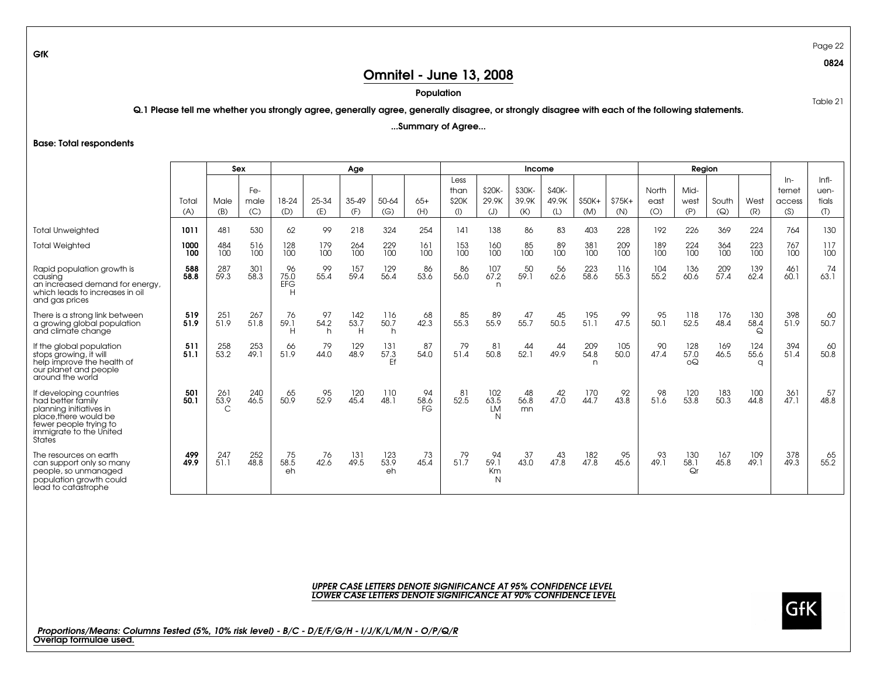Page 22 0824

Table 21

## Omnitel - June 13, 2008

#### Population

Q.1 Please tell me whether you strongly agree, generally agree, generally disagree, or strongly disagree with each of the following statements.

#### ...Summary of Agree...

Base: Total respondents

|                                                                                                                                                                 |              |                  | Sex                |                        |                   | Age              |                          |                  |                            |                                      | Income                 |                        |                  |                |                      | Region              |               |                  |                                  |                                 |
|-----------------------------------------------------------------------------------------------------------------------------------------------------------------|--------------|------------------|--------------------|------------------------|-------------------|------------------|--------------------------|------------------|----------------------------|--------------------------------------|------------------------|------------------------|------------------|----------------|----------------------|---------------------|---------------|------------------|----------------------------------|---------------------------------|
|                                                                                                                                                                 | Total<br>(A) | Male<br>(B)      | Fe-<br>male<br>(C) | 18-24<br>(D)           | 25-34<br>(E)      | 35-49<br>(F)     | 50-64<br>(G)             | $65+$<br>(H)     | Less<br>than<br>\$20K<br>( | \$20K-<br>29.9K<br>(J)               | \$30K-<br>39.9K<br>(K) | \$40K-<br>49.9K<br>(L) | \$50K+<br>(M)    | $$75K+$<br>(N) | North<br>east<br>(O) | Mid-<br>west<br>(P) | South<br>(Q)  | West<br>(R)      | $ln-$<br>ternet<br>access<br>(S) | $Infl-$<br>uen-<br>tials<br>(1) |
| <b>Total Unweighted</b>                                                                                                                                         | 1011         | 481              | 530                | 62                     | 99                | 218              | 324                      | 254              | 141                        | 138                                  | 86                     | 83                     | 403              | 228            | 192                  | 226                 | 369           | 224              | 764                              | 130                             |
| <b>Total Weighted</b>                                                                                                                                           | 1000<br>100  | 484<br>100       | 516<br>100         | 128<br>100             | 179<br>100        | 264<br>100       | 229<br>100               | 161<br>100       | 153<br>100                 | 160<br>100                           | 85<br>100              | 89<br>100              | 381<br>100       | 209<br>100     | 189<br>100           | 224<br>100          | 364<br>100    | 223<br>100       | 767<br>100                       | 117<br>100                      |
| Rapid population growth is<br>causing<br>an increased demand for energy,<br>which leads to increases in oil<br>and gas prices                                   | 588<br>58.8  | 287<br>59.3      | 301<br>58.3        | 96<br>75.0<br>EFG<br>Н | 99<br>55.4        | 157<br>59.4      | 129<br>56.4              | 86<br>53.6       | 86<br>56.0                 | 107<br>67.2<br>n                     | 50<br>59.1             | 56<br>62.6             | 223<br>58.6      | 116<br>55.3    | 104<br>55.2          | 136<br>60.6         | 209<br>57.4   | 139<br>62.4      | 461<br>60.1                      | 74<br>63.1                      |
| There is a strong link between<br>a growing global population<br>and climate change                                                                             | 519<br>51.9  | 251<br>51.9      | 267<br>51.8        | 76<br>59.1<br>H        | 97<br>54.2<br>h   | 142<br>53.7<br>H | 116<br>50.7<br>h         | 68<br>42.3       | 85<br>55.3                 | 89<br>55.9                           | 47<br>55.7             | 45<br>50.5             | 195<br>51.1      | 99<br>47.5     | 95<br>50.1           | 118<br>52.5         | 176<br>48.4   | 130<br>58.4<br>♤ | 398<br>51.9                      | 60<br>50.7                      |
| If the global population<br>stops growing, it will<br>help improve the health of<br>our planet and people<br>around the world                                   | 511<br>51.1  | 258<br>53.2      | 253<br>49.1        | 66<br>51.9             | 79<br>44.0        | 129<br>48.9      | $\frac{131}{57.3}$<br>Ef | 87<br>54.0       | 79<br>51.4                 | 81<br>50.8                           | 44<br>52.1             | 44<br>49.9             | 209<br>54.8<br>n | 105<br>50.0    | 90<br>47.4           | 128<br>57.0<br>0Q   | 169<br>46.5   | 124<br>55.6<br>a | 394<br>51.4                      | 60<br>50.8                      |
| If developing countries<br>had better family<br>planning initiatives in<br>place, there would be<br>fewer people trying to<br>immigrate to the United<br>States | 501<br>50.1  | 261<br>53.9<br>C | 240<br>46.5        | $65$<br>50.9           | $\frac{95}{52.9}$ | $120$<br>45.4    | 110<br>48.1              | 94<br>58.6<br>FG | $\frac{81}{52.5}$          | $\frac{102}{63.5}$<br><b>LM</b><br>N | $^{48}_{56.8}$<br>mn   | $^{42}_{47.0}$         | 170<br>44.7      | $^{92}_{43.8}$ | 98<br>51.6           | $\frac{120}{53.8}$  | $183$<br>50.3 | 100<br>44.8      | $\frac{36}{47}$ .                | 57<br>48.8                      |
| The resources on earth<br>can support only so many<br>people, so unmanaged<br>population growth could<br>lead to catastrophe                                    | 499<br>49.9  | 247<br>51.1      | 252<br>48.8        | 75<br>58.5<br>eh       | 76<br>42.6        | 131<br>49.5      | 123<br>53.9<br>eh        | 73<br>45.4       | -79<br>51.7                | 94<br>59.1<br>Km<br>N                | 37<br>43.0             | 43<br>47.8             | 182<br>47.8      | 95<br>45.6     | 93<br>49.1           | 130<br>58.1<br>Qr   | 167<br>45.8   | 109<br>49.1      | 378<br>49.3                      | 65<br>55.2                      |

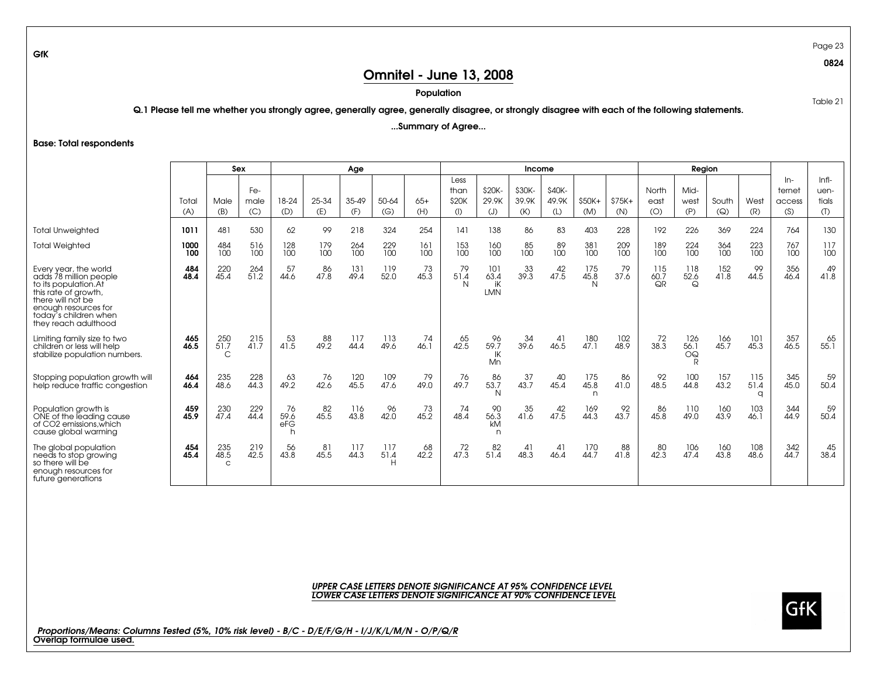Page 23 0824

Table 21

## Omnitel - June 13, 2008

#### Population

Q.1 Please tell me whether you strongly agree, generally agree, generally disagree, or strongly disagree with each of the following statements.

#### ...Summary of Agree...

Base: Total respondents

|                                                                                                                                                                                               |              |                             | Sex         |                        |              | Age          |                  |              |                 |                                 | Income       |              |                  |                |                   | Region                  |              |                  |                 |                                     |
|-----------------------------------------------------------------------------------------------------------------------------------------------------------------------------------------------|--------------|-----------------------------|-------------|------------------------|--------------|--------------|------------------|--------------|-----------------|---------------------------------|--------------|--------------|------------------|----------------|-------------------|-------------------------|--------------|------------------|-----------------|-------------------------------------|
|                                                                                                                                                                                               |              |                             | Fe-         |                        |              |              |                  |              | Less<br>than    | \$20K                           | \$30K-       | \$40K-       |                  |                | North             | Mid-                    |              |                  | $ln-$<br>ternet | $Infl-$<br>uen-                     |
|                                                                                                                                                                                               | Total<br>(A) | Male<br>(B)                 | male<br>(C) | 18-24<br>(D)           | 25-34<br>(E) | 35-49<br>(F) | 50-64<br>(G)     | $65+$<br>(H) | \$20K<br>(1)    | 29.9K<br>(J)                    | 39.9K<br>(K) | 49.9K<br>(L) | \$50K+<br>(M)    | $$75K+$<br>(N) | east<br>(O)       | west<br>(P)             | South<br>(Q) | West<br>(R)      | access<br>(S)   | tials<br>$\left( \mathbb{T}\right)$ |
| <b>Total Unweighted</b>                                                                                                                                                                       | 1011         | 481                         | 530         | 62                     | 99           | 218          | 324              | 254          | 141             | 138                             | 86           | 83           | 403              | 228            | 192               | 226                     | 369          | 224              | 764             | 130                                 |
| <b>Total Weighted</b>                                                                                                                                                                         | 1000<br>100  | 484<br>100                  | 516<br>100  | 128<br>100             | 179<br>100   | 264<br>100   | 229<br>100       | 161<br>100   | 153<br>100      | 160<br>100                      | 85<br>100    | 89<br>100    | 381<br>100       | 209<br>100     | 189<br>100        | 224<br>100              | 364<br>100   | 223<br>100       | 767<br>100      | 117<br>100                          |
| Every year, the world<br>adds 78 million people<br>to its population.At<br>this rate of growth,<br>there will not be<br>enough resources for<br>today's children when<br>they reach adulthood | 484<br>48.4  | 220<br>45.4                 | 264<br>51.2 | 57<br>44.6             | 86<br>47.8   | 131<br>49.4  | 119<br>52.0      | 73<br>45.3   | 79<br>51.4<br>N | 101<br>63.4<br>iK<br><b>LMN</b> | 33<br>39.3   | 42<br>47.5   | 175<br>45.8<br>N | 79<br>37.6     | 115<br>60.7<br>QR | 118<br>52.6<br>$\Theta$ | 152<br>41.8  | 99<br>44.5       | 356<br>46.4     | 49<br>41.8                          |
| Limiting family size to two<br>children or less will help<br>stabilize population numbers.                                                                                                    | 465<br>46.5  | 250<br>51.7<br>$\mathsf{C}$ | 215<br>41.7 | 53<br>41.5             | 88<br>49.2   | 117<br>44.4  | 113<br>49.6      | 74<br>46.1   | 65<br>42.5      | 96<br>59.7<br>IK<br>Mn          | 34<br>39.6   | -41<br>46.5  | 180<br>47.1      | 102<br>48.9    | 72<br>38.3        | 126<br>56.1<br>OQ<br>R  | 166<br>45.7  | 101<br>45.3      | 357<br>46.5     | 65<br>55.1                          |
| Stopping population growth will<br>help reduce traffic congestion                                                                                                                             | 464<br>46.4  | 235<br>48.6                 | 228<br>44.3 | 63<br>49.2             | 76<br>42.6   | 120<br>45.5  | 109<br>47.6      | 79<br>49.0   | 76<br>49.7      | 86<br>53.7<br>N                 | 37<br>43.7   | 40<br>45.4   | 175<br>45.8<br>n | 86<br>41.0     | 92<br>48.5        | 100<br>44.8             | 157<br>43.2  | 115<br>51.4<br>a | 345<br>45.0     | 59<br>50.4                          |
| Population growth is<br>ONE of the leading cause<br>of CO2 emissions, which<br>cause global warming                                                                                           | 459<br>45.9  | 230<br>47.4                 | 229<br>44.4 | 76<br>59.6<br>eFG<br>h | 82<br>45.5   | 116<br>43.8  | 96<br>42.0       | 73<br>45.2   | 74<br>48.4      | 90<br>56.3<br>kM<br>n           | 35<br>41.6   | 42<br>47.5   | 169<br>44.3      | 92<br>43.7     | 86<br>45.8        | 110<br>49.0             | 160<br>43.9  | 103<br>46.1      | 344<br>44.9     | 59<br>50.4                          |
| The global population<br>needs to stop growing<br>so there will be<br>enough resources for<br>future generations                                                                              | 454<br>45.4  | 235<br>48.5<br>$\mathsf{C}$ | 219<br>42.5 | 56<br>43.8             | 81<br>45.5   | 117<br>44.3  | 117<br>51.4<br>H | 68<br>42.2   | 72<br>47.3      | 82<br>51.4                      | 41<br>48.3   | 41<br>46.4   | 170<br>44.7      | 88<br>41.8     | 80<br>42.3        | 106<br>47.4             | 160<br>43.8  | 108<br>48.6      | 342<br>44.7     | 45<br>38.4                          |

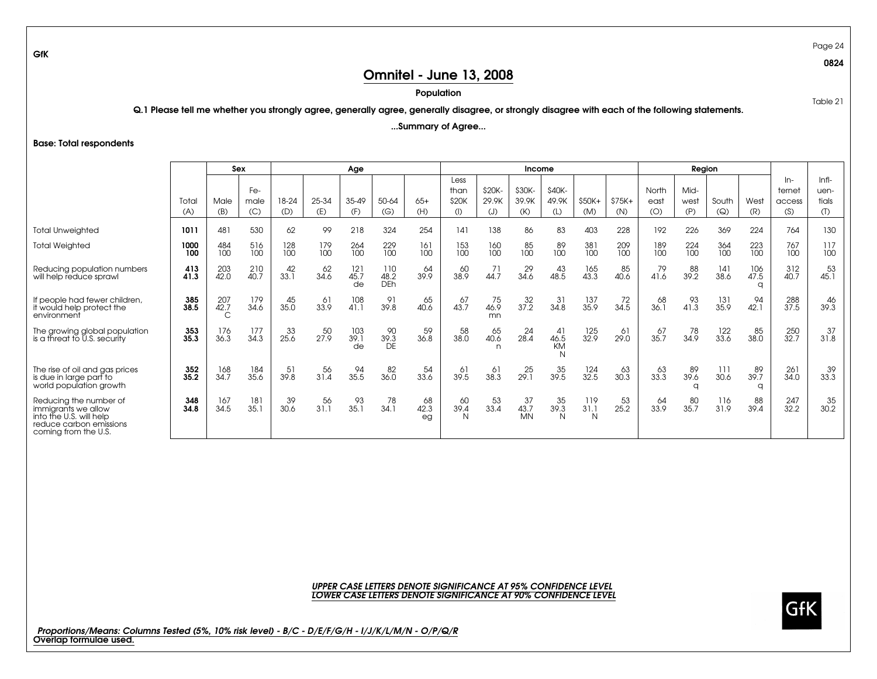Page 24 0824

Table 21

## Omnitel - June 13, 2008

#### Population

Q.1 Please tell me whether you strongly agree, generally agree, generally disagree, or strongly disagree with each of the following statements.

#### ...Summary of Agree...

Base: Total respondents

|                                                                                                                             |              | Sex              |             |              |              | Age               |                           |                  |                 |                  | Income                   |                        |                    |                   |             | Region                 |              |                  |               |            |
|-----------------------------------------------------------------------------------------------------------------------------|--------------|------------------|-------------|--------------|--------------|-------------------|---------------------------|------------------|-----------------|------------------|--------------------------|------------------------|--------------------|-------------------|-------------|------------------------|--------------|------------------|---------------|------------|
|                                                                                                                             |              |                  |             |              |              |                   |                           |                  | Less            |                  |                          |                        |                    |                   |             |                        |              |                  | $In-$         | $Infl-$    |
|                                                                                                                             |              |                  | Fe-         |              |              |                   |                           |                  | than            | \$20K-           | \$30K-                   | \$40K-                 |                    |                   | North       | Mid-                   |              |                  | ternet        | uen-       |
|                                                                                                                             | Total<br>(A) | Male<br>(B)      | male<br>(C) | 18-24<br>(D) | 25-34<br>(E) | 35-49<br>(F)      | 50-64<br>(G)              | $65+$<br>(H)     | \$20K           | 29.9K            | 39.9K<br>(K)             | 49.9K                  | $$50K+$<br>(M)     | $$75K+$<br>(N)    | east<br>(O) | west<br>(P)            | South<br>(Q) | West<br>(R)      | access<br>(S) | tials      |
|                                                                                                                             |              |                  |             |              |              |                   |                           |                  | $($ l $)$       | (J)              |                          | (L)                    |                    |                   |             |                        |              |                  |               | (1)        |
| <b>Total Unweighted</b>                                                                                                     | 1011         | 481              | 530         | 62           | 99           | 218               | 324                       | 254              | 141             | 138              | 86                       | 83                     | 403                | 228               | 192         | 226                    | 369          | 224              | 764           | 130        |
| <b>Total Weighted</b>                                                                                                       | 1000<br>100  | 484<br>100       | 516<br>100  | 128<br>100   | 179<br>100   | 264<br>100        | 229<br>100                | 161<br>100       | 153<br>100      | 160<br>100       | 85<br>100                | 89<br>100              | 381<br>100         | 209<br>100        | 189<br>100  | 224<br>100             | 364<br>100   | 223<br>100       | 767<br>100    | 117<br>100 |
| Reducing population numbers<br>will help reduce sprawl                                                                      | 413<br>41.3  | 203<br>42.0      | 210<br>40.7 | 42<br>33.1   | 62<br>34.6   | 121<br>45.7<br>de | 110<br>48.2<br><b>DEh</b> | 64<br>39.9       | 60<br>38.9      | 44.7             | 29<br>34.6               | 43<br>48.5             | 165<br>43.3        | 85<br>40.6        | 79<br>41.6  | 88<br>39.2             | 141<br>38.6  | 106<br>47.5<br>a | 312<br>40.7   | 53<br>45.1 |
| If people had fewer children,<br>it would help protect the<br>environment                                                   | 385<br>38.5  | 207<br>42.7<br>C | 179<br>34.6 | 45<br>35.0   | 61<br>33.9   | 108<br>41.1       | 91<br>39.8                | 65<br>40.6       | 67<br>43.7      | 75<br>46.9<br>mn | $32$<br>37.2             | $\frac{31}{34.8}$      | 137<br>35.9        | $\frac{72}{34.5}$ | 68<br>36.1  | 93<br>41.3             | 131<br>35.9  | 94<br>42.1       | 288<br>37.5   | 46<br>39.3 |
| The growing global population<br>is a threat to U.S. security                                                               | 353<br>35.3  | 176<br>36.3      | 177<br>34.3 | 33<br>25.6   | 50<br>27.9   | 103<br>39.1<br>de | 90<br>39.3<br>DE          | 59<br>36.8       | 58<br>38.0      | 65<br>40.6<br>n  | 24<br>28.4               | -41<br>46.5<br>KM<br>N | 125<br>32.9        | 61<br>29.0        | 67<br>35.7  | 78<br>34.9             | 122<br>33.6  | 85<br>38.0       | 250<br>32.7   | 37<br>31.8 |
| The rise of oil and gas prices<br>is due in large part to<br>world population growth                                        | 352<br>35.2  | 168<br>34.7      | 184<br>35.6 | 51<br>39.8   | 56<br>31.4   | 94<br>35.5        | 82<br>36.0                | 54<br>33.6       | 61<br>39.5      | 61<br>38.3       | $^{25}_{29.1}$           | 35<br>39.5             | $\frac{124}{32.5}$ | 63<br>30.3        | 63<br>33.3  | 89<br>39.6<br>$\Omega$ | 111<br>30.6  | 89<br>39.7<br>a  | 261<br>34.0   | 39<br>33.3 |
| Reducing the number of<br>immigrants we allow<br>into the U.S. will help<br>reduce carbon emissions<br>coming from the U.S. | 348<br>34.8  | 167<br>34.5      | 181<br>35.1 | 39<br>30.6   | 56<br>31.1   | 93<br>35.1        | 78<br>34.1                | 68<br>42.3<br>eg | 60<br>39.4<br>N | 53<br>33.4       | -37<br>43.7<br><b>MN</b> | 35<br>39.3<br>N        | 119<br>31.1<br>N   | 53<br>25.2        | 64<br>33.9  | 80<br>35.7             | 116<br>31.9  | 88<br>39.4       | 247<br>32.2   | 35<br>30.2 |

#### *UPPER CASE LETTERS DENOTE SIGNIFICANCE AT 95% CONFIDENCE LEVELLOWER CASE LETTERS DENOTE SIGNIFICANCE AT 90% CONFIDENCE LEVEL*

*Proportions/Means: Columns Tested (5%, 10% risk level) - B/C - D/E/F/G/H - I/J/K/L/M/N - O/P/Q/R* Overlap formulae used.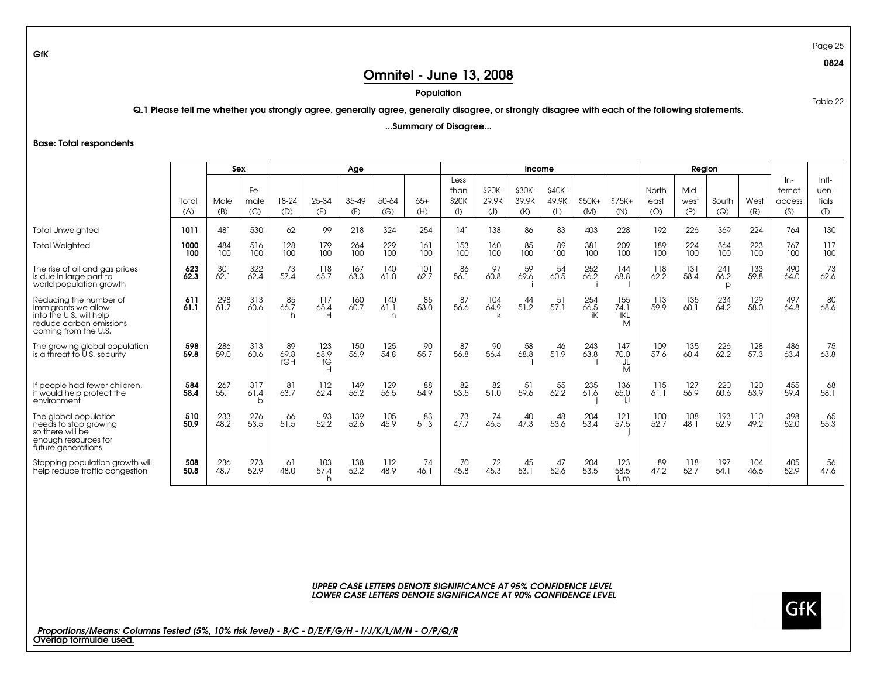Page 25 0824

Table 22

## Omnitel - June 13, 2008

#### Population

Q.1 Please tell me whether you strongly agree, generally agree, generally disagree, or strongly disagree with each of the following statements.

#### ...Summary of Disagree...

Base: Total respondents

|                                                                                                                             |             |             | Sex              |                   |                               | Age         |                    |             |                       |                 | Income          |                 |                 |                         |                    | Region        |                             |                    |                           |                          |
|-----------------------------------------------------------------------------------------------------------------------------|-------------|-------------|------------------|-------------------|-------------------------------|-------------|--------------------|-------------|-----------------------|-----------------|-----------------|-----------------|-----------------|-------------------------|--------------------|---------------|-----------------------------|--------------------|---------------------------|--------------------------|
|                                                                                                                             | Total       | Male        | Fe-<br>male      | 18-24             | 25-34                         | 35-49       | 50-64              | $65+$       | Less<br>than<br>\$20K | \$20K-<br>29.9K | \$30K-<br>39.9K | \$40K-<br>49.9K | \$50K+          | $$75K+$                 | North<br>east      | Mid-<br>west  | South                       | West               | $In-$<br>ternet<br>access | $Infl-$<br>uen-<br>tials |
|                                                                                                                             | (A)         | (B)         | (C)              | (D)               | (E)                           | (F)         | (G)                | (H)         | (                     | (J)             | (K)             | (L)             | (M)             | (N)                     | (O)                | (P)           | (Q)                         | (R)                | (S)                       | (1)                      |
| <b>Total Unweighted</b>                                                                                                     | 1011        | 481         | 530              | 62                | 99                            | 218         | 324                | 254         | 141                   | 138             | 86              | 83              | 403             | 228                     | 192                | 226           | 369                         | 224                | 764                       | 130                      |
| <b>Total Weighted</b>                                                                                                       | 1000<br>100 | 484<br>100  | 516<br>100       | 128<br>100        | 179<br>100                    | 264<br>100  | 229<br>100         | 161<br>100  | 153<br>100            | 160<br>100      | 85<br>100       | 89<br>100       | 381<br>100      | 209<br>100              | 189<br>100         | 224<br>100    | 364<br>100                  | 223<br>100         | 767<br>100                | 117<br>100               |
| The rise of oil and gas prices<br>is due in large part to<br>world population growth                                        | 623<br>62.3 | 301<br>62.1 | 322<br>62.4      | 73<br>57.4        | 118<br>65.7                   | 167<br>63.3 | 140<br>61.0        | 101<br>62.7 | 86<br>56.1            | 97<br>60.8      | 59<br>69.6      | 54<br>60.5      | 252<br>66.2     | 144<br>68.8             | 118<br>62.2        | 131<br>58.4   | 241<br>66.2<br>$\mathsf{D}$ | 133<br>59.8        | 490<br>64.0               | 73<br>62.6               |
| Reducing the number of<br>immigrants we allow<br>into the U.S. will help<br>reduce carbon emissions<br>coming from the U.S. | 61<br>61.1  | 298<br>61.7 | 313<br>60.6      | 85<br>66.7<br>h   | 117<br>65.4<br>н              | 160<br>60.7 | 140<br>61.1<br>h   | 85<br>53.0  | -87<br>56.6           | 104<br>64.9     | 44<br>51.2      | -51<br>57.1     | 254<br>66.5     | 155<br>74.1<br>IKL<br>M | 113<br>59.9        | 135<br>60.1   | 234<br>64.2                 | $129$<br>$58.0$    | 497<br>64.8               | 80<br>68.6               |
| The growing global population<br>is a threat to U.S. security                                                               | 598<br>59.8 | 286<br>59.0 | 313<br>60.6      | 89<br>69.8<br>fGH | $\frac{123}{68.9}$<br>fG<br>н | 150<br>56.9 | $\frac{125}{54.8}$ | 90<br>55.7  | 87<br>56.8            | 90<br>56.4      | $^{58}_{68.8}$  | $^{46}_{51.9}$  | $^{243}_{63.8}$ | 147<br>70.0<br>IJL<br>M | $\frac{109}{57.6}$ | $135$<br>60.4 | $^{226}_{62.2}$             | $\frac{128}{57.3}$ | 486<br>63.4               | $75$<br>63.8             |
| If people had fewer children,<br>it would help protect the<br>environment                                                   | 584<br>58.4 | 267<br>55.1 | 317<br>61.4<br>b | 81<br>63.7        | 112<br>62.4                   | 149<br>56.2 | 129<br>56.5        | 88<br>54.9  | $82$<br>53.5          | $82$<br>51.0    | 51<br>59.6      | $55$<br>62.2    | 235<br>61.6     | 136<br>65.0             | 115<br>61.1        | 127<br>56.9   | 220<br>60.6                 | 120<br>53.9        | 455<br>59.4               | 68<br>58.1               |
| The global population<br>needs to stop growing<br>so there will be<br>enough resources for<br>future generations            | 510<br>50.9 | 233<br>48.2 | 276<br>53.5      | 66<br>51.5        | 93<br>52.2                    | 139<br>52.6 | 105<br>45.9        | 83<br>51.3  | 73<br>47.7            | 74<br>46.5      | 40<br>47.3      | 48<br>53.6      | 204<br>53.4     | 121<br>57.5             | 100<br>52.7        | 108<br>48.1   | 193<br>52.9                 | 110<br>49.2        | 398<br>52.0               | 65<br>55.3               |
| Stopping population growth will<br>help reduce traffic congestion                                                           | 508<br>50.8 | 236<br>48.7 | 273<br>52.9      | -61<br>48.0       | 103<br>57.4                   | 138<br>52.2 | 112<br>48.9        | 74<br>46.1  | -70<br>45.8           | 72<br>45.3      | 45<br>53.1      | 47<br>52.6      | 204<br>53.5     | 123<br>58.5<br>$l$ Jm   | 89<br>47.2         | 118<br>52.7   | 197<br>54.1                 | 104<br>46.6        | 405<br>52.9               | 56<br>47.6               |



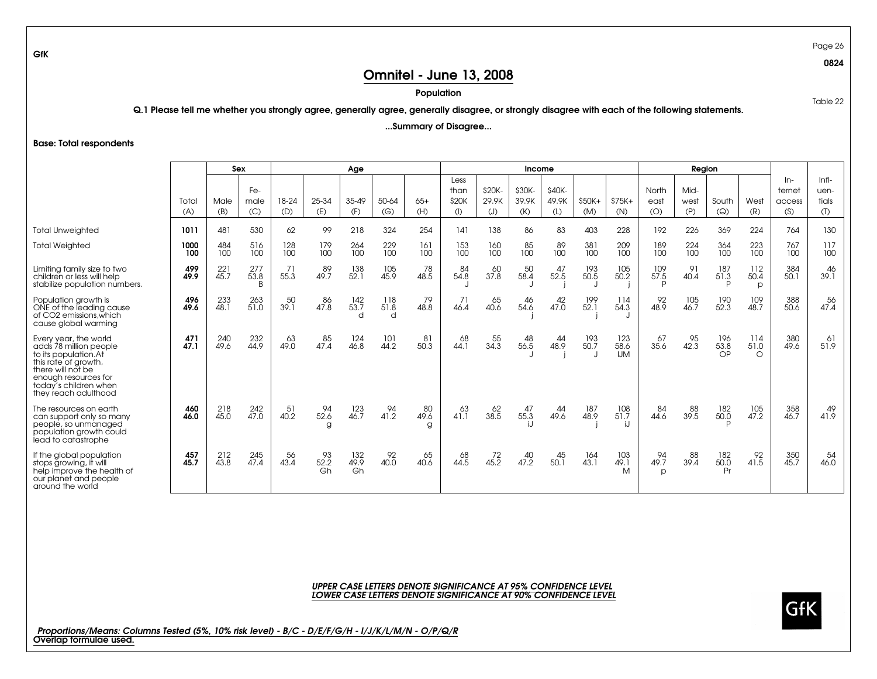Page 26 0824

Table 22

## Omnitel - June 13, 2008

#### Population

Q.1 Please tell me whether you strongly agree, generally agree, generally disagree, or strongly disagree with each of the following statements.

#### ...Summary of Disagree...

Base: Total respondents

|                                                                                                                                                                                                |              |             | Sex                |              |                  | Age                     |                  |                 |                                |                        | Income                 |                        |               |                    |                      | Region              |                             |                        |                                  |                                 |
|------------------------------------------------------------------------------------------------------------------------------------------------------------------------------------------------|--------------|-------------|--------------------|--------------|------------------|-------------------------|------------------|-----------------|--------------------------------|------------------------|------------------------|------------------------|---------------|--------------------|----------------------|---------------------|-----------------------------|------------------------|----------------------------------|---------------------------------|
|                                                                                                                                                                                                | Total<br>(A) | Male<br>(B) | Fe-<br>male<br>(C) | 18-24<br>(D) | 25-34<br>(E)     | 35-49<br>(F)            | 50-64<br>(G)     | $65+$<br>(H)    | Less<br>than<br>\$20K<br>$($ l | \$20K-<br>29.9K<br>(J) | \$30K-<br>39.9K<br>(K) | \$40K-<br>49.9K<br>(L) | \$50K+<br>(M) | $$75K+$<br>(N)     | North<br>east<br>(O) | Mid-<br>west<br>(P) | South<br>(Q)                | West<br>(R)            | $ln-$<br>ternet<br>access<br>(S) | $Infl-$<br>uen-<br>tials<br>(T) |
| <b>Total Unweighted</b>                                                                                                                                                                        | 1011         | 481         | 530                | 62           | 99               | 218                     | 324              | 254             | 4                              | 138                    | 86                     | 83                     | 403           | 228                | 192                  | 226                 | 369                         | 224                    | 764                              | 130                             |
| <b>Total Weighted</b>                                                                                                                                                                          | 1000<br>100  | 484<br>100  | 516<br>100         | 128<br>100   | 179<br>100       | 264<br>100              | 229<br>100       | 161<br>100      | 153<br>100                     | 160<br>100             | 85<br>100              | 89<br>100              | 381<br>100    | 209<br>100         | 189<br>100           | 224<br>100          | 364<br>100                  | 223<br>100             | 767<br>100                       | 117<br>100                      |
| Limiting family size to two<br>children or less will help<br>stabilize population numbers.                                                                                                     | 499<br>49.9  | 221<br>45.7 | 277<br>53.8<br>B.  | 71<br>55.3   | 89<br>49.7       | 138<br>52.1             | 105<br>45.9      | 78<br>48.5      | 84<br>54.8                     | 60<br>37.8             | 50<br>58.4             | 47<br>52.5             | 193<br>50.5   | 105<br>50.2        | 109<br>57.5<br>P     | 91<br>40.4          | 187<br>51.3<br>D            | 112<br>50.4<br>$\circ$ | 384<br>50.1                      | 46<br>39.1                      |
| Population arowth is<br>ONE of the leading cause<br>of CO2 emissions, which<br>cause global warming                                                                                            | 496<br>49.6  | 233<br>48.1 | 263<br>51.0        | 50<br>39.1   | 86<br>47.8       | $\frac{142}{53.7}$<br>d | 118<br>51.8<br>d | 79<br>48.8      | -71<br>46.4                    | 65<br>40.6             | 46<br>54.6             | 42<br>47.0             | 199<br>52.1   | 114<br>54.3        | 92<br>48.9           | 105<br>46.7         | 190<br>52.3                 | 109<br>48.7            | 388<br>50.6                      | 56<br>47.4                      |
| Every year, the world<br>adds 78 million people<br>to its population. At<br>this rate of growth,<br>there will not be<br>enough resources for<br>today's children when<br>they reach adulthood | 471<br>47.1  | 240<br>49.6 | 232<br>44.9        | 63<br>49.0   | 85<br>47.4       | 124<br>46.8             | 101<br>44.2      | 81<br>50.3      | 68<br>44.1                     | 55<br>34.3             | 48<br>56.5             | 44<br>48.9             | 193<br>50.7   | 123<br>58.6<br>IJM | 67<br>35.6           | 95<br>42.3          | 196<br>53.8<br>$\bigcirc$ P | 114<br>51.0<br>∩       | 380<br>49.6                      | 61<br>51.9                      |
| The resources on earth<br>can support only so many<br>people, so unmanaged<br>population growth could<br>lead to catastrophe                                                                   | 460<br>46.0  | 218<br>45.0 | 242<br>47.0        | 51<br>40.2   | 94<br>52.6<br>g  | 123<br>46.7             | 94<br>41.2       | 80<br>49.6<br>g | 63<br>41.1                     | 62<br>38.5             | 47<br>55.3<br>i.l      | 44<br>49.6             | 187<br>48.9   | 108<br>51.7<br>i.l | 84<br>44.6           | 88<br>39.5          | 182<br>50.0<br>D            | 105<br>47.2            | 358<br>46.7                      | 49<br>41.9                      |
| If the global population<br>stops growing, it will<br>help improve the health of<br>our planet and people<br>around the world                                                                  | 457<br>45.7  | 212<br>43.8 | 245<br>47.4        | 56<br>43.4   | 93<br>52.2<br>Gh | 132<br>49.9<br>Gh       | 92<br>40.0       | 65<br>40.6      | 68<br>44.5                     | $72$<br>45.2           | 40<br>47.2             | 45<br>50.1             | 164<br>43.1   | 103<br>49.1<br>M   | 94<br>49.7<br>p      | 88<br>39.4          | 182<br>50.0<br>Pr           | 92<br>41.5             | 350<br>45.7                      | 54<br>46.0                      |



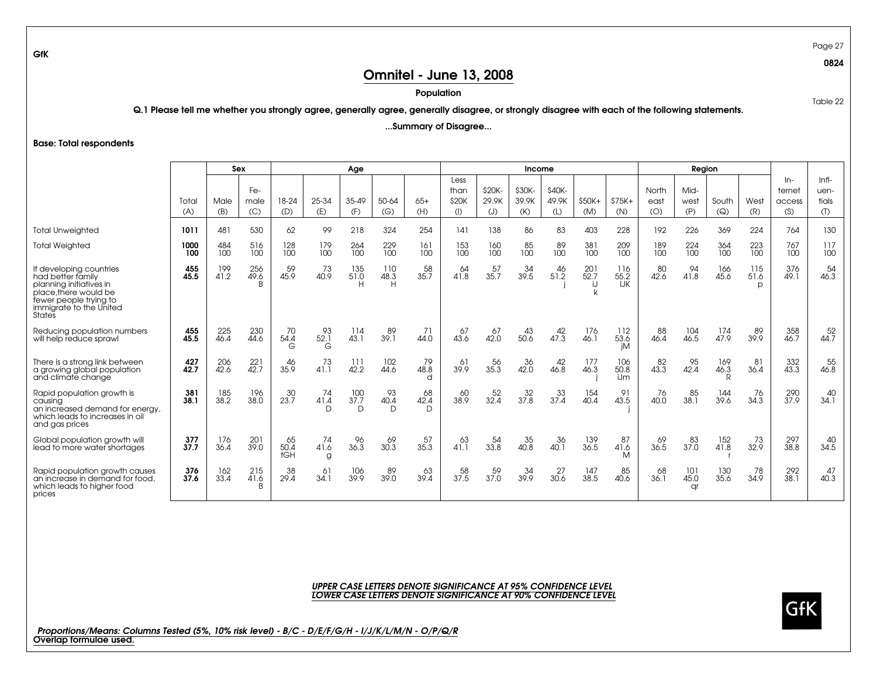Page 27 0824

Table 22

## Omnitel - June 13, 2008

#### Population

Q.1 Please tell me whether you strongly agree, generally agree, generally disagree, or strongly disagree with each of the following statements.

#### ...Summary of Disagree...

Base: Total respondents

|                                                                                                                                                                 |              |             | Sex                |                   |                 | Age                     |                  |                            |                            |                        | Income                 |                         |                    |                           |                      | Region              |                    |                             |                                  |                                 |
|-----------------------------------------------------------------------------------------------------------------------------------------------------------------|--------------|-------------|--------------------|-------------------|-----------------|-------------------------|------------------|----------------------------|----------------------------|------------------------|------------------------|-------------------------|--------------------|---------------------------|----------------------|---------------------|--------------------|-----------------------------|----------------------------------|---------------------------------|
|                                                                                                                                                                 | Total<br>(A) | Male<br>(B) | Fe-<br>male<br>(C) | 18-24<br>(D)      | 25-34<br>(E)    | 35-49<br>(F)            | 50-64<br>(G)     | $65+$<br>(H)               | Less<br>than<br>\$20K<br>( | \$20K-<br>29.9K<br>(J) | \$30K-<br>39.9K<br>(K) | \$40K-<br>49.9K<br>(L)  | \$50K+<br>(M)      | $$75K+$<br>(N)            | North<br>east<br>(O) | Mid-<br>west<br>(P) | South<br>(Q)       | West<br>(R)                 | $In-$<br>ternet<br>access<br>(S) | $Infl-$<br>uen-<br>tials<br>(1) |
| <b>Total Unweighted</b>                                                                                                                                         | 1011         | 481         | 530                | 62                | 99              | 218                     | 324              | 254                        | 141                        | 138                    | 86                     | 83                      | 403                | 228                       | 192                  | 226                 | 369                | 224                         | 764                              | 130                             |
| <b>Total Weighted</b>                                                                                                                                           | 1000<br>100  | 484<br>100  | 516<br>100         | 128<br>100        | 179<br>100      | 264<br>100              | 229<br>100       | 161<br>100                 | 153<br>100                 | 160<br>100             | 85<br>100              | 89<br>100               | 381<br>100         | 209<br>100                | 189<br>100           | 224<br>100          | 364<br>100         | 223<br>100                  | 767<br>100                       | 117<br>100                      |
| If developing countries<br>had better family<br>planning initiatives in<br>place, there would be<br>fewer people trying to<br>immigrate to the United<br>States | 455<br>45.5  | 199<br>41.2 | 256<br>49.6<br>B.  | 59<br>45.9        | -73<br>40.9     | 135<br>51.0<br>H        | 110<br>48.3      | 58<br>35.7                 | 64<br>41.8                 | 57<br>35.7             | 34<br>39.5             | 46<br>51.2              | 201<br>52.7<br>i.J | 116<br>55.2<br><b>IJK</b> | 80<br>42.6           | 94<br>41.8          | 166<br>45.6        | 115<br>51.6<br>$\mathsf{D}$ | 376<br>49.1                      | 54<br>46.3                      |
| Reducing population numbers<br>will help reduce sprawl                                                                                                          | 455<br>45.5  | 225<br>46.4 | 230<br>44.6        | 70<br>54.4<br>G   | 93<br>52.1<br>G | 114<br>43.1             | 89<br>39.1       | 71<br>44.0                 | 67<br>43.6                 | 67<br>42.0             | 43<br>50.6             | 42<br>47.3              | 176<br>46.1        | 112<br>53.6<br>jM         | 88<br>46.4           | 104<br>46.5         | 174<br>47.9        | -89<br>39.9                 | 358<br>46.7                      | 52<br>44.7                      |
| There is a strong link between<br>a growing global population<br>and climate change                                                                             | 427<br>42.7  | 206<br>42.6 | $^{221}_{42.7}$    | 46<br>35.9        | 73<br>41.1      | 111<br>42.2             | 102<br>44.6      | 79<br>48.8<br>d            | 61<br>39.9                 | 56<br>35.3             | $36$<br>$42.0$         | 42<br>$46.\overline{8}$ | 177<br>46.3        | 106<br>50.8<br>iJm        | 82<br>43.3           | 95<br>42.4          | 169<br>46.3<br>R   | -81<br>36.4                 | 332<br>43.3                      | $\frac{55}{46.8}$               |
| Rapid population growth is<br>causing<br>an increased demand for energy,<br>which leads to increases in oil<br>and gas prices                                   | 381<br>38.1  | 185<br>38.2 | 196<br>38.0        | $\frac{30}{23.7}$ | 74<br>41.4<br>D | $\frac{100}{37.7}$<br>D | 93<br>40.4<br>D. | 68<br>42.4<br>$\mathsf{D}$ | 60<br>38.9                 | $\frac{52}{32.4}$      | $32 \\ 37.8$           | $\frac{33}{37.4}$       | $\frac{154}{40.4}$ | 91<br>43.5                | 76<br>40.0           | 85<br>38.1          | 144<br>39.6        | 76<br>34.3                  | 290<br>37.9                      | 40<br>34.1                      |
| Global population growth will<br>lead to more water shortages                                                                                                   | 377<br>37.7  | 176<br>36.4 | $\frac{201}{39.0}$ | 65<br>50.4<br>fGH | 74<br>41.6<br>g | 96<br>36.3              | 69<br>30.3       | 57<br>35.3                 | 63<br>41.1                 | 54<br>33.8             | $\frac{35}{40.8}$      | $\frac{36}{40.1}$       | 139<br>36.5        | 87<br>41.6<br>M           | 69<br>36.5           | 83<br>37.0          | $\frac{152}{41.8}$ | -73<br>32.9                 | 297<br>38.8                      | $\frac{40}{34.5}$               |
| Rapid population growth causes<br>an increase in demand for food,<br>which leads to higher food<br>prices                                                       | 376<br>37.6  | 162<br>33.4 | 215<br>41.6<br>B   | 38<br>29.4        | 61<br>34.1      | 106<br>39.9             | 89<br>39.0       | 63<br>39.4                 | 58<br>37.5                 | 59<br>37.0             | 34<br>39.9             | 27<br>30.6              | 147<br>38.5        | 85<br>40.6                | 68<br>36.1           | 101<br>45.0<br>qr   | 130<br>35.6        | 78<br>34.9                  | 292<br>38.1                      | 47<br>40.3                      |